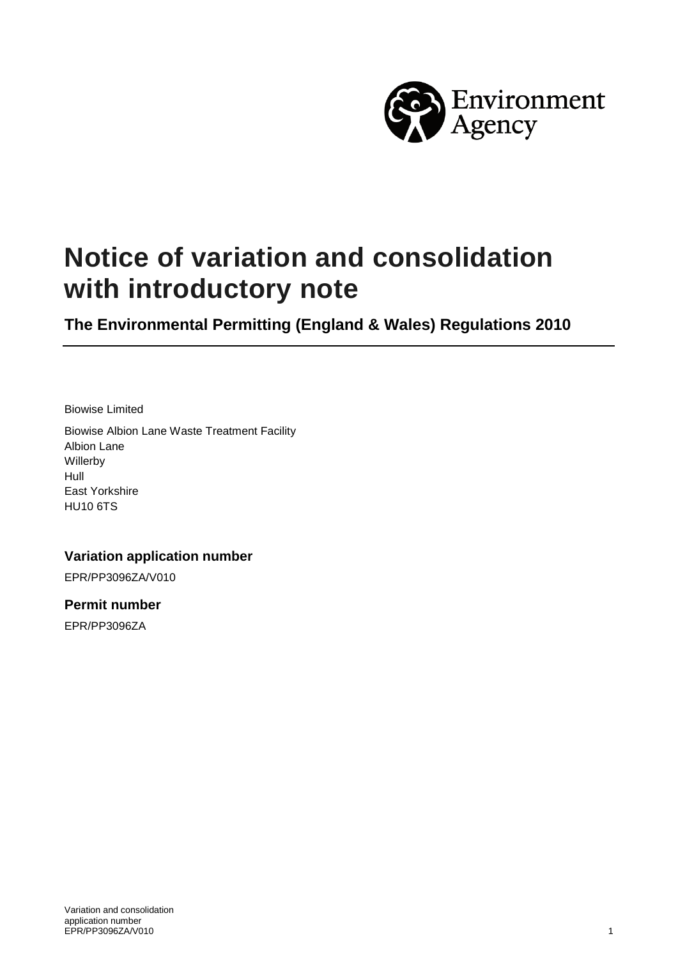

# **Notice of variation and consolidation with introductory note**

**The Environmental Permitting (England & Wales) Regulations 2010**

Biowise Limited

Biowise Albion Lane Waste Treatment Facility Albion Lane Willerby Hull East Yorkshire HU10 6TS

**Variation application number**

EPR/PP3096ZA/V010

**Permit number**

EPR/PP3096ZA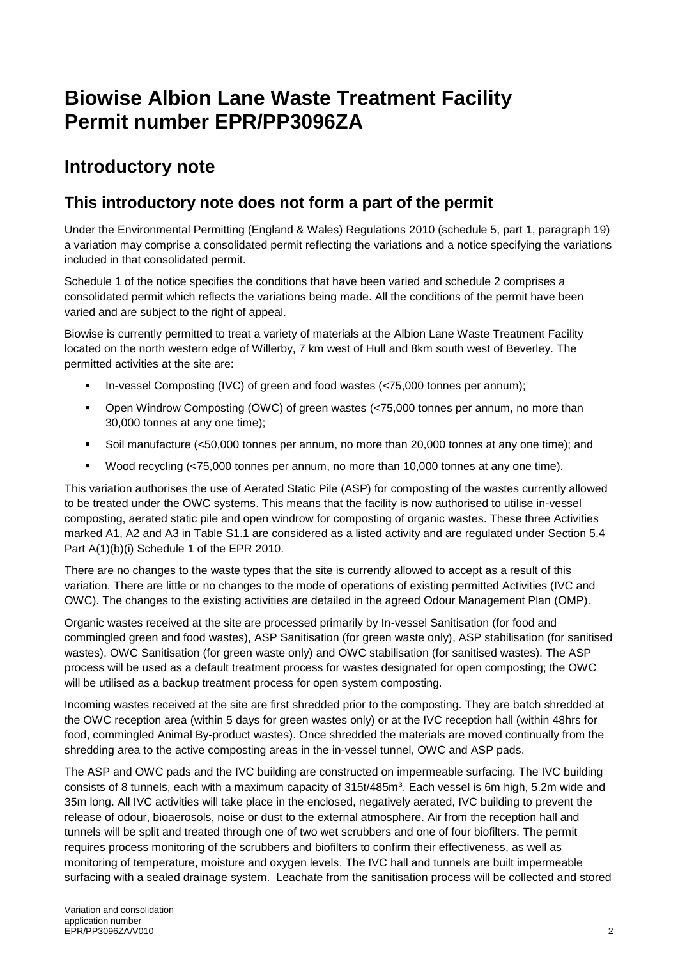# **Biowise Albion Lane Waste Treatment Facility Permit number EPR/PP3096ZA**

## **Introductory note**

### **This introductory note does not form a part of the permit**

Under the Environmental Permitting (England & Wales) Regulations 2010 (schedule 5, part 1, paragraph 19) a variation may comprise a consolidated permit reflecting the variations and a notice specifying the variations included in that consolidated permit.

Schedule 1 of the notice specifies the conditions that have been varied and schedule 2 comprises a consolidated permit which reflects the variations being made. All the conditions of the permit have been varied and are subject to the right of appeal.

Biowise is currently permitted to treat a variety of materials at the Albion Lane Waste Treatment Facility located on the north western edge of Willerby, 7 km west of Hull and 8km south west of Beverley. The permitted activities at the site are:

- In-vessel Composting (IVC) of green and food wastes (<75,000 tonnes per annum);
- Open Windrow Composting (OWC) of green wastes (<75,000 tonnes per annum, no more than 30,000 tonnes at any one time);
- Soil manufacture (<50,000 tonnes per annum, no more than 20,000 tonnes at any one time); and
- Wood recycling (<75,000 tonnes per annum, no more than 10,000 tonnes at any one time).

This variation authorises the use of Aerated Static Pile (ASP) for composting of the wastes currently allowed to be treated under the OWC systems. This means that the facility is now authorised to utilise in-vessel composting, aerated static pile and open windrow for composting of organic wastes. These three Activities marked A1, A2 and A3 in Table S1.1 are considered as a listed activity and are regulated under Section 5.4 Part A(1)(b)(i) Schedule 1 of the EPR 2010.

There are no changes to the waste types that the site is currently allowed to accept as a result of this variation. There are little or no changes to the mode of operations of existing permitted Activities (IVC and OWC). The changes to the existing activities are detailed in the agreed Odour Management Plan (OMP).

Organic wastes received at the site are processed primarily by In-vessel Sanitisation (for food and commingled green and food wastes), ASP Sanitisation (for green waste only), ASP stabilisation (for sanitised wastes), OWC Sanitisation (for green waste only) and OWC stabilisation (for sanitised wastes). The ASP process will be used as a default treatment process for wastes designated for open composting; the OWC will be utilised as a backup treatment process for open system composting.

Incoming wastes received at the site are first shredded prior to the composting. They are batch shredded at the OWC reception area (within 5 days for green wastes only) or at the IVC reception hall (within 48hrs for food, commingled Animal By-product wastes). Once shredded the materials are moved continually from the shredding area to the active composting areas in the in-vessel tunnel, OWC and ASP pads.

The ASP and OWC pads and the IVC building are constructed on impermeable surfacing. The IVC building consists of 8 tunnels, each with a maximum capacity of 315t/485m<sup>3</sup>. Each vessel is 6m high, 5.2m wide and 35m long. All IVC activities will take place in the enclosed, negatively aerated, IVC building to prevent the release of odour, bioaerosols, noise or dust to the external atmosphere. Air from the reception hall and tunnels will be split and treated through one of two wet scrubbers and one of four biofilters. The permit requires process monitoring of the scrubbers and biofilters to confirm their effectiveness, as well as monitoring of temperature, moisture and oxygen levels. The IVC hall and tunnels are built impermeable surfacing with a sealed drainage system. Leachate from the sanitisation process will be collected and stored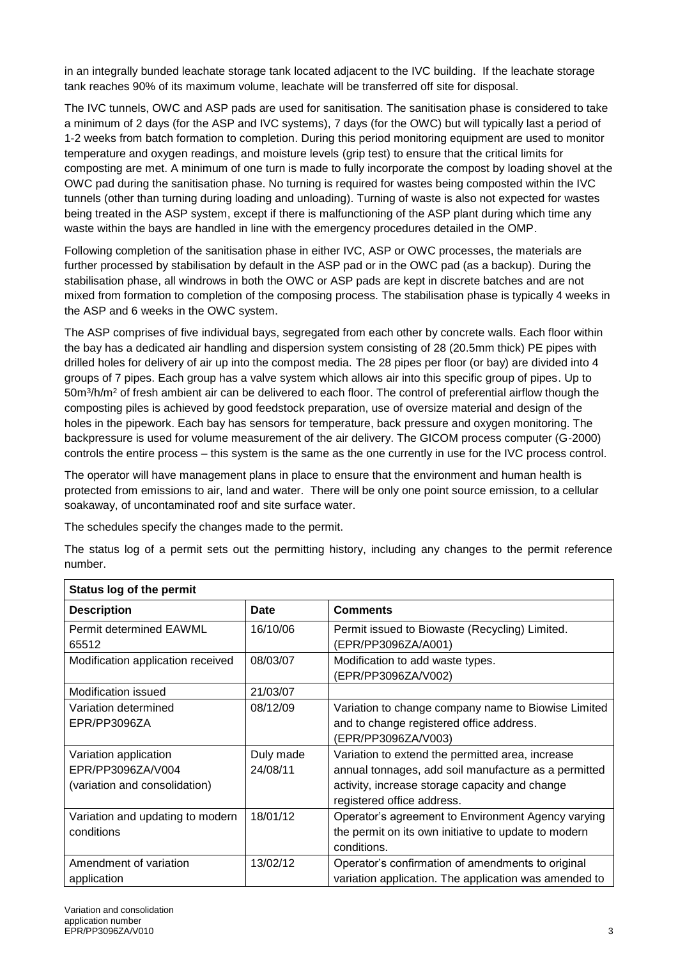in an integrally bunded leachate storage tank located adjacent to the IVC building. If the leachate storage tank reaches 90% of its maximum volume, leachate will be transferred off site for disposal.

The IVC tunnels, OWC and ASP pads are used for sanitisation. The sanitisation phase is considered to take a minimum of 2 days (for the ASP and IVC systems), 7 days (for the OWC) but will typically last a period of 1-2 weeks from batch formation to completion. During this period monitoring equipment are used to monitor temperature and oxygen readings, and moisture levels (grip test) to ensure that the critical limits for composting are met. A minimum of one turn is made to fully incorporate the compost by loading shovel at the OWC pad during the sanitisation phase. No turning is required for wastes being composted within the IVC tunnels (other than turning during loading and unloading). Turning of waste is also not expected for wastes being treated in the ASP system, except if there is malfunctioning of the ASP plant during which time any waste within the bays are handled in line with the emergency procedures detailed in the OMP.

Following completion of the sanitisation phase in either IVC, ASP or OWC processes, the materials are further processed by stabilisation by default in the ASP pad or in the OWC pad (as a backup). During the stabilisation phase, all windrows in both the OWC or ASP pads are kept in discrete batches and are not mixed from formation to completion of the composing process. The stabilisation phase is typically 4 weeks in the ASP and 6 weeks in the OWC system.

The ASP comprises of five individual bays, segregated from each other by concrete walls. Each floor within the bay has a dedicated air handling and dispersion system consisting of 28 (20.5mm thick) PE pipes with drilled holes for delivery of air up into the compost media. The 28 pipes per floor (or bay) are divided into 4 groups of 7 pipes. Each group has a valve system which allows air into this specific group of pipes. Up to 50m<sup>3</sup>/h/m<sup>2</sup> of fresh ambient air can be delivered to each floor. The control of preferential airflow though the composting piles is achieved by good feedstock preparation, use of oversize material and design of the holes in the pipework. Each bay has sensors for temperature, back pressure and oxygen monitoring. The backpressure is used for volume measurement of the air delivery. The GICOM process computer (G-2000) controls the entire process – this system is the same as the one currently in use for the IVC process control.

The operator will have management plans in place to ensure that the environment and human health is protected from emissions to air, land and water. There will be only one point source emission, to a cellular soakaway, of uncontaminated roof and site surface water.

The schedules specify the changes made to the permit.

The status log of a permit sets out the permitting history, including any changes to the permit reference number.

| <b>Status log of the permit</b>                                             |                       |                                                                                                                                                                                          |  |  |
|-----------------------------------------------------------------------------|-----------------------|------------------------------------------------------------------------------------------------------------------------------------------------------------------------------------------|--|--|
| <b>Description</b>                                                          | <b>Date</b>           | Comments                                                                                                                                                                                 |  |  |
| <b>Permit determined EAWML</b><br>65512                                     | 16/10/06              | Permit issued to Biowaste (Recycling) Limited.<br>(EPR/PP3096ZA/A001)                                                                                                                    |  |  |
| Modification application received                                           | 08/03/07              | Modification to add waste types.<br>(EPR/PP3096ZA/V002)                                                                                                                                  |  |  |
| <b>Modification issued</b>                                                  | 21/03/07              |                                                                                                                                                                                          |  |  |
| Variation determined<br>EPR/PP3096ZA                                        | 08/12/09              | Variation to change company name to Biowise Limited<br>and to change registered office address.<br>(EPR/PP3096ZA/V003)                                                                   |  |  |
| Variation application<br>EPR/PP3096ZA/V004<br>(variation and consolidation) | Duly made<br>24/08/11 | Variation to extend the permitted area, increase<br>annual tonnages, add soil manufacture as a permitted<br>activity, increase storage capacity and change<br>registered office address. |  |  |
| Variation and updating to modern<br>conditions                              | 18/01/12              | Operator's agreement to Environment Agency varying<br>the permit on its own initiative to update to modern<br>conditions.                                                                |  |  |
| Amendment of variation<br>application                                       | 13/02/12              | Operator's confirmation of amendments to original<br>variation application. The application was amended to                                                                               |  |  |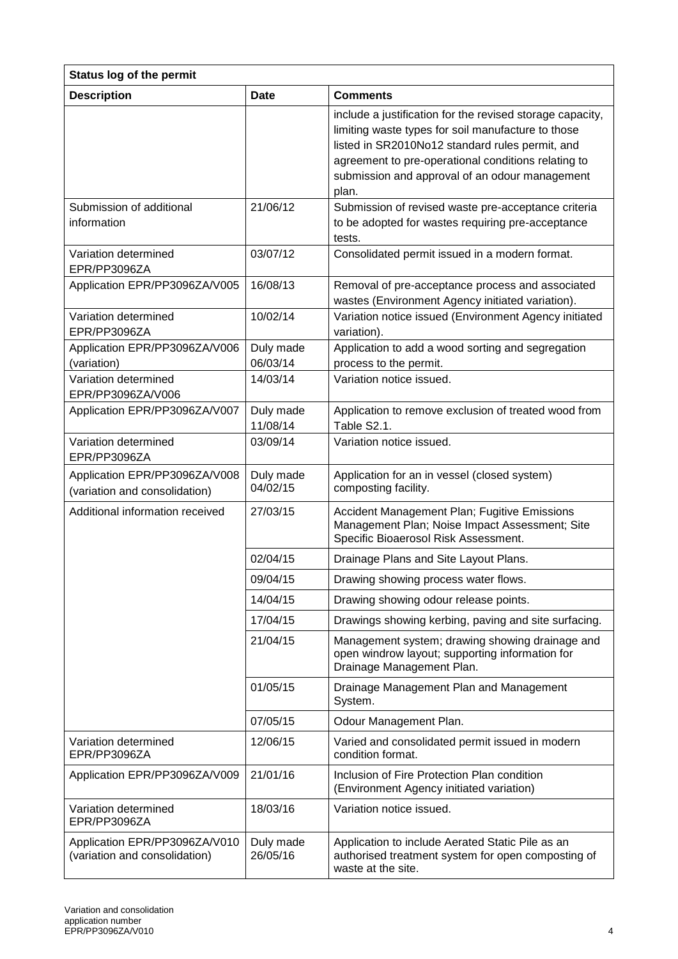| <b>Status log of the permit</b>                                |                       |                                                                                                                                                                                                                                                                                      |  |  |
|----------------------------------------------------------------|-----------------------|--------------------------------------------------------------------------------------------------------------------------------------------------------------------------------------------------------------------------------------------------------------------------------------|--|--|
| <b>Description</b>                                             | <b>Date</b>           | <b>Comments</b>                                                                                                                                                                                                                                                                      |  |  |
|                                                                |                       | include a justification for the revised storage capacity,<br>limiting waste types for soil manufacture to those<br>listed in SR2010No12 standard rules permit, and<br>agreement to pre-operational conditions relating to<br>submission and approval of an odour management<br>plan. |  |  |
| Submission of additional<br>information                        | 21/06/12              | Submission of revised waste pre-acceptance criteria<br>to be adopted for wastes requiring pre-acceptance<br>tests.                                                                                                                                                                   |  |  |
| Variation determined<br>EPR/PP3096ZA                           | 03/07/12              | Consolidated permit issued in a modern format.                                                                                                                                                                                                                                       |  |  |
| Application EPR/PP3096ZA/V005                                  | 16/08/13              | Removal of pre-acceptance process and associated<br>wastes (Environment Agency initiated variation).                                                                                                                                                                                 |  |  |
| Variation determined<br>EPR/PP3096ZA                           | 10/02/14              | Variation notice issued (Environment Agency initiated<br>variation).                                                                                                                                                                                                                 |  |  |
| Application EPR/PP3096ZA/V006<br>(variation)                   | Duly made<br>06/03/14 | Application to add a wood sorting and segregation<br>process to the permit.                                                                                                                                                                                                          |  |  |
| Variation determined<br>EPR/PP3096ZA/V006                      | 14/03/14              | Variation notice issued.                                                                                                                                                                                                                                                             |  |  |
| Application EPR/PP3096ZA/V007                                  | Duly made<br>11/08/14 | Application to remove exclusion of treated wood from<br>Table S2.1.                                                                                                                                                                                                                  |  |  |
| Variation determined<br>EPR/PP3096ZA                           | 03/09/14              | Variation notice issued.                                                                                                                                                                                                                                                             |  |  |
| Application EPR/PP3096ZA/V008<br>(variation and consolidation) | Duly made<br>04/02/15 | Application for an in vessel (closed system)<br>composting facility.                                                                                                                                                                                                                 |  |  |
| Additional information received                                | 27/03/15              | Accident Management Plan; Fugitive Emissions<br>Management Plan; Noise Impact Assessment; Site<br>Specific Bioaerosol Risk Assessment.                                                                                                                                               |  |  |
|                                                                | 02/04/15              | Drainage Plans and Site Layout Plans.                                                                                                                                                                                                                                                |  |  |
|                                                                | 09/04/15              | Drawing showing process water flows.                                                                                                                                                                                                                                                 |  |  |
|                                                                | 14/04/15              | Drawing showing odour release points.                                                                                                                                                                                                                                                |  |  |
|                                                                | 17/04/15              | Drawings showing kerbing, paving and site surfacing.                                                                                                                                                                                                                                 |  |  |
|                                                                | 21/04/15              | Management system; drawing showing drainage and<br>open windrow layout; supporting information for<br>Drainage Management Plan.                                                                                                                                                      |  |  |
|                                                                | 01/05/15              | Drainage Management Plan and Management<br>System.                                                                                                                                                                                                                                   |  |  |
|                                                                | 07/05/15              | Odour Management Plan.                                                                                                                                                                                                                                                               |  |  |
| Variation determined<br>EPR/PP3096ZA                           | 12/06/15              | Varied and consolidated permit issued in modern<br>condition format.                                                                                                                                                                                                                 |  |  |
| Application EPR/PP3096ZA/V009                                  | 21/01/16              | Inclusion of Fire Protection Plan condition<br>(Environment Agency initiated variation)                                                                                                                                                                                              |  |  |
| Variation determined<br>EPR/PP3096ZA                           | 18/03/16              | Variation notice issued.                                                                                                                                                                                                                                                             |  |  |
| Application EPR/PP3096ZA/V010<br>(variation and consolidation) | Duly made<br>26/05/16 | Application to include Aerated Static Pile as an<br>authorised treatment system for open composting of<br>waste at the site.                                                                                                                                                         |  |  |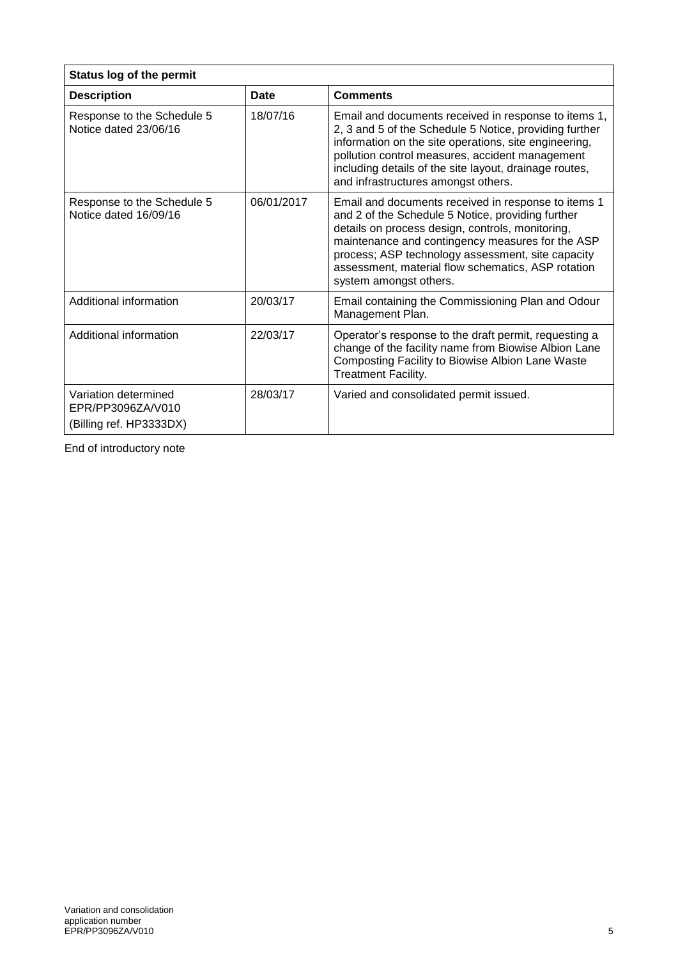| Status log of the permit                                             |             |                                                                                                                                                                                                                                                                                                                                                       |  |
|----------------------------------------------------------------------|-------------|-------------------------------------------------------------------------------------------------------------------------------------------------------------------------------------------------------------------------------------------------------------------------------------------------------------------------------------------------------|--|
| <b>Description</b>                                                   | <b>Date</b> | <b>Comments</b>                                                                                                                                                                                                                                                                                                                                       |  |
| Response to the Schedule 5<br>Notice dated 23/06/16                  | 18/07/16    | Email and documents received in response to items 1,<br>2, 3 and 5 of the Schedule 5 Notice, providing further<br>information on the site operations, site engineering,<br>pollution control measures, accident management<br>including details of the site layout, drainage routes,<br>and infrastructures amongst others.                           |  |
| Response to the Schedule 5<br>Notice dated 16/09/16                  | 06/01/2017  | Email and documents received in response to items 1<br>and 2 of the Schedule 5 Notice, providing further<br>details on process design, controls, monitoring,<br>maintenance and contingency measures for the ASP<br>process; ASP technology assessment, site capacity<br>assessment, material flow schematics, ASP rotation<br>system amongst others. |  |
| Additional information                                               | 20/03/17    | Email containing the Commissioning Plan and Odour<br>Management Plan.                                                                                                                                                                                                                                                                                 |  |
| Additional information                                               | 22/03/17    | Operator's response to the draft permit, requesting a<br>change of the facility name from Biowise Albion Lane<br>Composting Facility to Biowise Albion Lane Waste<br><b>Treatment Facility.</b>                                                                                                                                                       |  |
| Variation determined<br>EPR/PP3096ZA/V010<br>(Billing ref. HP3333DX) | 28/03/17    | Varied and consolidated permit issued.                                                                                                                                                                                                                                                                                                                |  |

End of introductory note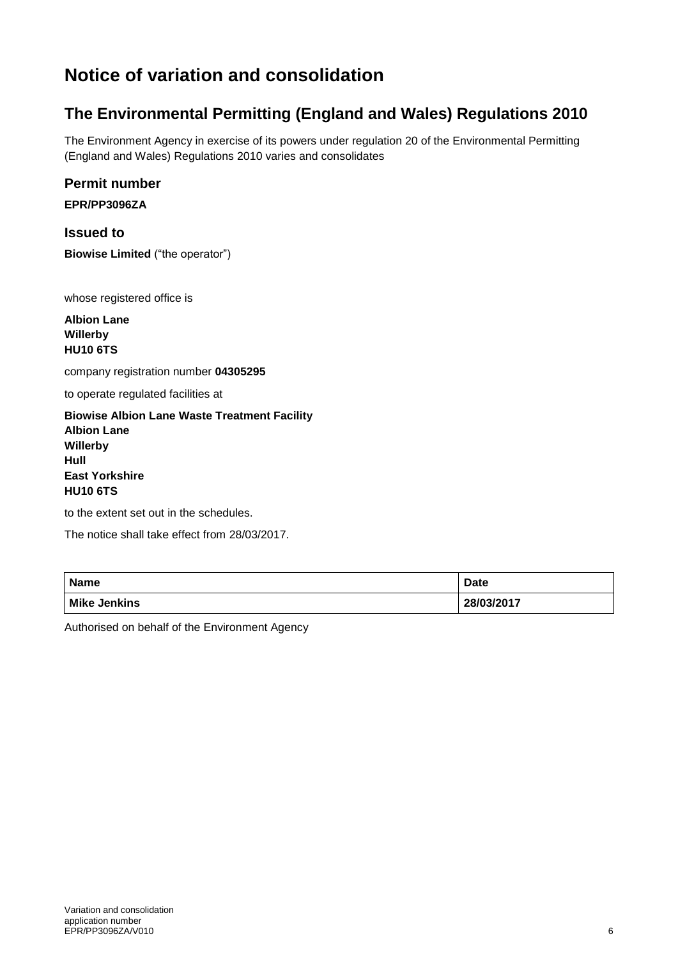## **Notice of variation and consolidation**

## **The Environmental Permitting (England and Wales) Regulations 2010**

The Environment Agency in exercise of its powers under regulation 20 of the Environmental Permitting (England and Wales) Regulations 2010 varies and consolidates

#### **Permit number**

**EPR/PP3096ZA**

**Issued to Biowise Limited** ("the operator")

whose registered office is

**Albion Lane Willerby HU10 6TS**

company registration number **04305295**

to operate regulated facilities at

**Biowise Albion Lane Waste Treatment Facility Albion Lane Willerby Hull East Yorkshire HU10 6TS**

to the extent set out in the schedules.

The notice shall take effect from 28/03/2017.

| <b>Name</b>         | <b>Date</b> |
|---------------------|-------------|
| <b>Mike Jenkins</b> | 28/03/2017  |

Authorised on behalf of the Environment Agency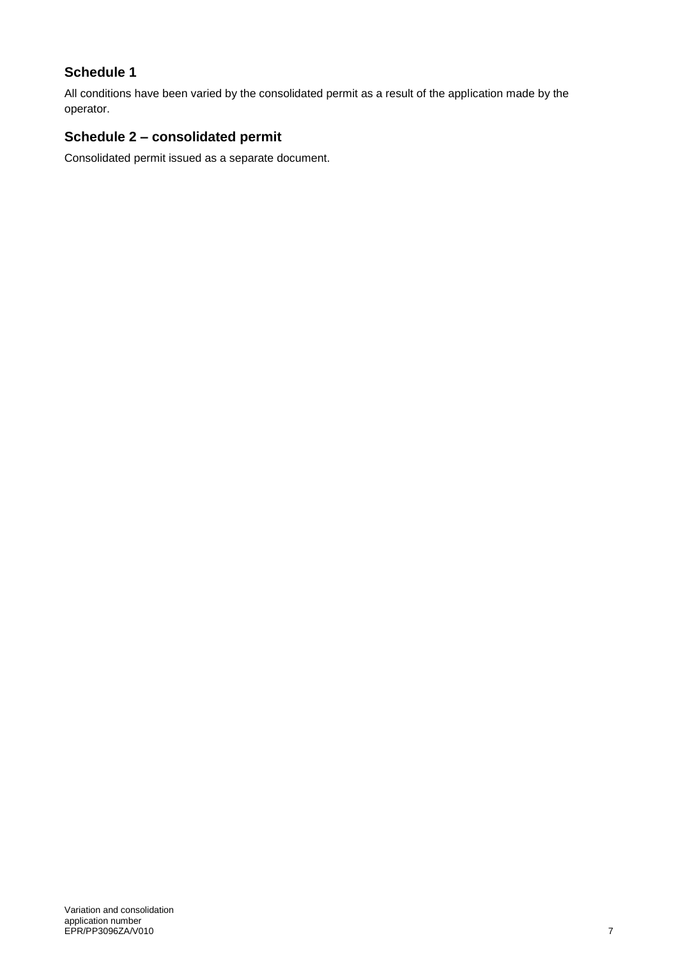#### **Schedule 1**

All conditions have been varied by the consolidated permit as a result of the application made by the operator.

### **Schedule 2 – consolidated permit**

Consolidated permit issued as a separate document.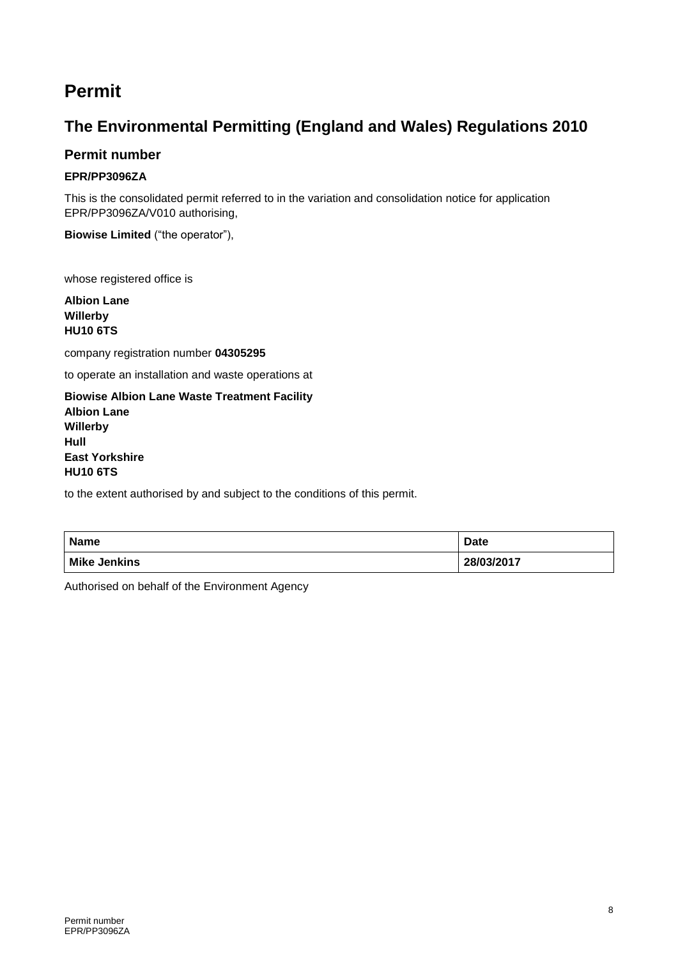## **Permit**

### **The Environmental Permitting (England and Wales) Regulations 2010**

#### **Permit number**

#### **EPR/PP3096ZA**

This is the consolidated permit referred to in the variation and consolidation notice for application EPR/PP3096ZA/V010 authorising,

**Biowise Limited** ("the operator"),

whose registered office is

**Albion Lane Willerby HU10 6TS**

company registration number **04305295**

to operate an installation and waste operations at

**Biowise Albion Lane Waste Treatment Facility Albion Lane Willerby Hull East Yorkshire HU10 6TS**

to the extent authorised by and subject to the conditions of this permit.

| <b>Name</b>         | <b>Date</b> |
|---------------------|-------------|
| <b>Mike Jenkins</b> | 28/03/2017  |

Authorised on behalf of the Environment Agency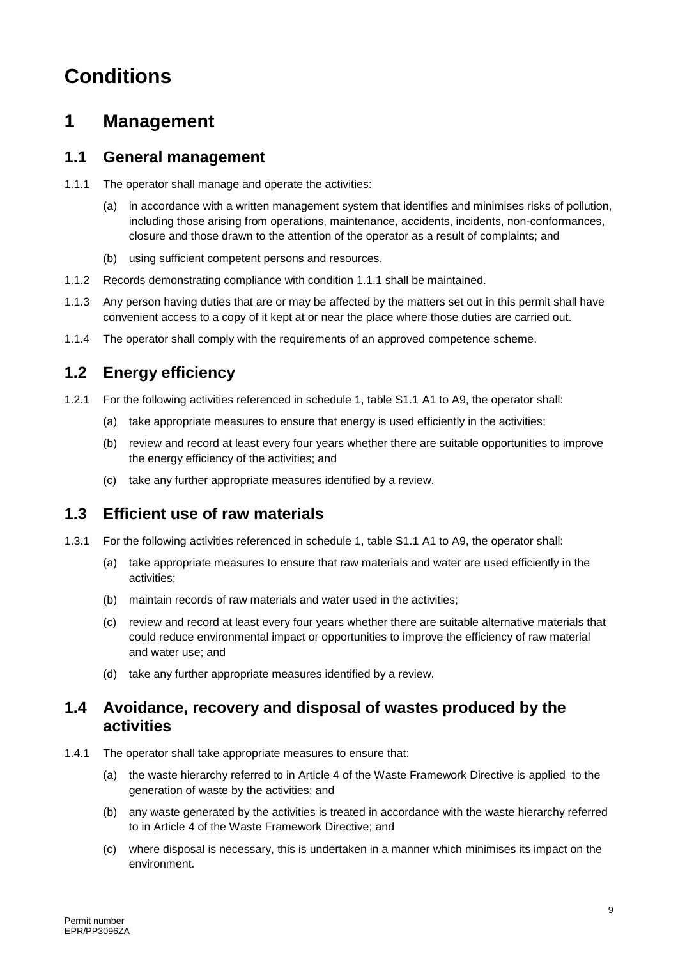# **Conditions**

## **1 Management**

#### **1.1 General management**

- 1.1.1 The operator shall manage and operate the activities:
	- (a) in accordance with a written management system that identifies and minimises risks of pollution, including those arising from operations, maintenance, accidents, incidents, non-conformances, closure and those drawn to the attention of the operator as a result of complaints; and
	- (b) using sufficient competent persons and resources.
- 1.1.2 Records demonstrating compliance with condition 1.1.1 shall be maintained.
- 1.1.3 Any person having duties that are or may be affected by the matters set out in this permit shall have convenient access to a copy of it kept at or near the place where those duties are carried out.
- 1.1.4 The operator shall comply with the requirements of an approved competence scheme.

### **1.2 Energy efficiency**

- 1.2.1 For the following activities referenced in schedule 1, table S1.1 A1 to A9, the operator shall:
	- (a) take appropriate measures to ensure that energy is used efficiently in the activities;
	- (b) review and record at least every four years whether there are suitable opportunities to improve the energy efficiency of the activities; and
	- (c) take any further appropriate measures identified by a review.

### **1.3 Efficient use of raw materials**

- 1.3.1 For the following activities referenced in schedule 1, table S1.1 A1 to A9, the operator shall:
	- (a) take appropriate measures to ensure that raw materials and water are used efficiently in the activities;
	- (b) maintain records of raw materials and water used in the activities;
	- (c) review and record at least every four years whether there are suitable alternative materials that could reduce environmental impact or opportunities to improve the efficiency of raw material and water use; and
	- (d) take any further appropriate measures identified by a review.

#### **1.4 Avoidance, recovery and disposal of wastes produced by the activities**

- 1.4.1 The operator shall take appropriate measures to ensure that:
	- (a) the waste hierarchy referred to in Article 4 of the Waste Framework Directive is applied to the generation of waste by the activities; and
	- (b) any waste generated by the activities is treated in accordance with the waste hierarchy referred to in Article 4 of the Waste Framework Directive; and
	- (c) where disposal is necessary, this is undertaken in a manner which minimises its impact on the environment.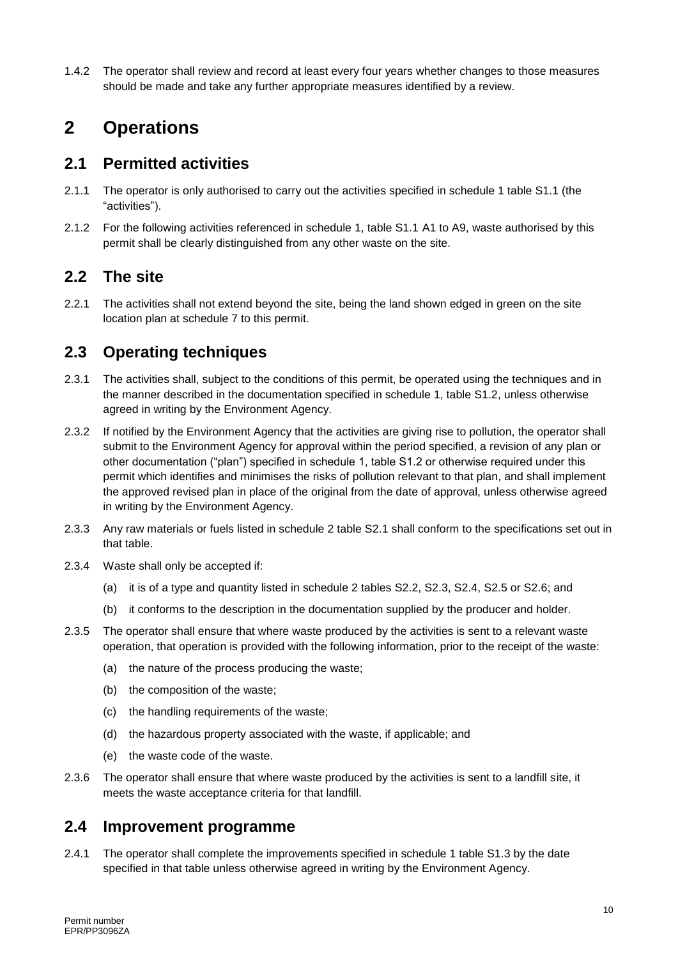1.4.2 The operator shall review and record at least every four years whether changes to those measures should be made and take any further appropriate measures identified by a review.

## **2 Operations**

#### **2.1 Permitted activities**

- 2.1.1 The operator is only authorised to carry out the activities specified in schedule 1 table S1.1 (the "activities").
- 2.1.2 For the following activities referenced in schedule 1, table S1.1 A1 to A9, waste authorised by this permit shall be clearly distinguished from any other waste on the site.

#### **2.2 The site**

2.2.1 The activities shall not extend beyond the site, being the land shown edged in green on the site location plan at schedule 7 to this permit.

### **2.3 Operating techniques**

- 2.3.1 The activities shall, subject to the conditions of this permit, be operated using the techniques and in the manner described in the documentation specified in schedule 1, table S1.2, unless otherwise agreed in writing by the Environment Agency.
- 2.3.2 If notified by the Environment Agency that the activities are giving rise to pollution, the operator shall submit to the Environment Agency for approval within the period specified, a revision of any plan or other documentation ("plan") specified in schedule 1, table S1.2 or otherwise required under this permit which identifies and minimises the risks of pollution relevant to that plan, and shall implement the approved revised plan in place of the original from the date of approval, unless otherwise agreed in writing by the Environment Agency.
- 2.3.3 Any raw materials or fuels listed in schedule 2 table S2.1 shall conform to the specifications set out in that table.
- 2.3.4 Waste shall only be accepted if:
	- (a) it is of a type and quantity listed in schedule 2 tables S2.2, S2.3, S2.4, S2.5 or S2.6; and
	- (b) it conforms to the description in the documentation supplied by the producer and holder.
- 2.3.5 The operator shall ensure that where waste produced by the activities is sent to a relevant waste operation, that operation is provided with the following information, prior to the receipt of the waste:
	- (a) the nature of the process producing the waste;
	- (b) the composition of the waste;
	- (c) the handling requirements of the waste;
	- (d) the hazardous property associated with the waste, if applicable; and
	- (e) the waste code of the waste.
- 2.3.6 The operator shall ensure that where waste produced by the activities is sent to a landfill site, it meets the waste acceptance criteria for that landfill.

#### **2.4 Improvement programme**

2.4.1 The operator shall complete the improvements specified in schedule 1 table S1.3 by the date specified in that table unless otherwise agreed in writing by the Environment Agency.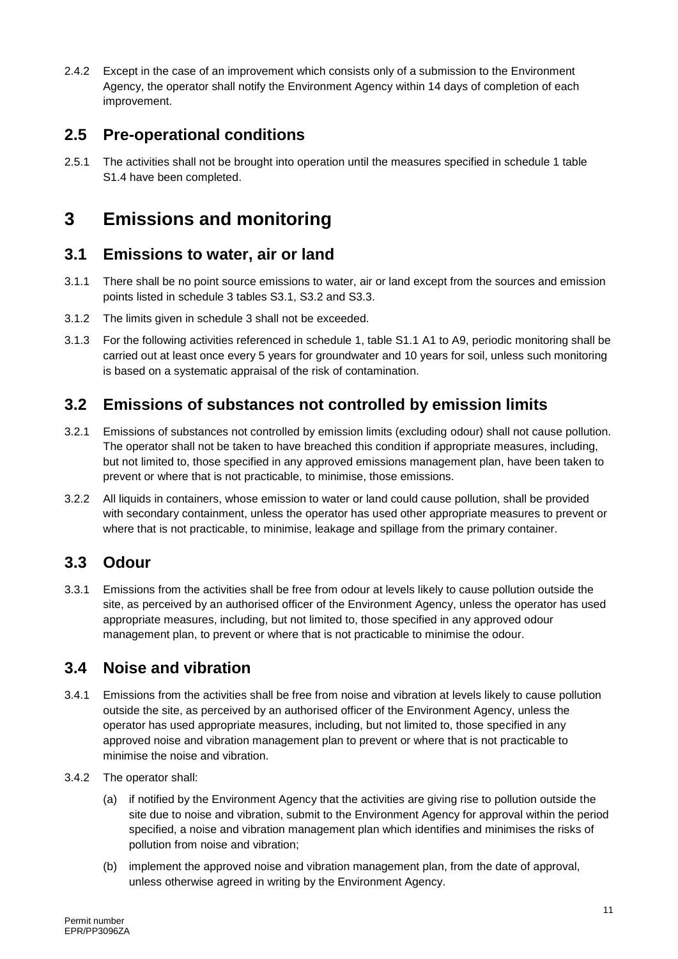2.4.2 Except in the case of an improvement which consists only of a submission to the Environment Agency, the operator shall notify the Environment Agency within 14 days of completion of each improvement.

### **2.5 Pre-operational conditions**

2.5.1 The activities shall not be brought into operation until the measures specified in schedule 1 table S1.4 have been completed.

# **3 Emissions and monitoring**

#### **3.1 Emissions to water, air or land**

- 3.1.1 There shall be no point source emissions to water, air or land except from the sources and emission points listed in schedule 3 tables S3.1, S3.2 and S3.3.
- 3.1.2 The limits given in schedule 3 shall not be exceeded.
- 3.1.3 For the following activities referenced in schedule 1, table S1.1 A1 to A9, periodic monitoring shall be carried out at least once every 5 years for groundwater and 10 years for soil, unless such monitoring is based on a systematic appraisal of the risk of contamination.

### **3.2 Emissions of substances not controlled by emission limits**

- 3.2.1 Emissions of substances not controlled by emission limits (excluding odour) shall not cause pollution. The operator shall not be taken to have breached this condition if appropriate measures, including, but not limited to, those specified in any approved emissions management plan, have been taken to prevent or where that is not practicable, to minimise, those emissions.
- 3.2.2 All liquids in containers, whose emission to water or land could cause pollution, shall be provided with secondary containment, unless the operator has used other appropriate measures to prevent or where that is not practicable, to minimise, leakage and spillage from the primary container.

### **3.3 Odour**

3.3.1 Emissions from the activities shall be free from odour at levels likely to cause pollution outside the site, as perceived by an authorised officer of the Environment Agency, unless the operator has used appropriate measures, including, but not limited to, those specified in any approved odour management plan, to prevent or where that is not practicable to minimise the odour.

### **3.4 Noise and vibration**

- 3.4.1 Emissions from the activities shall be free from noise and vibration at levels likely to cause pollution outside the site, as perceived by an authorised officer of the Environment Agency, unless the operator has used appropriate measures, including, but not limited to, those specified in any approved noise and vibration management plan to prevent or where that is not practicable to minimise the noise and vibration.
- 3.4.2 The operator shall:
	- (a) if notified by the Environment Agency that the activities are giving rise to pollution outside the site due to noise and vibration, submit to the Environment Agency for approval within the period specified, a noise and vibration management plan which identifies and minimises the risks of pollution from noise and vibration;
	- (b) implement the approved noise and vibration management plan, from the date of approval, unless otherwise agreed in writing by the Environment Agency.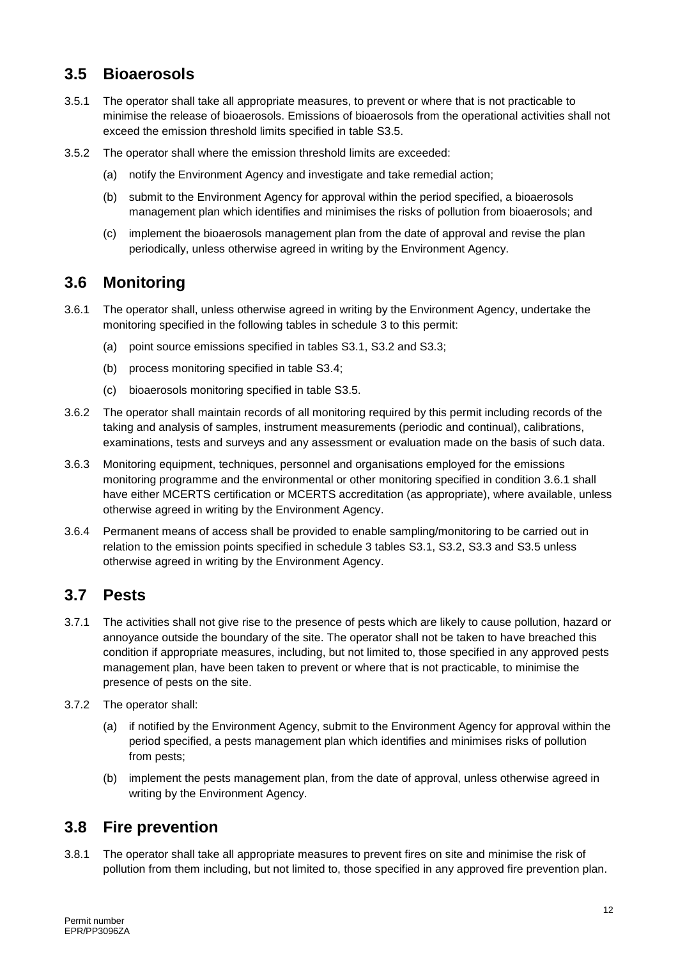### **3.5 Bioaerosols**

- 3.5.1 The operator shall take all appropriate measures, to prevent or where that is not practicable to minimise the release of bioaerosols. Emissions of bioaerosols from the operational activities shall not exceed the emission threshold limits specified in table S3.5.
- 3.5.2 The operator shall where the emission threshold limits are exceeded:
	- (a) notify the Environment Agency and investigate and take remedial action;
	- (b) submit to the Environment Agency for approval within the period specified, a bioaerosols management plan which identifies and minimises the risks of pollution from bioaerosols; and
	- (c) implement the bioaerosols management plan from the date of approval and revise the plan periodically, unless otherwise agreed in writing by the Environment Agency.

#### **3.6 Monitoring**

- 3.6.1 The operator shall, unless otherwise agreed in writing by the Environment Agency, undertake the monitoring specified in the following tables in schedule 3 to this permit:
	- (a) point source emissions specified in tables S3.1, S3.2 and S3.3;
	- (b) process monitoring specified in table S3.4;
	- (c) bioaerosols monitoring specified in table S3.5.
- 3.6.2 The operator shall maintain records of all monitoring required by this permit including records of the taking and analysis of samples, instrument measurements (periodic and continual), calibrations, examinations, tests and surveys and any assessment or evaluation made on the basis of such data.
- 3.6.3 Monitoring equipment, techniques, personnel and organisations employed for the emissions monitoring programme and the environmental or other monitoring specified in condition 3.6.1 shall have either MCERTS certification or MCERTS accreditation (as appropriate), where available, unless otherwise agreed in writing by the Environment Agency.
- 3.6.4 Permanent means of access shall be provided to enable sampling/monitoring to be carried out in relation to the emission points specified in schedule 3 tables S3.1, S3.2, S3.3 and S3.5 unless otherwise agreed in writing by the Environment Agency.

#### **3.7 Pests**

- 3.7.1 The activities shall not give rise to the presence of pests which are likely to cause pollution, hazard or annoyance outside the boundary of the site. The operator shall not be taken to have breached this condition if appropriate measures, including, but not limited to, those specified in any approved pests management plan, have been taken to prevent or where that is not practicable, to minimise the presence of pests on the site.
- 3.7.2 The operator shall:
	- (a) if notified by the Environment Agency, submit to the Environment Agency for approval within the period specified, a pests management plan which identifies and minimises risks of pollution from pests;
	- (b) implement the pests management plan, from the date of approval, unless otherwise agreed in writing by the Environment Agency.

#### **3.8 Fire prevention**

3.8.1 The operator shall take all appropriate measures to prevent fires on site and minimise the risk of pollution from them including, but not limited to, those specified in any approved fire prevention plan.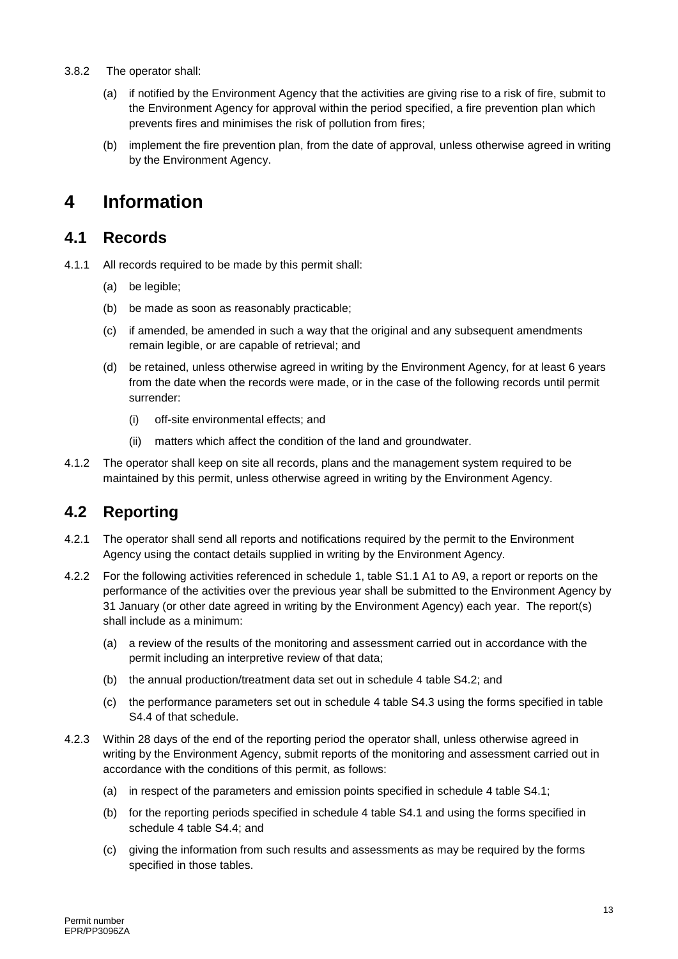#### 3.8.2 The operator shall:

- (a) if notified by the Environment Agency that the activities are giving rise to a risk of fire, submit to the Environment Agency for approval within the period specified, a fire prevention plan which prevents fires and minimises the risk of pollution from fires;
- (b) implement the fire prevention plan, from the date of approval, unless otherwise agreed in writing by the Environment Agency.

## **4 Information**

#### **4.1 Records**

- 4.1.1 All records required to be made by this permit shall:
	- (a) be legible:
	- (b) be made as soon as reasonably practicable;
	- (c) if amended, be amended in such a way that the original and any subsequent amendments remain legible, or are capable of retrieval; and
	- (d) be retained, unless otherwise agreed in writing by the Environment Agency, for at least 6 years from the date when the records were made, or in the case of the following records until permit surrender:
		- (i) off-site environmental effects; and
		- (ii) matters which affect the condition of the land and groundwater.
- 4.1.2 The operator shall keep on site all records, plans and the management system required to be maintained by this permit, unless otherwise agreed in writing by the Environment Agency.

### **4.2 Reporting**

- 4.2.1 The operator shall send all reports and notifications required by the permit to the Environment Agency using the contact details supplied in writing by the Environment Agency.
- 4.2.2 For the following activities referenced in schedule 1, table S1.1 A1 to A9, a report or reports on the performance of the activities over the previous year shall be submitted to the Environment Agency by 31 January (or other date agreed in writing by the Environment Agency) each year. The report(s) shall include as a minimum:
	- (a) a review of the results of the monitoring and assessment carried out in accordance with the permit including an interpretive review of that data;
	- (b) the annual production/treatment data set out in schedule 4 table S4.2; and
	- (c) the performance parameters set out in schedule 4 table S4.3 using the forms specified in table S4.4 of that schedule.
- 4.2.3 Within 28 days of the end of the reporting period the operator shall, unless otherwise agreed in writing by the Environment Agency, submit reports of the monitoring and assessment carried out in accordance with the conditions of this permit, as follows:
	- (a) in respect of the parameters and emission points specified in schedule 4 table S4.1;
	- (b) for the reporting periods specified in schedule 4 table S4.1 and using the forms specified in schedule 4 table S4.4; and
	- (c) giving the information from such results and assessments as may be required by the forms specified in those tables.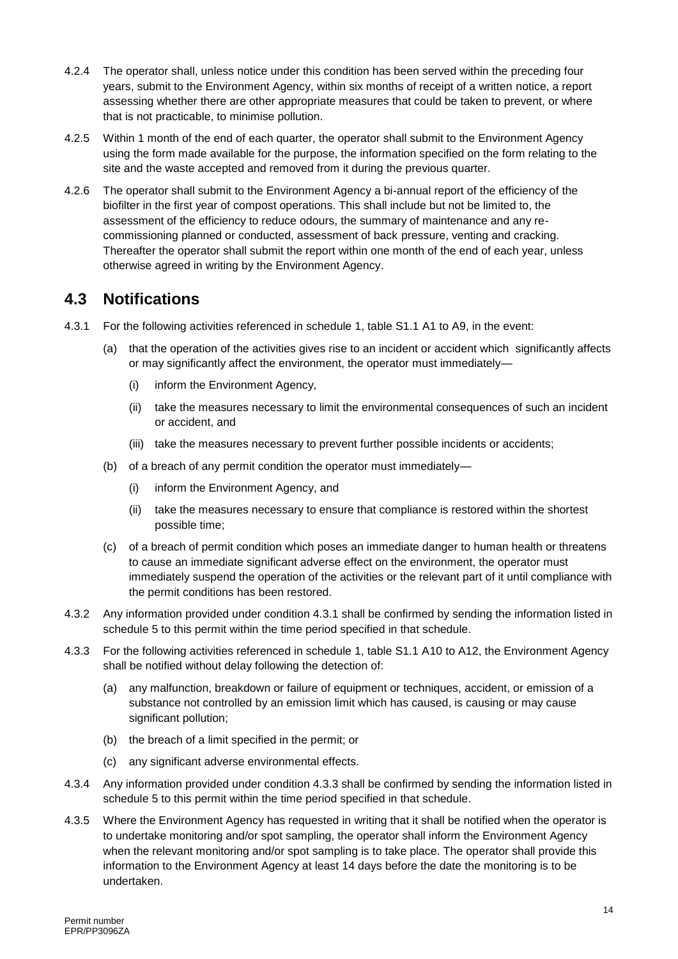- 4.2.4 The operator shall, unless notice under this condition has been served within the preceding four years, submit to the Environment Agency, within six months of receipt of a written notice, a report assessing whether there are other appropriate measures that could be taken to prevent, or where that is not practicable, to minimise pollution.
- 4.2.5 Within 1 month of the end of each quarter, the operator shall submit to the Environment Agency using the form made available for the purpose, the information specified on the form relating to the site and the waste accepted and removed from it during the previous quarter.
- 4.2.6 The operator shall submit to the Environment Agency a bi-annual report of the efficiency of the biofilter in the first year of compost operations. This shall include but not be limited to, the assessment of the efficiency to reduce odours, the summary of maintenance and any recommissioning planned or conducted, assessment of back pressure, venting and cracking. Thereafter the operator shall submit the report within one month of the end of each year, unless otherwise agreed in writing by the Environment Agency.

#### **4.3 Notifications**

- 4.3.1 For the following activities referenced in schedule 1, table S1.1 A1 to A9, in the event:
	- (a) that the operation of the activities gives rise to an incident or accident which significantly affects or may significantly affect the environment, the operator must immediately—
		- (i) inform the Environment Agency,
		- (ii) take the measures necessary to limit the environmental consequences of such an incident or accident, and
		- (iii) take the measures necessary to prevent further possible incidents or accidents;
	- (b) of a breach of any permit condition the operator must immediately—
		- (i) inform the Environment Agency, and
		- (ii) take the measures necessary to ensure that compliance is restored within the shortest possible time;
	- (c) of a breach of permit condition which poses an immediate danger to human health or threatens to cause an immediate significant adverse effect on the environment, the operator must immediately suspend the operation of the activities or the relevant part of it until compliance with the permit conditions has been restored.
- 4.3.2 Any information provided under condition 4.3.1 shall be confirmed by sending the information listed in schedule 5 to this permit within the time period specified in that schedule.
- 4.3.3 For the following activities referenced in schedule 1, table S1.1 A10 to A12, the Environment Agency shall be notified without delay following the detection of:
	- (a) any malfunction, breakdown or failure of equipment or techniques, accident, or emission of a substance not controlled by an emission limit which has caused, is causing or may cause significant pollution:
	- (b) the breach of a limit specified in the permit; or
	- (c) any significant adverse environmental effects.
- 4.3.4 Any information provided under condition 4.3.3 shall be confirmed by sending the information listed in schedule 5 to this permit within the time period specified in that schedule.
- 4.3.5 Where the Environment Agency has requested in writing that it shall be notified when the operator is to undertake monitoring and/or spot sampling, the operator shall inform the Environment Agency when the relevant monitoring and/or spot sampling is to take place. The operator shall provide this information to the Environment Agency at least 14 days before the date the monitoring is to be undertaken.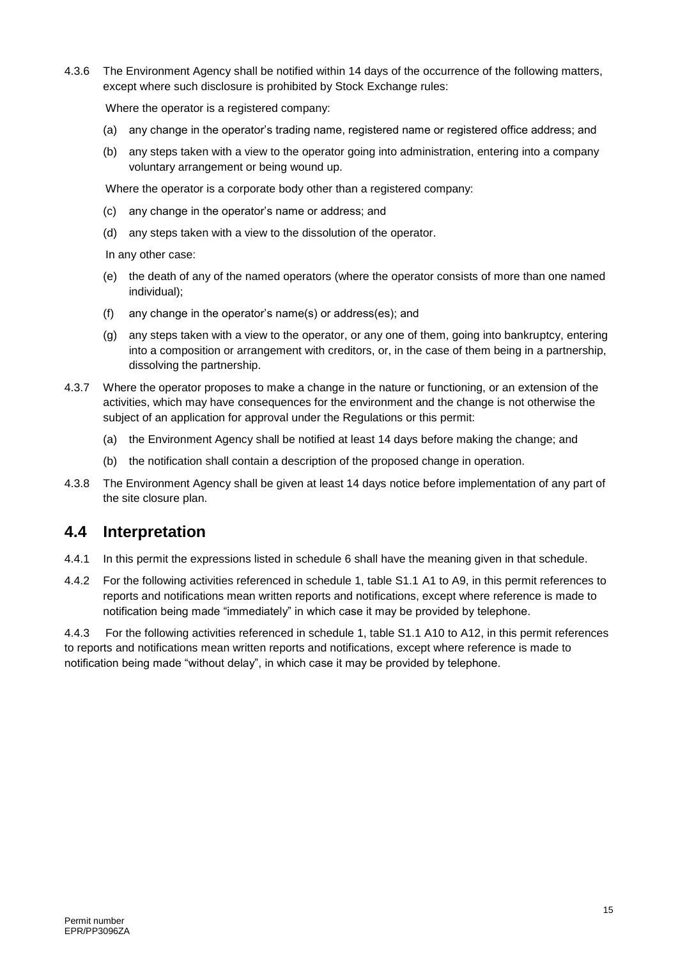4.3.6 The Environment Agency shall be notified within 14 days of the occurrence of the following matters, except where such disclosure is prohibited by Stock Exchange rules:

Where the operator is a registered company:

- (a) any change in the operator's trading name, registered name or registered office address; and
- (b) any steps taken with a view to the operator going into administration, entering into a company voluntary arrangement or being wound up.

Where the operator is a corporate body other than a registered company:

- (c) any change in the operator's name or address; and
- (d) any steps taken with a view to the dissolution of the operator.

In any other case:

- (e) the death of any of the named operators (where the operator consists of more than one named individual);
- (f) any change in the operator's name(s) or address(es); and
- (g) any steps taken with a view to the operator, or any one of them, going into bankruptcy, entering into a composition or arrangement with creditors, or, in the case of them being in a partnership, dissolving the partnership.
- 4.3.7 Where the operator proposes to make a change in the nature or functioning, or an extension of the activities, which may have consequences for the environment and the change is not otherwise the subject of an application for approval under the Regulations or this permit:
	- (a) the Environment Agency shall be notified at least 14 days before making the change; and
	- (b) the notification shall contain a description of the proposed change in operation.
- 4.3.8 The Environment Agency shall be given at least 14 days notice before implementation of any part of the site closure plan.

#### **4.4 Interpretation**

- 4.4.1 In this permit the expressions listed in schedule 6 shall have the meaning given in that schedule.
- 4.4.2 For the following activities referenced in schedule 1, table S1.1 A1 to A9, in this permit references to reports and notifications mean written reports and notifications, except where reference is made to notification being made "immediately" in which case it may be provided by telephone.

4.4.3 For the following activities referenced in schedule 1, table S1.1 A10 to A12, in this permit references to reports and notifications mean written reports and notifications, except where reference is made to notification being made "without delay", in which case it may be provided by telephone.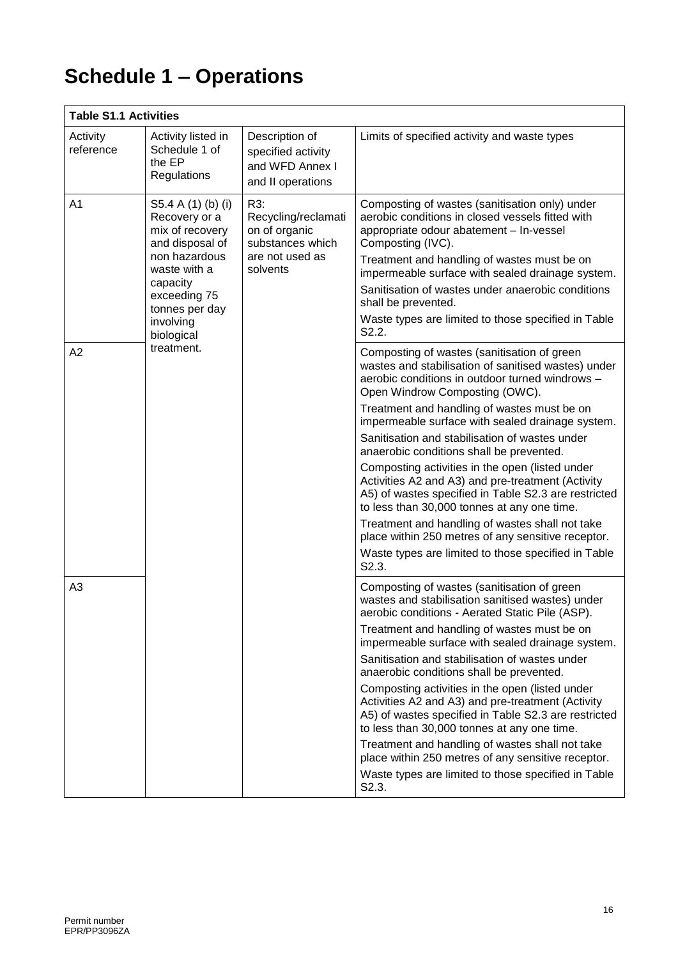# **Schedule 1 – Operations**

| <b>Table S1.1 Activities</b> |                                                                                                                                                                                                   |                                                                                                |                                                                                                                                                                                                                                                                                                                                                                                                                                                                                                                                                                                                                                                                                                                                                                                  |  |
|------------------------------|---------------------------------------------------------------------------------------------------------------------------------------------------------------------------------------------------|------------------------------------------------------------------------------------------------|----------------------------------------------------------------------------------------------------------------------------------------------------------------------------------------------------------------------------------------------------------------------------------------------------------------------------------------------------------------------------------------------------------------------------------------------------------------------------------------------------------------------------------------------------------------------------------------------------------------------------------------------------------------------------------------------------------------------------------------------------------------------------------|--|
| Activity<br>reference        | Activity listed in<br>Schedule 1 of<br>the EP<br>Regulations                                                                                                                                      | Description of<br>specified activity<br>and WFD Annex I<br>and II operations                   | Limits of specified activity and waste types                                                                                                                                                                                                                                                                                                                                                                                                                                                                                                                                                                                                                                                                                                                                     |  |
| A <sub>1</sub>               | S5.4 A (1) (b) (i)<br>Recovery or a<br>mix of recovery<br>and disposal of<br>non hazardous<br>waste with a<br>capacity<br>exceeding 75<br>tonnes per day<br>involving<br>biological<br>treatment. | R3:<br>Recycling/reclamati<br>on of organic<br>substances which<br>are not used as<br>solvents | Composting of wastes (sanitisation only) under<br>aerobic conditions in closed vessels fitted with<br>appropriate odour abatement - In-vessel<br>Composting (IVC).<br>Treatment and handling of wastes must be on<br>impermeable surface with sealed drainage system.<br>Sanitisation of wastes under anaerobic conditions<br>shall be prevented.<br>Waste types are limited to those specified in Table<br>S2.2.                                                                                                                                                                                                                                                                                                                                                                |  |
| A2                           |                                                                                                                                                                                                   |                                                                                                | Composting of wastes (sanitisation of green<br>wastes and stabilisation of sanitised wastes) under<br>aerobic conditions in outdoor turned windrows -<br>Open Windrow Composting (OWC).<br>Treatment and handling of wastes must be on<br>impermeable surface with sealed drainage system.<br>Sanitisation and stabilisation of wastes under<br>anaerobic conditions shall be prevented.<br>Composting activities in the open (listed under<br>Activities A2 and A3) and pre-treatment (Activity<br>A5) of wastes specified in Table S2.3 are restricted<br>to less than 30,000 tonnes at any one time.<br>Treatment and handling of wastes shall not take<br>place within 250 metres of any sensitive receptor.<br>Waste types are limited to those specified in Table<br>S2.3. |  |
| A <sub>3</sub>               |                                                                                                                                                                                                   |                                                                                                | Composting of wastes (sanitisation of green<br>wastes and stabilisation sanitised wastes) under<br>aerobic conditions - Aerated Static Pile (ASP).<br>Treatment and handling of wastes must be on<br>impermeable surface with sealed drainage system.<br>Sanitisation and stabilisation of wastes under<br>anaerobic conditions shall be prevented.<br>Composting activities in the open (listed under<br>Activities A2 and A3) and pre-treatment (Activity<br>A5) of wastes specified in Table S2.3 are restricted<br>to less than 30,000 tonnes at any one time.<br>Treatment and handling of wastes shall not take<br>place within 250 metres of any sensitive receptor.<br>Waste types are limited to those specified in Table<br>S2.3.                                      |  |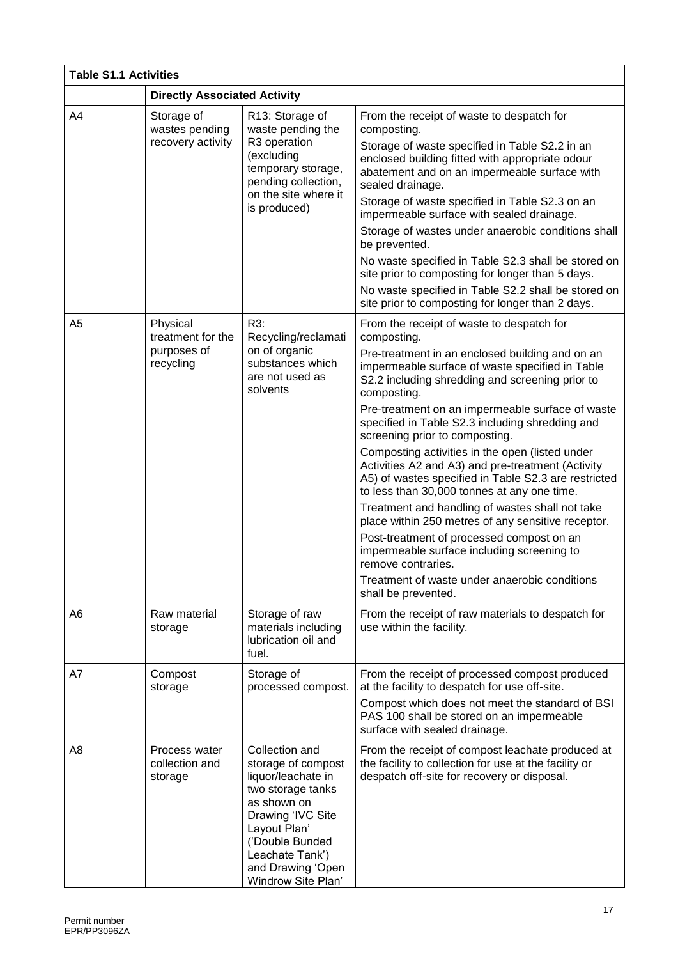| <b>Table S1.1 Activities</b> |                                            |                                                                                                                                                                                                                      |                                                                                                                                                                                                             |  |
|------------------------------|--------------------------------------------|----------------------------------------------------------------------------------------------------------------------------------------------------------------------------------------------------------------------|-------------------------------------------------------------------------------------------------------------------------------------------------------------------------------------------------------------|--|
|                              | <b>Directly Associated Activity</b>        |                                                                                                                                                                                                                      |                                                                                                                                                                                                             |  |
| A4                           | Storage of<br>wastes pending               | R13: Storage of<br>waste pending the                                                                                                                                                                                 | From the receipt of waste to despatch for<br>composting.                                                                                                                                                    |  |
|                              | recovery activity                          | R3 operation<br>(excluding<br>temporary storage,<br>pending collection,<br>on the site where it                                                                                                                      | Storage of waste specified in Table S2.2 in an<br>enclosed building fitted with appropriate odour<br>abatement and on an impermeable surface with<br>sealed drainage.                                       |  |
|                              |                                            | is produced)                                                                                                                                                                                                         | Storage of waste specified in Table S2.3 on an<br>impermeable surface with sealed drainage.                                                                                                                 |  |
|                              |                                            |                                                                                                                                                                                                                      | Storage of wastes under anaerobic conditions shall<br>be prevented.                                                                                                                                         |  |
|                              |                                            |                                                                                                                                                                                                                      | No waste specified in Table S2.3 shall be stored on<br>site prior to composting for longer than 5 days.                                                                                                     |  |
|                              |                                            |                                                                                                                                                                                                                      | No waste specified in Table S2.2 shall be stored on<br>site prior to composting for longer than 2 days.                                                                                                     |  |
| A <sub>5</sub>               | Physical<br>treatment for the              | R3:<br>Recycling/reclamati                                                                                                                                                                                           | From the receipt of waste to despatch for<br>composting.                                                                                                                                                    |  |
|                              | purposes of<br>recycling                   | on of organic<br>substances which<br>are not used as<br>solvents                                                                                                                                                     | Pre-treatment in an enclosed building and on an<br>impermeable surface of waste specified in Table<br>S2.2 including shredding and screening prior to<br>composting.                                        |  |
|                              |                                            |                                                                                                                                                                                                                      | Pre-treatment on an impermeable surface of waste<br>specified in Table S2.3 including shredding and<br>screening prior to composting.                                                                       |  |
|                              |                                            |                                                                                                                                                                                                                      | Composting activities in the open (listed under<br>Activities A2 and A3) and pre-treatment (Activity<br>A5) of wastes specified in Table S2.3 are restricted<br>to less than 30,000 tonnes at any one time. |  |
|                              |                                            |                                                                                                                                                                                                                      | Treatment and handling of wastes shall not take<br>place within 250 metres of any sensitive receptor.                                                                                                       |  |
|                              |                                            |                                                                                                                                                                                                                      | Post-treatment of processed compost on an<br>impermeable surface including screening to<br>remove contraries.                                                                                               |  |
|                              |                                            |                                                                                                                                                                                                                      | Treatment of waste under anaerobic conditions<br>shall be prevented.                                                                                                                                        |  |
| A6                           | Raw material<br>storage                    | Storage of raw<br>materials including<br>lubrication oil and<br>fuel.                                                                                                                                                | From the receipt of raw materials to despatch for<br>use within the facility.                                                                                                                               |  |
| A7                           | Compost<br>storage                         | Storage of<br>processed compost.                                                                                                                                                                                     | From the receipt of processed compost produced<br>at the facility to despatch for use off-site.                                                                                                             |  |
|                              |                                            |                                                                                                                                                                                                                      | Compost which does not meet the standard of BSI<br>PAS 100 shall be stored on an impermeable<br>surface with sealed drainage.                                                                               |  |
| A8                           | Process water<br>collection and<br>storage | Collection and<br>storage of compost<br>liquor/leachate in<br>two storage tanks<br>as shown on<br>Drawing 'IVC Site<br>Layout Plan'<br>('Double Bunded<br>Leachate Tank')<br>and Drawing 'Open<br>Windrow Site Plan' | From the receipt of compost leachate produced at<br>the facility to collection for use at the facility or<br>despatch off-site for recovery or disposal.                                                    |  |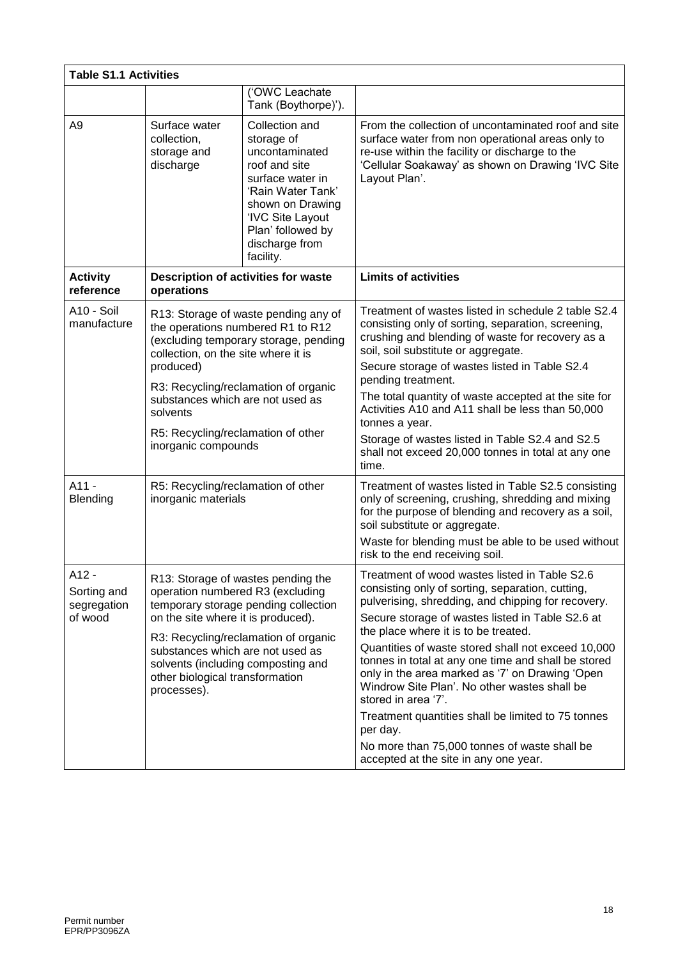| <b>Table S1.1 Activities</b>                   |                                                                                                                                                                                                                                                                                                                             |                                                                                                                                                                                                      |                                                                                                                                                                                                                                                                                                                                                                                                                                                                                                                                                                                                                                                       |  |
|------------------------------------------------|-----------------------------------------------------------------------------------------------------------------------------------------------------------------------------------------------------------------------------------------------------------------------------------------------------------------------------|------------------------------------------------------------------------------------------------------------------------------------------------------------------------------------------------------|-------------------------------------------------------------------------------------------------------------------------------------------------------------------------------------------------------------------------------------------------------------------------------------------------------------------------------------------------------------------------------------------------------------------------------------------------------------------------------------------------------------------------------------------------------------------------------------------------------------------------------------------------------|--|
|                                                |                                                                                                                                                                                                                                                                                                                             | ('OWC Leachate<br>Tank (Boythorpe)').                                                                                                                                                                |                                                                                                                                                                                                                                                                                                                                                                                                                                                                                                                                                                                                                                                       |  |
| A <sub>9</sub>                                 | Surface water<br>collection,<br>storage and<br>discharge                                                                                                                                                                                                                                                                    | Collection and<br>storage of<br>uncontaminated<br>roof and site<br>surface water in<br>'Rain Water Tank'<br>shown on Drawing<br>'IVC Site Layout<br>Plan' followed by<br>discharge from<br>facility. | From the collection of uncontaminated roof and site<br>surface water from non operational areas only to<br>re-use within the facility or discharge to the<br>'Cellular Soakaway' as shown on Drawing 'IVC Site<br>Layout Plan'.                                                                                                                                                                                                                                                                                                                                                                                                                       |  |
| <b>Activity</b><br>reference                   | operations                                                                                                                                                                                                                                                                                                                  | Description of activities for waste                                                                                                                                                                  | <b>Limits of activities</b>                                                                                                                                                                                                                                                                                                                                                                                                                                                                                                                                                                                                                           |  |
| A10 - Soil<br>manufacture                      | R13: Storage of waste pending any of<br>the operations numbered R1 to R12<br>(excluding temporary storage, pending<br>collection, on the site where it is<br>produced)<br>R3: Recycling/reclamation of organic<br>substances which are not used as<br>solvents<br>R5: Recycling/reclamation of other<br>inorganic compounds |                                                                                                                                                                                                      | Treatment of wastes listed in schedule 2 table S2.4<br>consisting only of sorting, separation, screening,<br>crushing and blending of waste for recovery as a<br>soil, soil substitute or aggregate.<br>Secure storage of wastes listed in Table S2.4<br>pending treatment.<br>The total quantity of waste accepted at the site for<br>Activities A10 and A11 shall be less than 50,000<br>tonnes a year.<br>Storage of wastes listed in Table S2.4 and S2.5<br>shall not exceed 20,000 tonnes in total at any one<br>time.                                                                                                                           |  |
| $A11 -$<br>Blending                            | R5: Recycling/reclamation of other<br>inorganic materials                                                                                                                                                                                                                                                                   |                                                                                                                                                                                                      | Treatment of wastes listed in Table S2.5 consisting<br>only of screening, crushing, shredding and mixing<br>for the purpose of blending and recovery as a soil,<br>soil substitute or aggregate.<br>Waste for blending must be able to be used without<br>risk to the end receiving soil.                                                                                                                                                                                                                                                                                                                                                             |  |
| A12 -<br>Sorting and<br>segregation<br>of wood | R13: Storage of wastes pending the<br>operation numbered R3 (excluding<br>temporary storage pending collection<br>on the site where it is produced).<br>R3: Recycling/reclamation of organic<br>substances which are not used as<br>solvents (including composting and<br>other biological transformation<br>processes).    |                                                                                                                                                                                                      | Treatment of wood wastes listed in Table S2.6<br>consisting only of sorting, separation, cutting,<br>pulverising, shredding, and chipping for recovery.<br>Secure storage of wastes listed in Table S2.6 at<br>the place where it is to be treated.<br>Quantities of waste stored shall not exceed 10,000<br>tonnes in total at any one time and shall be stored<br>only in the area marked as '7' on Drawing 'Open<br>Windrow Site Plan'. No other wastes shall be<br>stored in area '7'.<br>Treatment quantities shall be limited to 75 tonnes<br>per day.<br>No more than 75,000 tonnes of waste shall be<br>accepted at the site in any one year. |  |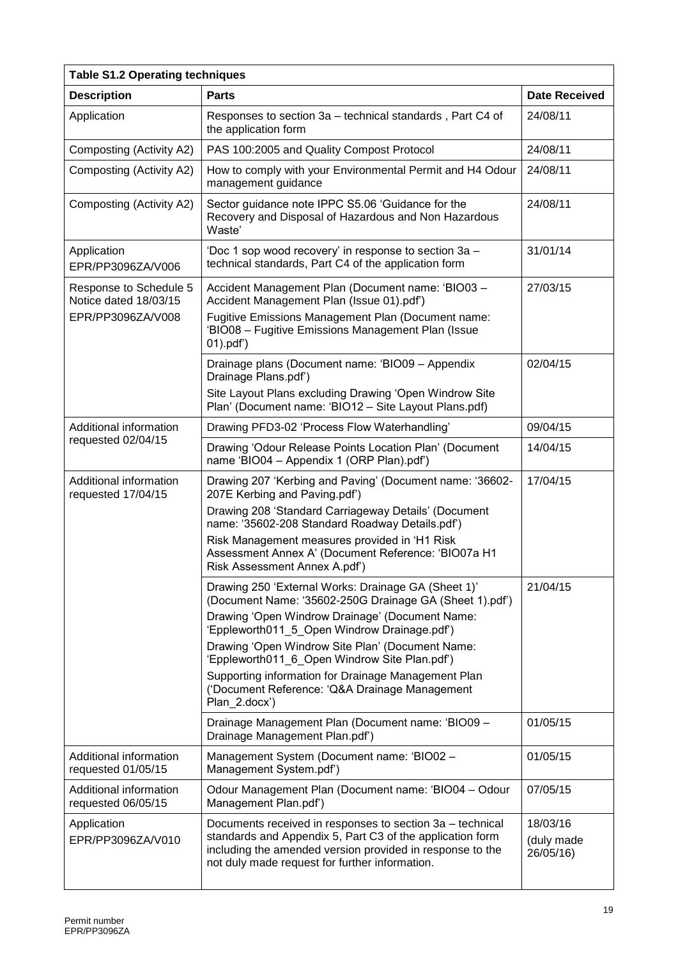| <b>Table S1.2 Operating techniques</b>          |                                                                                                                                                                                                                                       |                                     |  |
|-------------------------------------------------|---------------------------------------------------------------------------------------------------------------------------------------------------------------------------------------------------------------------------------------|-------------------------------------|--|
| <b>Description</b>                              | <b>Parts</b>                                                                                                                                                                                                                          | <b>Date Received</b>                |  |
| Application                                     | Responses to section 3a - technical standards, Part C4 of<br>the application form                                                                                                                                                     | 24/08/11                            |  |
| Composting (Activity A2)                        | PAS 100:2005 and Quality Compost Protocol                                                                                                                                                                                             | 24/08/11                            |  |
| Composting (Activity A2)                        | How to comply with your Environmental Permit and H4 Odour<br>management guidance                                                                                                                                                      | 24/08/11                            |  |
| Composting (Activity A2)                        | Sector guidance note IPPC S5.06 'Guidance for the<br>Recovery and Disposal of Hazardous and Non Hazardous<br>Waste'                                                                                                                   | 24/08/11                            |  |
| Application<br>EPR/PP3096ZA/V006                | 'Doc 1 sop wood recovery' in response to section 3a -<br>technical standards, Part C4 of the application form                                                                                                                         | 31/01/14                            |  |
| Response to Schedule 5<br>Notice dated 18/03/15 | Accident Management Plan (Document name: 'BIO03 -<br>Accident Management Plan (Issue 01).pdf')                                                                                                                                        | 27/03/15                            |  |
| EPR/PP3096ZA/V008                               | Fugitive Emissions Management Plan (Document name:<br>'BIO08 - Fugitive Emissions Management Plan (Issue<br>$01)$ .pdf')                                                                                                              |                                     |  |
|                                                 | Drainage plans (Document name: 'BIO09 - Appendix<br>Drainage Plans.pdf')                                                                                                                                                              | 02/04/15                            |  |
|                                                 | Site Layout Plans excluding Drawing 'Open Windrow Site<br>Plan' (Document name: 'BIO12 - Site Layout Plans.pdf)                                                                                                                       |                                     |  |
| Additional information                          | Drawing PFD3-02 'Process Flow Waterhandling'                                                                                                                                                                                          | 09/04/15                            |  |
| requested 02/04/15                              | Drawing 'Odour Release Points Location Plan' (Document<br>name 'BIO04 - Appendix 1 (ORP Plan).pdf')                                                                                                                                   | 14/04/15                            |  |
| Additional information<br>requested 17/04/15    | Drawing 207 'Kerbing and Paving' (Document name: '36602-<br>207E Kerbing and Paving.pdf')                                                                                                                                             | 17/04/15                            |  |
|                                                 | Drawing 208 'Standard Carriageway Details' (Document<br>name: '35602-208 Standard Roadway Details.pdf')                                                                                                                               |                                     |  |
|                                                 | Risk Management measures provided in 'H1 Risk<br>Assessment Annex A' (Document Reference: 'BIO07a H1<br>Risk Assessment Annex A.pdf')                                                                                                 |                                     |  |
|                                                 | Drawing 250 'External Works: Drainage GA (Sheet 1)'<br>(Document Name: '35602-250G Drainage GA (Sheet 1).pdf')                                                                                                                        | 21/04/15                            |  |
|                                                 | Drawing 'Open Windrow Drainage' (Document Name:<br>'Eppleworth011_5_Open Windrow Drainage.pdf')                                                                                                                                       |                                     |  |
|                                                 | Drawing 'Open Windrow Site Plan' (Document Name:<br>'Eppleworth011_6_Open Windrow Site Plan.pdf')                                                                                                                                     |                                     |  |
|                                                 | Supporting information for Drainage Management Plan<br>('Document Reference: 'Q&A Drainage Management<br>Plan 2.docx')                                                                                                                |                                     |  |
|                                                 | Drainage Management Plan (Document name: 'BIO09 -<br>Drainage Management Plan.pdf')                                                                                                                                                   | 01/05/15                            |  |
| Additional information<br>requested 01/05/15    | Management System (Document name: 'BIO02 -<br>Management System.pdf')                                                                                                                                                                 | 01/05/15                            |  |
| Additional information<br>requested 06/05/15    | Odour Management Plan (Document name: 'BIO04 - Odour<br>Management Plan.pdf')                                                                                                                                                         | 07/05/15                            |  |
| Application<br>EPR/PP3096ZA/V010                | Documents received in responses to section 3a - technical<br>standards and Appendix 5, Part C3 of the application form<br>including the amended version provided in response to the<br>not duly made request for further information. | 18/03/16<br>(duly made<br>26/05/16) |  |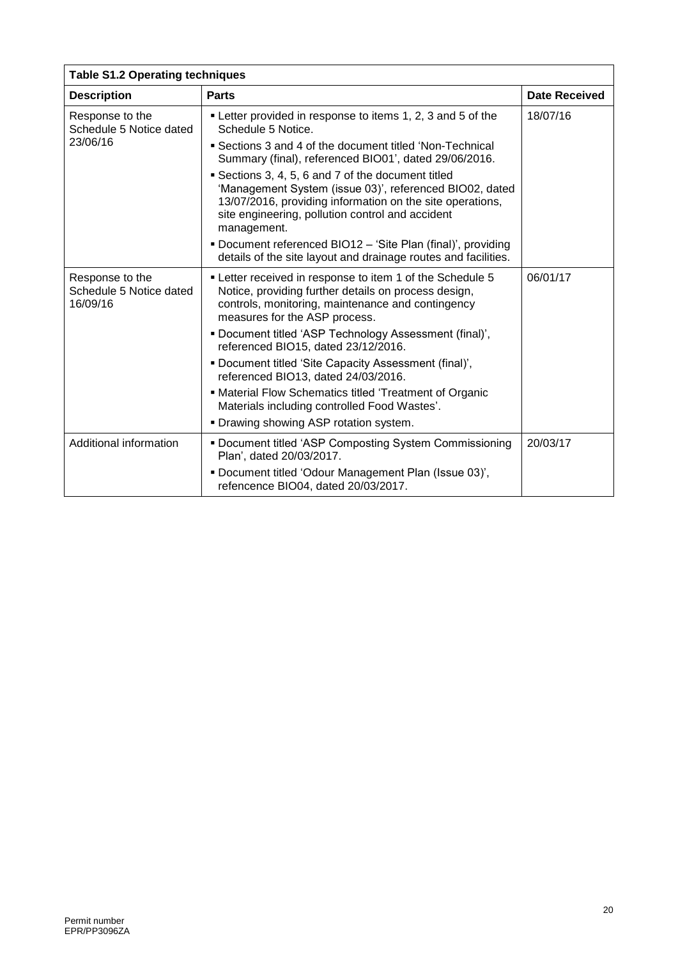| <b>Table S1.2 Operating techniques</b>                 |                                                                                                                                                                                                                                             |                      |  |  |
|--------------------------------------------------------|---------------------------------------------------------------------------------------------------------------------------------------------------------------------------------------------------------------------------------------------|----------------------|--|--|
| <b>Description</b>                                     | <b>Parts</b>                                                                                                                                                                                                                                | <b>Date Received</b> |  |  |
| Response to the<br>Schedule 5 Notice dated             | • Letter provided in response to items 1, 2, 3 and 5 of the<br>Schedule 5 Notice.                                                                                                                                                           | 18/07/16             |  |  |
| 23/06/16                                               | • Sections 3 and 4 of the document titled 'Non-Technical<br>Summary (final), referenced BIO01', dated 29/06/2016.                                                                                                                           |                      |  |  |
|                                                        | Sections 3, 4, 5, 6 and 7 of the document titled<br>'Management System (issue 03)', referenced BIO02, dated<br>13/07/2016, providing information on the site operations,<br>site engineering, pollution control and accident<br>management. |                      |  |  |
|                                                        | • Document referenced BIO12 – 'Site Plan (final)', providing<br>details of the site layout and drainage routes and facilities.                                                                                                              |                      |  |  |
| Response to the<br>Schedule 5 Notice dated<br>16/09/16 | • Letter received in response to item 1 of the Schedule 5<br>Notice, providing further details on process design,<br>controls, monitoring, maintenance and contingency<br>measures for the ASP process.                                     | 06/01/17             |  |  |
|                                                        | . Document titled 'ASP Technology Assessment (final)',<br>referenced BIO15, dated 23/12/2016.                                                                                                                                               |                      |  |  |
|                                                        | . Document titled 'Site Capacity Assessment (final)',<br>referenced BIO13, dated 24/03/2016.                                                                                                                                                |                      |  |  |
|                                                        | • Material Flow Schematics titled 'Treatment of Organic<br>Materials including controlled Food Wastes'.                                                                                                                                     |                      |  |  |
|                                                        | . Drawing showing ASP rotation system.                                                                                                                                                                                                      |                      |  |  |
| Additional information                                 | Document titled 'ASP Composting System Commissioning<br>Plan', dated 20/03/2017.                                                                                                                                                            | 20/03/17             |  |  |
|                                                        | . Document titled 'Odour Management Plan (Issue 03)',<br>refencence BIO04, dated 20/03/2017.                                                                                                                                                |                      |  |  |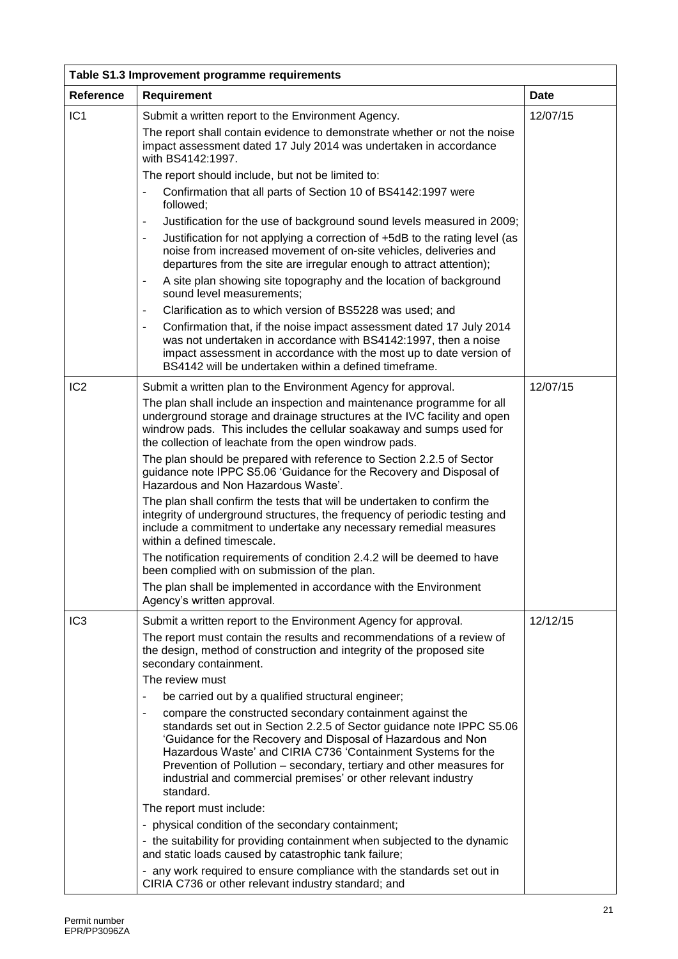| Table S1.3 Improvement programme requirements |                                                                                                                                                                                                                                                                                                                                                                                                                           |             |  |  |
|-----------------------------------------------|---------------------------------------------------------------------------------------------------------------------------------------------------------------------------------------------------------------------------------------------------------------------------------------------------------------------------------------------------------------------------------------------------------------------------|-------------|--|--|
| Reference                                     | <b>Requirement</b>                                                                                                                                                                                                                                                                                                                                                                                                        | <b>Date</b> |  |  |
| IC <sub>1</sub>                               | Submit a written report to the Environment Agency.<br>The report shall contain evidence to demonstrate whether or not the noise<br>impact assessment dated 17 July 2014 was undertaken in accordance                                                                                                                                                                                                                      | 12/07/15    |  |  |
|                                               | with BS4142:1997.                                                                                                                                                                                                                                                                                                                                                                                                         |             |  |  |
|                                               | The report should include, but not be limited to:                                                                                                                                                                                                                                                                                                                                                                         |             |  |  |
|                                               | Confirmation that all parts of Section 10 of BS4142:1997 were<br>followed;                                                                                                                                                                                                                                                                                                                                                |             |  |  |
|                                               | Justification for the use of background sound levels measured in 2009;                                                                                                                                                                                                                                                                                                                                                    |             |  |  |
|                                               | Justification for not applying a correction of +5dB to the rating level (as<br>noise from increased movement of on-site vehicles, deliveries and<br>departures from the site are irregular enough to attract attention);                                                                                                                                                                                                  |             |  |  |
|                                               | A site plan showing site topography and the location of background<br>$\overline{\phantom{a}}$<br>sound level measurements;                                                                                                                                                                                                                                                                                               |             |  |  |
|                                               | Clarification as to which version of BS5228 was used; and                                                                                                                                                                                                                                                                                                                                                                 |             |  |  |
|                                               | Confirmation that, if the noise impact assessment dated 17 July 2014<br>was not undertaken in accordance with BS4142:1997, then a noise<br>impact assessment in accordance with the most up to date version of<br>BS4142 will be undertaken within a defined timeframe.                                                                                                                                                   |             |  |  |
| IC <sub>2</sub>                               | Submit a written plan to the Environment Agency for approval.<br>The plan shall include an inspection and maintenance programme for all<br>underground storage and drainage structures at the IVC facility and open<br>windrow pads. This includes the cellular soakaway and sumps used for<br>the collection of leachate from the open windrow pads.                                                                     | 12/07/15    |  |  |
|                                               | The plan should be prepared with reference to Section 2.2.5 of Sector<br>guidance note IPPC S5.06 'Guidance for the Recovery and Disposal of<br>Hazardous and Non Hazardous Waste'.                                                                                                                                                                                                                                       |             |  |  |
|                                               | The plan shall confirm the tests that will be undertaken to confirm the<br>integrity of underground structures, the frequency of periodic testing and<br>include a commitment to undertake any necessary remedial measures<br>within a defined timescale.                                                                                                                                                                 |             |  |  |
|                                               | The notification requirements of condition 2.4.2 will be deemed to have<br>been complied with on submission of the plan.                                                                                                                                                                                                                                                                                                  |             |  |  |
|                                               | The plan shall be implemented in accordance with the Environment<br>Agency's written approval.                                                                                                                                                                                                                                                                                                                            |             |  |  |
| IC <sub>3</sub>                               | Submit a written report to the Environment Agency for approval.                                                                                                                                                                                                                                                                                                                                                           | 12/12/15    |  |  |
|                                               | The report must contain the results and recommendations of a review of<br>the design, method of construction and integrity of the proposed site<br>secondary containment.                                                                                                                                                                                                                                                 |             |  |  |
|                                               | The review must                                                                                                                                                                                                                                                                                                                                                                                                           |             |  |  |
|                                               | be carried out by a qualified structural engineer;                                                                                                                                                                                                                                                                                                                                                                        |             |  |  |
|                                               | compare the constructed secondary containment against the<br>standards set out in Section 2.2.5 of Sector guidance note IPPC S5.06<br>'Guidance for the Recovery and Disposal of Hazardous and Non<br>Hazardous Waste' and CIRIA C736 'Containment Systems for the<br>Prevention of Pollution – secondary, tertiary and other measures for<br>industrial and commercial premises' or other relevant industry<br>standard. |             |  |  |
|                                               | The report must include:                                                                                                                                                                                                                                                                                                                                                                                                  |             |  |  |
|                                               | - physical condition of the secondary containment;                                                                                                                                                                                                                                                                                                                                                                        |             |  |  |
|                                               | - the suitability for providing containment when subjected to the dynamic<br>and static loads caused by catastrophic tank failure;                                                                                                                                                                                                                                                                                        |             |  |  |
|                                               | - any work required to ensure compliance with the standards set out in<br>CIRIA C736 or other relevant industry standard; and                                                                                                                                                                                                                                                                                             |             |  |  |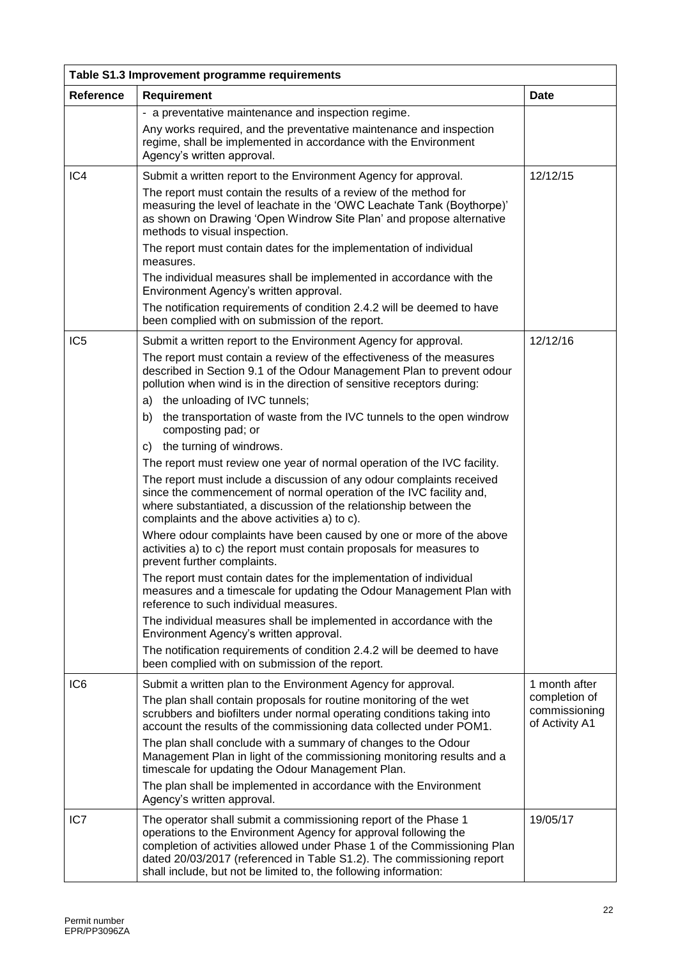| Table S1.3 Improvement programme requirements |                                                                                                                                                                                                                                                                                                                                                             |                                                  |  |  |
|-----------------------------------------------|-------------------------------------------------------------------------------------------------------------------------------------------------------------------------------------------------------------------------------------------------------------------------------------------------------------------------------------------------------------|--------------------------------------------------|--|--|
| <b>Reference</b>                              | <b>Requirement</b>                                                                                                                                                                                                                                                                                                                                          | Date                                             |  |  |
|                                               | - a preventative maintenance and inspection regime.                                                                                                                                                                                                                                                                                                         |                                                  |  |  |
|                                               | Any works required, and the preventative maintenance and inspection<br>regime, shall be implemented in accordance with the Environment<br>Agency's written approval.                                                                                                                                                                                        |                                                  |  |  |
| IC4                                           | Submit a written report to the Environment Agency for approval.                                                                                                                                                                                                                                                                                             | 12/12/15                                         |  |  |
|                                               | The report must contain the results of a review of the method for<br>measuring the level of leachate in the 'OWC Leachate Tank (Boythorpe)'<br>as shown on Drawing 'Open Windrow Site Plan' and propose alternative<br>methods to visual inspection.                                                                                                        |                                                  |  |  |
|                                               | The report must contain dates for the implementation of individual<br>measures.                                                                                                                                                                                                                                                                             |                                                  |  |  |
|                                               | The individual measures shall be implemented in accordance with the<br>Environment Agency's written approval.                                                                                                                                                                                                                                               |                                                  |  |  |
|                                               | The notification requirements of condition 2.4.2 will be deemed to have<br>been complied with on submission of the report.                                                                                                                                                                                                                                  |                                                  |  |  |
| IC <sub>5</sub>                               | Submit a written report to the Environment Agency for approval.                                                                                                                                                                                                                                                                                             | 12/12/16                                         |  |  |
|                                               | The report must contain a review of the effectiveness of the measures<br>described in Section 9.1 of the Odour Management Plan to prevent odour<br>pollution when wind is in the direction of sensitive receptors during:                                                                                                                                   |                                                  |  |  |
|                                               | a) the unloading of IVC tunnels;                                                                                                                                                                                                                                                                                                                            |                                                  |  |  |
|                                               | the transportation of waste from the IVC tunnels to the open windrow<br>b)<br>composting pad; or                                                                                                                                                                                                                                                            |                                                  |  |  |
|                                               | c) the turning of windrows.                                                                                                                                                                                                                                                                                                                                 |                                                  |  |  |
|                                               | The report must review one year of normal operation of the IVC facility.<br>The report must include a discussion of any odour complaints received<br>since the commencement of normal operation of the IVC facility and,<br>where substantiated, a discussion of the relationship between the<br>complaints and the above activities a) to c).              |                                                  |  |  |
|                                               | Where odour complaints have been caused by one or more of the above<br>activities a) to c) the report must contain proposals for measures to<br>prevent further complaints.                                                                                                                                                                                 |                                                  |  |  |
|                                               | The report must contain dates for the implementation of individual<br>measures and a timescale for updating the Odour Management Plan with<br>reference to such individual measures.                                                                                                                                                                        |                                                  |  |  |
|                                               | The individual measures shall be implemented in accordance with the<br>Environment Agency's written approval.                                                                                                                                                                                                                                               |                                                  |  |  |
|                                               | The notification requirements of condition 2.4.2 will be deemed to have<br>been complied with on submission of the report.                                                                                                                                                                                                                                  |                                                  |  |  |
| IC <sub>6</sub>                               | Submit a written plan to the Environment Agency for approval.                                                                                                                                                                                                                                                                                               | 1 month after                                    |  |  |
|                                               | The plan shall contain proposals for routine monitoring of the wet<br>scrubbers and biofilters under normal operating conditions taking into<br>account the results of the commissioning data collected under POM1.                                                                                                                                         | completion of<br>commissioning<br>of Activity A1 |  |  |
|                                               | The plan shall conclude with a summary of changes to the Odour<br>Management Plan in light of the commissioning monitoring results and a<br>timescale for updating the Odour Management Plan.                                                                                                                                                               |                                                  |  |  |
|                                               | The plan shall be implemented in accordance with the Environment<br>Agency's written approval.                                                                                                                                                                                                                                                              |                                                  |  |  |
| IC7                                           | The operator shall submit a commissioning report of the Phase 1<br>operations to the Environment Agency for approval following the<br>completion of activities allowed under Phase 1 of the Commissioning Plan<br>dated 20/03/2017 (referenced in Table S1.2). The commissioning report<br>shall include, but not be limited to, the following information: | 19/05/17                                         |  |  |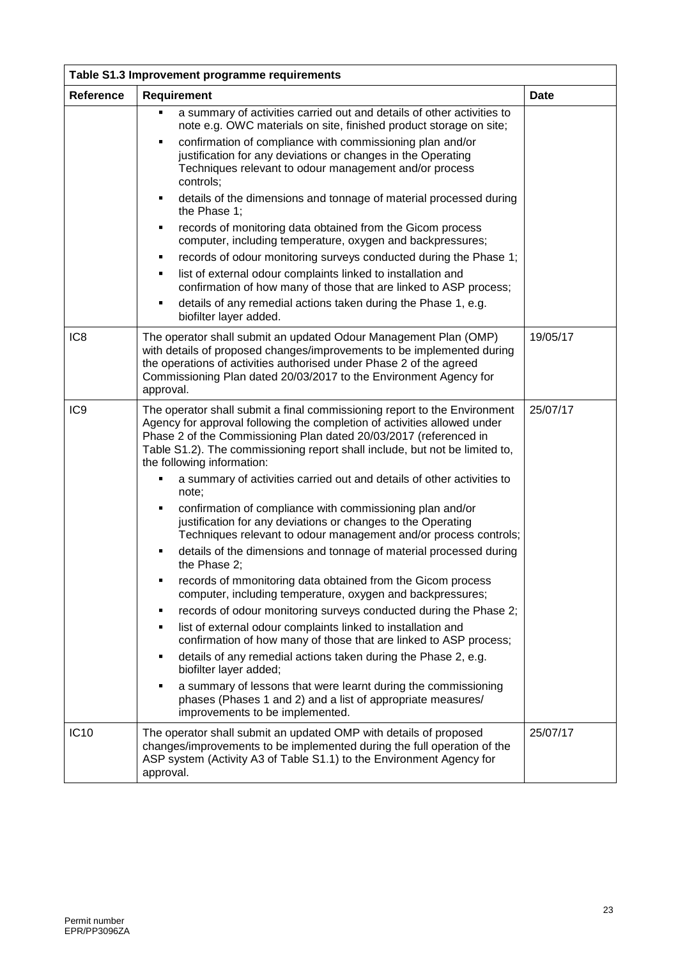| Table S1.3 Improvement programme requirements |                                                                                                                                                                                                                                                                                                                                                                                                                                                                                                                                                                                                                                                                                                                                                                                                                                                                                                                                                                                                                                                                                                                                                                                                                                                                                                                                                        |             |
|-----------------------------------------------|--------------------------------------------------------------------------------------------------------------------------------------------------------------------------------------------------------------------------------------------------------------------------------------------------------------------------------------------------------------------------------------------------------------------------------------------------------------------------------------------------------------------------------------------------------------------------------------------------------------------------------------------------------------------------------------------------------------------------------------------------------------------------------------------------------------------------------------------------------------------------------------------------------------------------------------------------------------------------------------------------------------------------------------------------------------------------------------------------------------------------------------------------------------------------------------------------------------------------------------------------------------------------------------------------------------------------------------------------------|-------------|
| Reference                                     | <b>Requirement</b>                                                                                                                                                                                                                                                                                                                                                                                                                                                                                                                                                                                                                                                                                                                                                                                                                                                                                                                                                                                                                                                                                                                                                                                                                                                                                                                                     | <b>Date</b> |
|                                               | a summary of activities carried out and details of other activities to<br>٠<br>note e.g. OWC materials on site, finished product storage on site;                                                                                                                                                                                                                                                                                                                                                                                                                                                                                                                                                                                                                                                                                                                                                                                                                                                                                                                                                                                                                                                                                                                                                                                                      |             |
|                                               | confirmation of compliance with commissioning plan and/or<br>٠<br>justification for any deviations or changes in the Operating<br>Techniques relevant to odour management and/or process<br>controls:                                                                                                                                                                                                                                                                                                                                                                                                                                                                                                                                                                                                                                                                                                                                                                                                                                                                                                                                                                                                                                                                                                                                                  |             |
|                                               | details of the dimensions and tonnage of material processed during<br>٠<br>the Phase 1;                                                                                                                                                                                                                                                                                                                                                                                                                                                                                                                                                                                                                                                                                                                                                                                                                                                                                                                                                                                                                                                                                                                                                                                                                                                                |             |
|                                               | records of monitoring data obtained from the Gicom process<br>٠<br>computer, including temperature, oxygen and backpressures;                                                                                                                                                                                                                                                                                                                                                                                                                                                                                                                                                                                                                                                                                                                                                                                                                                                                                                                                                                                                                                                                                                                                                                                                                          |             |
|                                               | records of odour monitoring surveys conducted during the Phase 1;<br>٠                                                                                                                                                                                                                                                                                                                                                                                                                                                                                                                                                                                                                                                                                                                                                                                                                                                                                                                                                                                                                                                                                                                                                                                                                                                                                 |             |
|                                               | list of external odour complaints linked to installation and<br>٠<br>confirmation of how many of those that are linked to ASP process;                                                                                                                                                                                                                                                                                                                                                                                                                                                                                                                                                                                                                                                                                                                                                                                                                                                                                                                                                                                                                                                                                                                                                                                                                 |             |
|                                               | details of any remedial actions taken during the Phase 1, e.g.<br>٠<br>biofilter layer added.                                                                                                                                                                                                                                                                                                                                                                                                                                                                                                                                                                                                                                                                                                                                                                                                                                                                                                                                                                                                                                                                                                                                                                                                                                                          |             |
| IC <sub>8</sub>                               | The operator shall submit an updated Odour Management Plan (OMP)<br>with details of proposed changes/improvements to be implemented during<br>the operations of activities authorised under Phase 2 of the agreed<br>Commissioning Plan dated 20/03/2017 to the Environment Agency for<br>approval.                                                                                                                                                                                                                                                                                                                                                                                                                                                                                                                                                                                                                                                                                                                                                                                                                                                                                                                                                                                                                                                    | 19/05/17    |
| IC <sub>9</sub>                               | The operator shall submit a final commissioning report to the Environment<br>Agency for approval following the completion of activities allowed under<br>Phase 2 of the Commissioning Plan dated 20/03/2017 (referenced in<br>Table S1.2). The commissioning report shall include, but not be limited to,<br>the following information:<br>a summary of activities carried out and details of other activities to<br>note;<br>confirmation of compliance with commissioning plan and/or<br>٠<br>justification for any deviations or changes to the Operating<br>Techniques relevant to odour management and/or process controls;<br>details of the dimensions and tonnage of material processed during<br>the Phase 2:<br>records of mmonitoring data obtained from the Gicom process<br>■<br>computer, including temperature, oxygen and backpressures;<br>records of odour monitoring surveys conducted during the Phase 2;<br>٠<br>list of external odour complaints linked to installation and<br>٠<br>confirmation of how many of those that are linked to ASP process;<br>details of any remedial actions taken during the Phase 2, e.g.<br>٠<br>biofilter layer added;<br>a summary of lessons that were learnt during the commissioning<br>٠<br>phases (Phases 1 and 2) and a list of appropriate measures/<br>improvements to be implemented. | 25/07/17    |
| <b>IC10</b>                                   | The operator shall submit an updated OMP with details of proposed<br>changes/improvements to be implemented during the full operation of the<br>ASP system (Activity A3 of Table S1.1) to the Environment Agency for<br>approval.                                                                                                                                                                                                                                                                                                                                                                                                                                                                                                                                                                                                                                                                                                                                                                                                                                                                                                                                                                                                                                                                                                                      | 25/07/17    |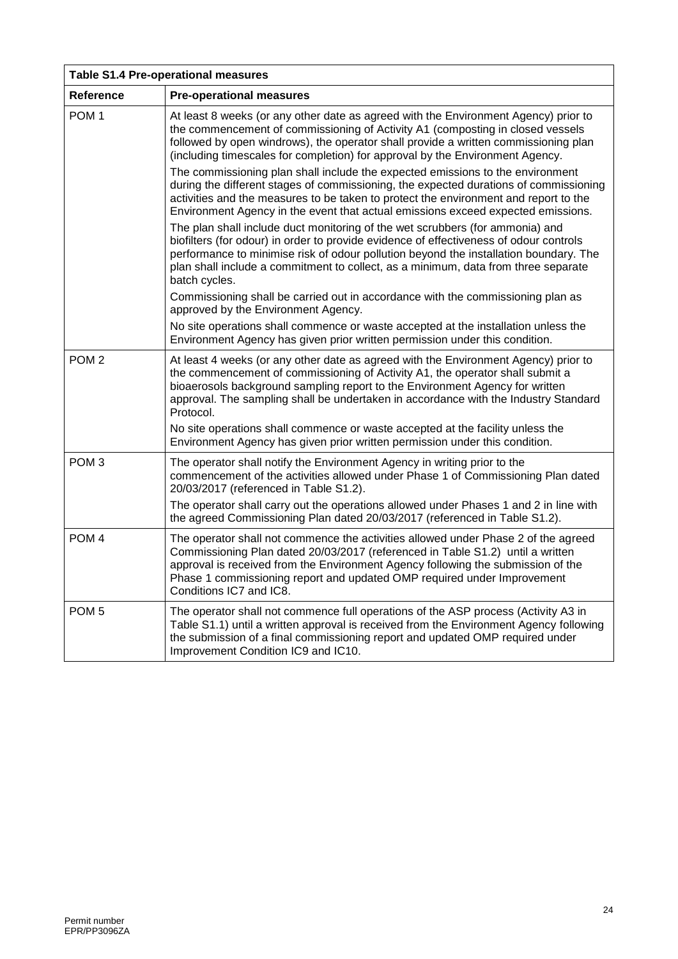| <b>Table S1.4 Pre-operational measures</b> |                                                                                                                                                                                                                                                                                                                                                                         |  |
|--------------------------------------------|-------------------------------------------------------------------------------------------------------------------------------------------------------------------------------------------------------------------------------------------------------------------------------------------------------------------------------------------------------------------------|--|
| Reference                                  | <b>Pre-operational measures</b>                                                                                                                                                                                                                                                                                                                                         |  |
| POM <sub>1</sub>                           | At least 8 weeks (or any other date as agreed with the Environment Agency) prior to<br>the commencement of commissioning of Activity A1 (composting in closed vessels<br>followed by open windrows), the operator shall provide a written commissioning plan<br>(including timescales for completion) for approval by the Environment Agency.                           |  |
|                                            | The commissioning plan shall include the expected emissions to the environment<br>during the different stages of commissioning, the expected durations of commissioning<br>activities and the measures to be taken to protect the environment and report to the<br>Environment Agency in the event that actual emissions exceed expected emissions.                     |  |
|                                            | The plan shall include duct monitoring of the wet scrubbers (for ammonia) and<br>biofilters (for odour) in order to provide evidence of effectiveness of odour controls<br>performance to minimise risk of odour pollution beyond the installation boundary. The<br>plan shall include a commitment to collect, as a minimum, data from three separate<br>batch cycles. |  |
|                                            | Commissioning shall be carried out in accordance with the commissioning plan as<br>approved by the Environment Agency.                                                                                                                                                                                                                                                  |  |
|                                            | No site operations shall commence or waste accepted at the installation unless the<br>Environment Agency has given prior written permission under this condition.                                                                                                                                                                                                       |  |
| POM <sub>2</sub>                           | At least 4 weeks (or any other date as agreed with the Environment Agency) prior to<br>the commencement of commissioning of Activity A1, the operator shall submit a<br>bioaerosols background sampling report to the Environment Agency for written<br>approval. The sampling shall be undertaken in accordance with the Industry Standard<br>Protocol.                |  |
|                                            | No site operations shall commence or waste accepted at the facility unless the<br>Environment Agency has given prior written permission under this condition.                                                                                                                                                                                                           |  |
| POM <sub>3</sub>                           | The operator shall notify the Environment Agency in writing prior to the<br>commencement of the activities allowed under Phase 1 of Commissioning Plan dated<br>20/03/2017 (referenced in Table S1.2).                                                                                                                                                                  |  |
|                                            | The operator shall carry out the operations allowed under Phases 1 and 2 in line with<br>the agreed Commissioning Plan dated 20/03/2017 (referenced in Table S1.2).                                                                                                                                                                                                     |  |
| POM <sub>4</sub>                           | The operator shall not commence the activities allowed under Phase 2 of the agreed<br>Commissioning Plan dated 20/03/2017 (referenced in Table S1.2) until a written<br>approval is received from the Environment Agency following the submission of the<br>Phase 1 commissioning report and updated OMP required under Improvement<br>Conditions IC7 and IC8.          |  |
| POM <sub>5</sub>                           | The operator shall not commence full operations of the ASP process (Activity A3 in<br>Table S1.1) until a written approval is received from the Environment Agency following<br>the submission of a final commissioning report and updated OMP required under<br>Improvement Condition IC9 and IC10.                                                                    |  |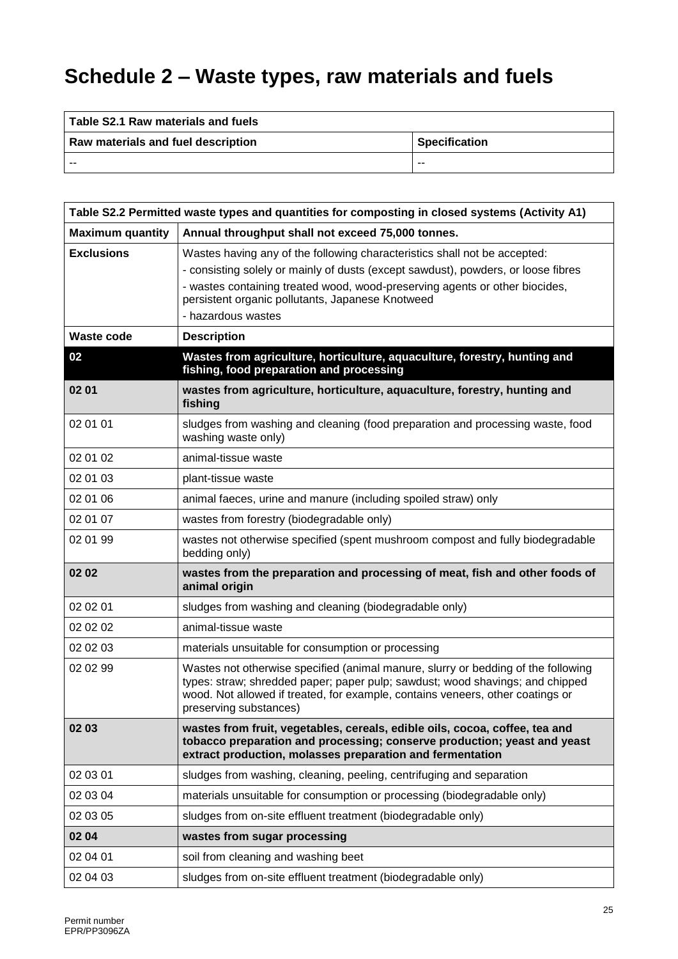# **Schedule 2 – Waste types, raw materials and fuels**

| Table S2.1 Raw materials and fuels |                      |
|------------------------------------|----------------------|
| Raw materials and fuel description | <b>Specification</b> |
| $- -$                              | $- -$                |

| Table S2.2 Permitted waste types and quantities for composting in closed systems (Activity A1) |                                                                                                                                                                                                                                                                                                                         |  |
|------------------------------------------------------------------------------------------------|-------------------------------------------------------------------------------------------------------------------------------------------------------------------------------------------------------------------------------------------------------------------------------------------------------------------------|--|
| <b>Maximum quantity</b>                                                                        | Annual throughput shall not exceed 75,000 tonnes.                                                                                                                                                                                                                                                                       |  |
| <b>Exclusions</b>                                                                              | Wastes having any of the following characteristics shall not be accepted:<br>- consisting solely or mainly of dusts (except sawdust), powders, or loose fibres<br>- wastes containing treated wood, wood-preserving agents or other biocides,<br>persistent organic pollutants, Japanese Knotweed<br>- hazardous wastes |  |
| <b>Waste code</b>                                                                              | <b>Description</b>                                                                                                                                                                                                                                                                                                      |  |
| 02                                                                                             | Wastes from agriculture, horticulture, aquaculture, forestry, hunting and<br>fishing, food preparation and processing                                                                                                                                                                                                   |  |
| 02 01                                                                                          | wastes from agriculture, horticulture, aquaculture, forestry, hunting and<br>fishing                                                                                                                                                                                                                                    |  |
| 02 01 01                                                                                       | sludges from washing and cleaning (food preparation and processing waste, food<br>washing waste only)                                                                                                                                                                                                                   |  |
| 02 01 02                                                                                       | animal-tissue waste                                                                                                                                                                                                                                                                                                     |  |
| 02 01 03                                                                                       | plant-tissue waste                                                                                                                                                                                                                                                                                                      |  |
| 02 01 06                                                                                       | animal faeces, urine and manure (including spoiled straw) only                                                                                                                                                                                                                                                          |  |
| 02 01 07                                                                                       | wastes from forestry (biodegradable only)                                                                                                                                                                                                                                                                               |  |
| 02 01 99                                                                                       | wastes not otherwise specified (spent mushroom compost and fully biodegradable<br>bedding only)                                                                                                                                                                                                                         |  |
| 02 02                                                                                          | wastes from the preparation and processing of meat, fish and other foods of<br>animal origin                                                                                                                                                                                                                            |  |
| 02 02 01                                                                                       | sludges from washing and cleaning (biodegradable only)                                                                                                                                                                                                                                                                  |  |
| 02 02 02                                                                                       | animal-tissue waste                                                                                                                                                                                                                                                                                                     |  |
| 02 02 03                                                                                       | materials unsuitable for consumption or processing                                                                                                                                                                                                                                                                      |  |
| 02 02 99                                                                                       | Wastes not otherwise specified (animal manure, slurry or bedding of the following<br>types: straw; shredded paper; paper pulp; sawdust; wood shavings; and chipped<br>wood. Not allowed if treated, for example, contains veneers, other coatings or<br>preserving substances)                                          |  |
| 02 03                                                                                          | wastes from fruit, vegetables, cereals, edible oils, cocoa, coffee, tea and<br>tobacco preparation and processing; conserve production; yeast and yeast<br>extract production, molasses preparation and fermentation                                                                                                    |  |
| 02 03 01                                                                                       | sludges from washing, cleaning, peeling, centrifuging and separation                                                                                                                                                                                                                                                    |  |
| 02 03 04                                                                                       | materials unsuitable for consumption or processing (biodegradable only)                                                                                                                                                                                                                                                 |  |
| 02 03 05                                                                                       | sludges from on-site effluent treatment (biodegradable only)                                                                                                                                                                                                                                                            |  |
| 02 04                                                                                          | wastes from sugar processing                                                                                                                                                                                                                                                                                            |  |
| 02 04 01                                                                                       | soil from cleaning and washing beet                                                                                                                                                                                                                                                                                     |  |
| 02 04 03                                                                                       | sludges from on-site effluent treatment (biodegradable only)                                                                                                                                                                                                                                                            |  |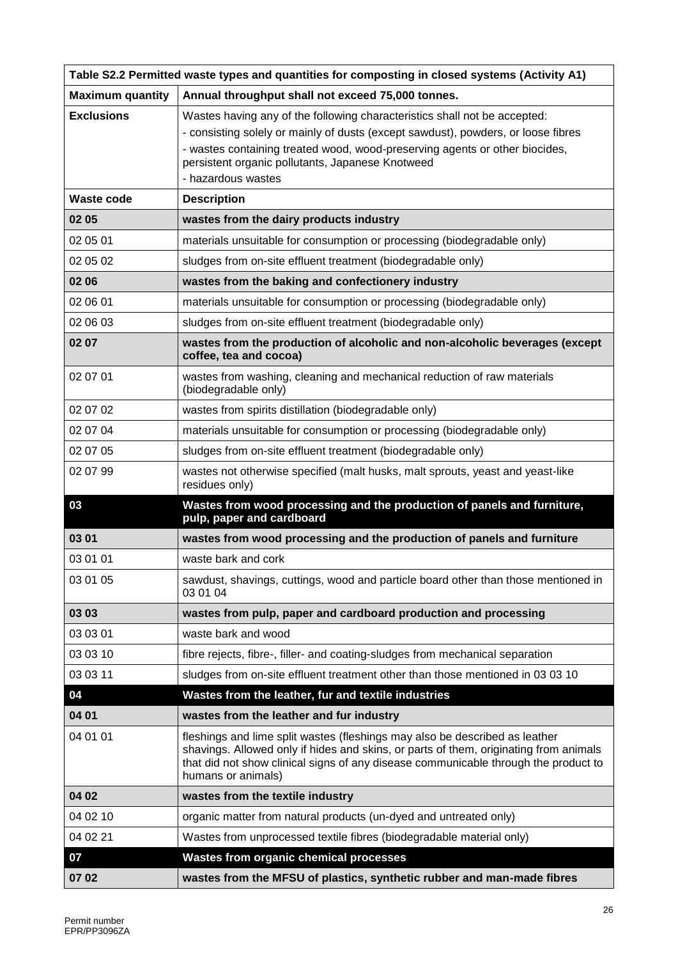| Table S2.2 Permitted waste types and quantities for composting in closed systems (Activity A1) |                                                                                                                                                                                                                                                                                   |  |
|------------------------------------------------------------------------------------------------|-----------------------------------------------------------------------------------------------------------------------------------------------------------------------------------------------------------------------------------------------------------------------------------|--|
| <b>Maximum quantity</b>                                                                        | Annual throughput shall not exceed 75,000 tonnes.                                                                                                                                                                                                                                 |  |
| <b>Exclusions</b>                                                                              | Wastes having any of the following characteristics shall not be accepted:                                                                                                                                                                                                         |  |
|                                                                                                | - consisting solely or mainly of dusts (except sawdust), powders, or loose fibres                                                                                                                                                                                                 |  |
|                                                                                                | - wastes containing treated wood, wood-preserving agents or other biocides,<br>persistent organic pollutants, Japanese Knotweed                                                                                                                                                   |  |
|                                                                                                | - hazardous wastes                                                                                                                                                                                                                                                                |  |
| <b>Waste code</b>                                                                              | <b>Description</b>                                                                                                                                                                                                                                                                |  |
| 02 05                                                                                          | wastes from the dairy products industry                                                                                                                                                                                                                                           |  |
| 02 05 01                                                                                       | materials unsuitable for consumption or processing (biodegradable only)                                                                                                                                                                                                           |  |
| 02 05 02                                                                                       | sludges from on-site effluent treatment (biodegradable only)                                                                                                                                                                                                                      |  |
| 02 06                                                                                          | wastes from the baking and confectionery industry                                                                                                                                                                                                                                 |  |
| 02 06 01                                                                                       | materials unsuitable for consumption or processing (biodegradable only)                                                                                                                                                                                                           |  |
| 02 06 03                                                                                       | sludges from on-site effluent treatment (biodegradable only)                                                                                                                                                                                                                      |  |
| 02 07                                                                                          | wastes from the production of alcoholic and non-alcoholic beverages (except<br>coffee, tea and cocoa)                                                                                                                                                                             |  |
| 02 07 01                                                                                       | wastes from washing, cleaning and mechanical reduction of raw materials<br>(biodegradable only)                                                                                                                                                                                   |  |
| 02 07 02                                                                                       | wastes from spirits distillation (biodegradable only)                                                                                                                                                                                                                             |  |
| 02 07 04                                                                                       | materials unsuitable for consumption or processing (biodegradable only)                                                                                                                                                                                                           |  |
| 02 07 05                                                                                       | sludges from on-site effluent treatment (biodegradable only)                                                                                                                                                                                                                      |  |
| 02 07 99                                                                                       | wastes not otherwise specified (malt husks, malt sprouts, yeast and yeast-like<br>residues only)                                                                                                                                                                                  |  |
| 03                                                                                             | Wastes from wood processing and the production of panels and furniture,<br>pulp, paper and cardboard                                                                                                                                                                              |  |
| 03 01                                                                                          | wastes from wood processing and the production of panels and furniture                                                                                                                                                                                                            |  |
| 03 01 01                                                                                       | waste bark and cork                                                                                                                                                                                                                                                               |  |
| 03 01 05                                                                                       | sawdust, shavings, cuttings, wood and particle board other than those mentioned in<br>03 01 04                                                                                                                                                                                    |  |
| 03 03                                                                                          | wastes from pulp, paper and cardboard production and processing                                                                                                                                                                                                                   |  |
| 03 03 01                                                                                       | waste bark and wood                                                                                                                                                                                                                                                               |  |
| 03 03 10                                                                                       | fibre rejects, fibre-, filler- and coating-sludges from mechanical separation                                                                                                                                                                                                     |  |
| 03 03 11                                                                                       | sludges from on-site effluent treatment other than those mentioned in 03 03 10                                                                                                                                                                                                    |  |
| 04                                                                                             | Wastes from the leather, fur and textile industries                                                                                                                                                                                                                               |  |
| 04 01                                                                                          | wastes from the leather and fur industry                                                                                                                                                                                                                                          |  |
| 04 01 01                                                                                       | fleshings and lime split wastes (fleshings may also be described as leather<br>shavings. Allowed only if hides and skins, or parts of them, originating from animals<br>that did not show clinical signs of any disease communicable through the product to<br>humans or animals) |  |
| 04 02                                                                                          | wastes from the textile industry                                                                                                                                                                                                                                                  |  |
| 04 02 10                                                                                       | organic matter from natural products (un-dyed and untreated only)                                                                                                                                                                                                                 |  |
| 04 02 21                                                                                       | Wastes from unprocessed textile fibres (biodegradable material only)                                                                                                                                                                                                              |  |
| 07                                                                                             | Wastes from organic chemical processes                                                                                                                                                                                                                                            |  |
| 07 02                                                                                          | wastes from the MFSU of plastics, synthetic rubber and man-made fibres                                                                                                                                                                                                            |  |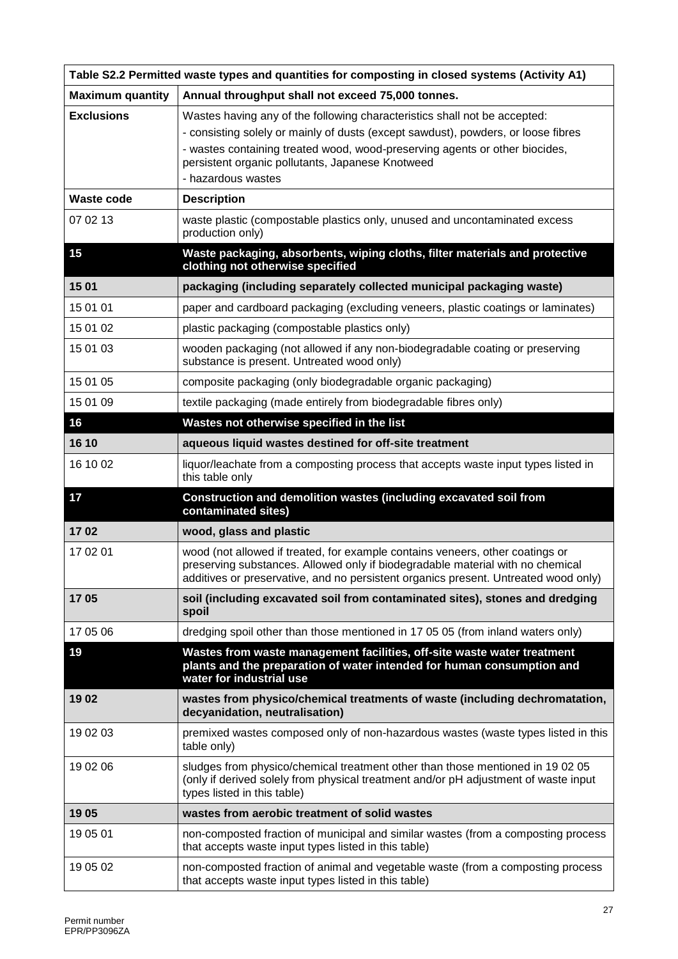| Table S2.2 Permitted waste types and quantities for composting in closed systems (Activity A1) |                                                                                                                                                                                                                                                                                                                         |  |
|------------------------------------------------------------------------------------------------|-------------------------------------------------------------------------------------------------------------------------------------------------------------------------------------------------------------------------------------------------------------------------------------------------------------------------|--|
| <b>Maximum quantity</b>                                                                        | Annual throughput shall not exceed 75,000 tonnes.                                                                                                                                                                                                                                                                       |  |
| <b>Exclusions</b>                                                                              | Wastes having any of the following characteristics shall not be accepted:<br>- consisting solely or mainly of dusts (except sawdust), powders, or loose fibres<br>- wastes containing treated wood, wood-preserving agents or other biocides,<br>persistent organic pollutants, Japanese Knotweed<br>- hazardous wastes |  |
| <b>Waste code</b>                                                                              | <b>Description</b>                                                                                                                                                                                                                                                                                                      |  |
| 07 02 13                                                                                       | waste plastic (compostable plastics only, unused and uncontaminated excess<br>production only)                                                                                                                                                                                                                          |  |
| 15                                                                                             | Waste packaging, absorbents, wiping cloths, filter materials and protective<br>clothing not otherwise specified                                                                                                                                                                                                         |  |
| 15 01                                                                                          | packaging (including separately collected municipal packaging waste)                                                                                                                                                                                                                                                    |  |
| 15 01 01                                                                                       | paper and cardboard packaging (excluding veneers, plastic coatings or laminates)                                                                                                                                                                                                                                        |  |
| 15 01 02                                                                                       | plastic packaging (compostable plastics only)                                                                                                                                                                                                                                                                           |  |
| 15 01 03                                                                                       | wooden packaging (not allowed if any non-biodegradable coating or preserving<br>substance is present. Untreated wood only)                                                                                                                                                                                              |  |
| 15 01 05                                                                                       | composite packaging (only biodegradable organic packaging)                                                                                                                                                                                                                                                              |  |
| 15 01 09                                                                                       | textile packaging (made entirely from biodegradable fibres only)                                                                                                                                                                                                                                                        |  |
| 16                                                                                             | Wastes not otherwise specified in the list                                                                                                                                                                                                                                                                              |  |
| 16 10                                                                                          | aqueous liquid wastes destined for off-site treatment                                                                                                                                                                                                                                                                   |  |
| 16 10 02                                                                                       | liquor/leachate from a composting process that accepts waste input types listed in<br>this table only                                                                                                                                                                                                                   |  |
| 17                                                                                             | Construction and demolition wastes (including excavated soil from<br>contaminated sites)                                                                                                                                                                                                                                |  |
| 1702                                                                                           | wood, glass and plastic                                                                                                                                                                                                                                                                                                 |  |
| 17 02 01                                                                                       | wood (not allowed if treated, for example contains veneers, other coatings or<br>preserving substances. Allowed only if biodegradable material with no chemical<br>additives or preservative, and no persistent organics present. Untreated wood only)                                                                  |  |
| 1705                                                                                           | soil (including excavated soil from contaminated sites), stones and dredging<br>spoil                                                                                                                                                                                                                                   |  |
| 17 05 06                                                                                       | dredging spoil other than those mentioned in 17 05 05 (from inland waters only)                                                                                                                                                                                                                                         |  |
| 19                                                                                             | Wastes from waste management facilities, off-site waste water treatment<br>plants and the preparation of water intended for human consumption and<br>water for industrial use                                                                                                                                           |  |
| 1902                                                                                           | wastes from physico/chemical treatments of waste (including dechromatation,<br>decyanidation, neutralisation)                                                                                                                                                                                                           |  |
| 19 02 03                                                                                       | premixed wastes composed only of non-hazardous wastes (waste types listed in this<br>table only)                                                                                                                                                                                                                        |  |
| 19 02 06                                                                                       | sludges from physico/chemical treatment other than those mentioned in 19 02 05<br>(only if derived solely from physical treatment and/or pH adjustment of waste input<br>types listed in this table)                                                                                                                    |  |
| 1905                                                                                           | wastes from aerobic treatment of solid wastes                                                                                                                                                                                                                                                                           |  |
| 19 05 01                                                                                       | non-composted fraction of municipal and similar wastes (from a composting process<br>that accepts waste input types listed in this table)                                                                                                                                                                               |  |
| 19 05 02                                                                                       | non-composted fraction of animal and vegetable waste (from a composting process<br>that accepts waste input types listed in this table)                                                                                                                                                                                 |  |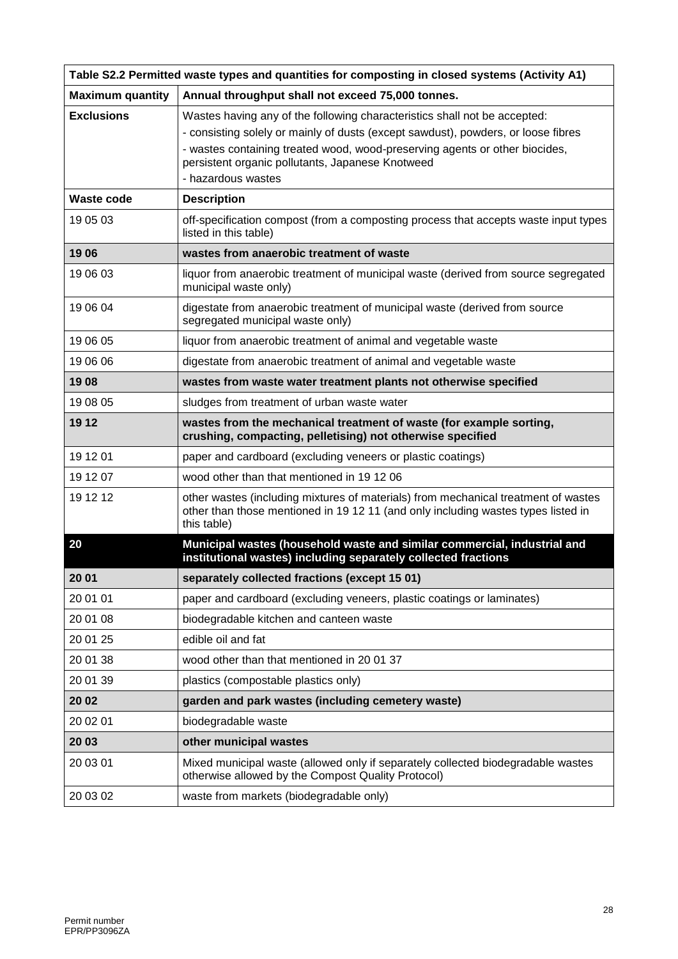| Table S2.2 Permitted waste types and quantities for composting in closed systems (Activity A1) |                                                                                                                                                                                                                                                                                                                         |  |
|------------------------------------------------------------------------------------------------|-------------------------------------------------------------------------------------------------------------------------------------------------------------------------------------------------------------------------------------------------------------------------------------------------------------------------|--|
| <b>Maximum quantity</b>                                                                        | Annual throughput shall not exceed 75,000 tonnes.                                                                                                                                                                                                                                                                       |  |
| <b>Exclusions</b>                                                                              | Wastes having any of the following characteristics shall not be accepted:<br>- consisting solely or mainly of dusts (except sawdust), powders, or loose fibres<br>- wastes containing treated wood, wood-preserving agents or other biocides,<br>persistent organic pollutants, Japanese Knotweed<br>- hazardous wastes |  |
| <b>Waste code</b>                                                                              | <b>Description</b>                                                                                                                                                                                                                                                                                                      |  |
| 19 05 03                                                                                       | off-specification compost (from a composting process that accepts waste input types<br>listed in this table)                                                                                                                                                                                                            |  |
| 1906                                                                                           | wastes from anaerobic treatment of waste                                                                                                                                                                                                                                                                                |  |
| 19 06 03                                                                                       | liquor from anaerobic treatment of municipal waste (derived from source segregated<br>municipal waste only)                                                                                                                                                                                                             |  |
| 19 06 04                                                                                       | digestate from anaerobic treatment of municipal waste (derived from source<br>segregated municipal waste only)                                                                                                                                                                                                          |  |
| 19 06 05                                                                                       | liquor from anaerobic treatment of animal and vegetable waste                                                                                                                                                                                                                                                           |  |
| 19 06 06                                                                                       | digestate from anaerobic treatment of animal and vegetable waste                                                                                                                                                                                                                                                        |  |
| 1908                                                                                           | wastes from waste water treatment plants not otherwise specified                                                                                                                                                                                                                                                        |  |
| 19 08 05                                                                                       | sludges from treatment of urban waste water                                                                                                                                                                                                                                                                             |  |
| 19 12                                                                                          | wastes from the mechanical treatment of waste (for example sorting,<br>crushing, compacting, pelletising) not otherwise specified                                                                                                                                                                                       |  |
| 19 12 01                                                                                       | paper and cardboard (excluding veneers or plastic coatings)                                                                                                                                                                                                                                                             |  |
| 19 12 07                                                                                       | wood other than that mentioned in 19 12 06                                                                                                                                                                                                                                                                              |  |
| 19 12 12                                                                                       | other wastes (including mixtures of materials) from mechanical treatment of wastes<br>other than those mentioned in 19 12 11 (and only including wastes types listed in<br>this table)                                                                                                                                  |  |
| 20                                                                                             | Municipal wastes (household waste and similar commercial, industrial and<br>institutional wastes) including separately collected fractions                                                                                                                                                                              |  |
| 20 01                                                                                          | separately collected fractions (except 15 01)                                                                                                                                                                                                                                                                           |  |
| 20 01 01                                                                                       | paper and cardboard (excluding veneers, plastic coatings or laminates)                                                                                                                                                                                                                                                  |  |
| 20 01 08                                                                                       | biodegradable kitchen and canteen waste                                                                                                                                                                                                                                                                                 |  |
| 20 01 25                                                                                       | edible oil and fat                                                                                                                                                                                                                                                                                                      |  |
| 20 01 38                                                                                       | wood other than that mentioned in 20 01 37                                                                                                                                                                                                                                                                              |  |
| 20 01 39                                                                                       | plastics (compostable plastics only)                                                                                                                                                                                                                                                                                    |  |
| 20 02                                                                                          | garden and park wastes (including cemetery waste)                                                                                                                                                                                                                                                                       |  |
| 20 02 01                                                                                       | biodegradable waste                                                                                                                                                                                                                                                                                                     |  |
| 20 03                                                                                          | other municipal wastes                                                                                                                                                                                                                                                                                                  |  |
| 20 03 01                                                                                       | Mixed municipal waste (allowed only if separately collected biodegradable wastes<br>otherwise allowed by the Compost Quality Protocol)                                                                                                                                                                                  |  |
| 20 03 02                                                                                       | waste from markets (biodegradable only)                                                                                                                                                                                                                                                                                 |  |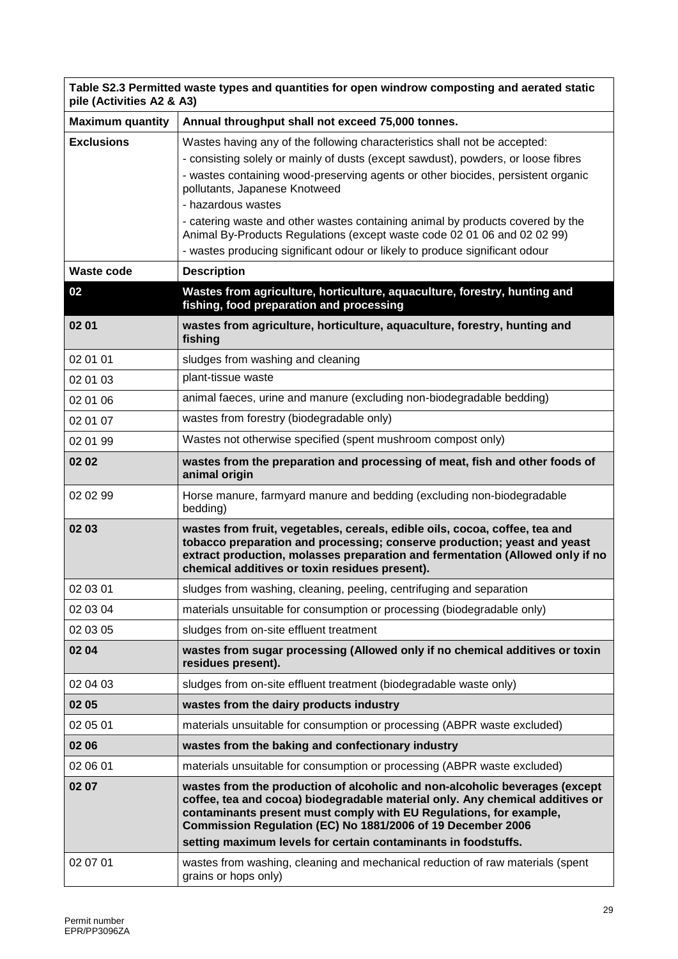| Table S2.3 Permitted waste types and quantities for open windrow composting and aerated static<br>pile (Activities A2 & A3) |                                                                                                                                                                                                                                                                                                                                                                     |  |
|-----------------------------------------------------------------------------------------------------------------------------|---------------------------------------------------------------------------------------------------------------------------------------------------------------------------------------------------------------------------------------------------------------------------------------------------------------------------------------------------------------------|--|
| <b>Maximum quantity</b>                                                                                                     | Annual throughput shall not exceed 75,000 tonnes.                                                                                                                                                                                                                                                                                                                   |  |
| <b>Exclusions</b>                                                                                                           | Wastes having any of the following characteristics shall not be accepted:                                                                                                                                                                                                                                                                                           |  |
|                                                                                                                             | - consisting solely or mainly of dusts (except sawdust), powders, or loose fibres                                                                                                                                                                                                                                                                                   |  |
|                                                                                                                             | - wastes containing wood-preserving agents or other biocides, persistent organic<br>pollutants, Japanese Knotweed                                                                                                                                                                                                                                                   |  |
|                                                                                                                             | - hazardous wastes                                                                                                                                                                                                                                                                                                                                                  |  |
|                                                                                                                             | - catering waste and other wastes containing animal by products covered by the<br>Animal By-Products Regulations (except waste code 02 01 06 and 02 02 99)<br>- wastes producing significant odour or likely to produce significant odour                                                                                                                           |  |
| <b>Waste code</b>                                                                                                           | <b>Description</b>                                                                                                                                                                                                                                                                                                                                                  |  |
| 02                                                                                                                          | Wastes from agriculture, horticulture, aquaculture, forestry, hunting and<br>fishing, food preparation and processing                                                                                                                                                                                                                                               |  |
| 02 01                                                                                                                       | wastes from agriculture, horticulture, aquaculture, forestry, hunting and<br>fishing                                                                                                                                                                                                                                                                                |  |
| 02 01 01                                                                                                                    | sludges from washing and cleaning                                                                                                                                                                                                                                                                                                                                   |  |
| 02 01 03                                                                                                                    | plant-tissue waste                                                                                                                                                                                                                                                                                                                                                  |  |
| 02 01 06                                                                                                                    | animal faeces, urine and manure (excluding non-biodegradable bedding)                                                                                                                                                                                                                                                                                               |  |
| 02 01 07                                                                                                                    | wastes from forestry (biodegradable only)                                                                                                                                                                                                                                                                                                                           |  |
| 02 01 99                                                                                                                    | Wastes not otherwise specified (spent mushroom compost only)                                                                                                                                                                                                                                                                                                        |  |
| 02 02                                                                                                                       | wastes from the preparation and processing of meat, fish and other foods of<br>animal origin                                                                                                                                                                                                                                                                        |  |
| 02 02 99                                                                                                                    | Horse manure, farmyard manure and bedding (excluding non-biodegradable<br>bedding)                                                                                                                                                                                                                                                                                  |  |
| 02 03                                                                                                                       | wastes from fruit, vegetables, cereals, edible oils, cocoa, coffee, tea and<br>tobacco preparation and processing; conserve production; yeast and yeast<br>extract production, molasses preparation and fermentation (Allowed only if no<br>chemical additives or toxin residues present).                                                                          |  |
| 02 03 01                                                                                                                    | sludges from washing, cleaning, peeling, centrifuging and separation                                                                                                                                                                                                                                                                                                |  |
| 02 03 04                                                                                                                    | materials unsuitable for consumption or processing (biodegradable only)                                                                                                                                                                                                                                                                                             |  |
| 02 03 05                                                                                                                    | sludges from on-site effluent treatment                                                                                                                                                                                                                                                                                                                             |  |
| 02 04                                                                                                                       | wastes from sugar processing (Allowed only if no chemical additives or toxin<br>residues present).                                                                                                                                                                                                                                                                  |  |
| 02 04 03                                                                                                                    | sludges from on-site effluent treatment (biodegradable waste only)                                                                                                                                                                                                                                                                                                  |  |
| 02 05                                                                                                                       | wastes from the dairy products industry                                                                                                                                                                                                                                                                                                                             |  |
| 02 05 01                                                                                                                    | materials unsuitable for consumption or processing (ABPR waste excluded)                                                                                                                                                                                                                                                                                            |  |
| 02 06                                                                                                                       | wastes from the baking and confectionary industry                                                                                                                                                                                                                                                                                                                   |  |
| 02 06 01                                                                                                                    | materials unsuitable for consumption or processing (ABPR waste excluded)                                                                                                                                                                                                                                                                                            |  |
| 02 07                                                                                                                       | wastes from the production of alcoholic and non-alcoholic beverages (except<br>coffee, tea and cocoa) biodegradable material only. Any chemical additives or<br>contaminants present must comply with EU Regulations, for example,<br>Commission Regulation (EC) No 1881/2006 of 19 December 2006<br>setting maximum levels for certain contaminants in foodstuffs. |  |
| 02 07 01                                                                                                                    | wastes from washing, cleaning and mechanical reduction of raw materials (spent<br>grains or hops only)                                                                                                                                                                                                                                                              |  |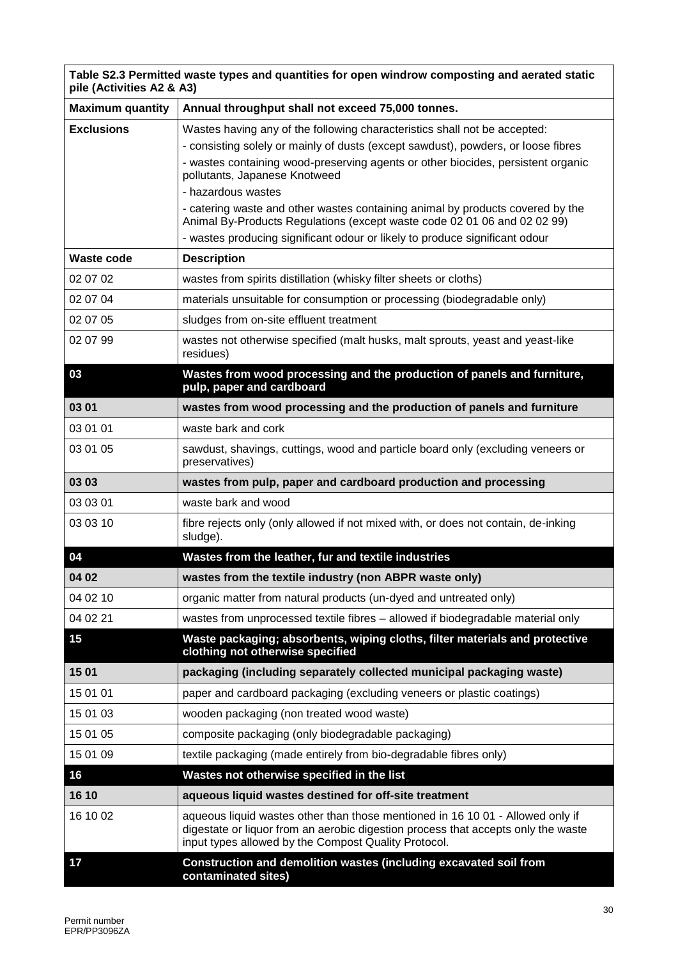| Table S2.3 Permitted waste types and quantities for open windrow composting and aerated static<br>pile (Activities A2 & A3) |                                                                                                                                                                                                                                           |  |
|-----------------------------------------------------------------------------------------------------------------------------|-------------------------------------------------------------------------------------------------------------------------------------------------------------------------------------------------------------------------------------------|--|
| <b>Maximum quantity</b>                                                                                                     | Annual throughput shall not exceed 75,000 tonnes.                                                                                                                                                                                         |  |
| <b>Exclusions</b>                                                                                                           | Wastes having any of the following characteristics shall not be accepted:                                                                                                                                                                 |  |
|                                                                                                                             | - consisting solely or mainly of dusts (except sawdust), powders, or loose fibres                                                                                                                                                         |  |
|                                                                                                                             | - wastes containing wood-preserving agents or other biocides, persistent organic<br>pollutants, Japanese Knotweed                                                                                                                         |  |
|                                                                                                                             | - hazardous wastes                                                                                                                                                                                                                        |  |
|                                                                                                                             | - catering waste and other wastes containing animal by products covered by the<br>Animal By-Products Regulations (except waste code 02 01 06 and 02 02 99)<br>- wastes producing significant odour or likely to produce significant odour |  |
| Waste code                                                                                                                  | <b>Description</b>                                                                                                                                                                                                                        |  |
| 02 07 02                                                                                                                    | wastes from spirits distillation (whisky filter sheets or cloths)                                                                                                                                                                         |  |
| 02 07 04                                                                                                                    | materials unsuitable for consumption or processing (biodegradable only)                                                                                                                                                                   |  |
| 02 07 05                                                                                                                    | sludges from on-site effluent treatment                                                                                                                                                                                                   |  |
| 02 07 99                                                                                                                    | wastes not otherwise specified (malt husks, malt sprouts, yeast and yeast-like<br>residues)                                                                                                                                               |  |
| 03                                                                                                                          | Wastes from wood processing and the production of panels and furniture,<br>pulp, paper and cardboard                                                                                                                                      |  |
| 03 01                                                                                                                       | wastes from wood processing and the production of panels and furniture                                                                                                                                                                    |  |
| 03 01 01                                                                                                                    | waste bark and cork                                                                                                                                                                                                                       |  |
| 03 01 05                                                                                                                    | sawdust, shavings, cuttings, wood and particle board only (excluding veneers or<br>preservatives)                                                                                                                                         |  |
| 03 03                                                                                                                       | wastes from pulp, paper and cardboard production and processing                                                                                                                                                                           |  |
| 03 03 01                                                                                                                    | waste bark and wood                                                                                                                                                                                                                       |  |
| 03 03 10                                                                                                                    | fibre rejects only (only allowed if not mixed with, or does not contain, de-inking<br>sludge).                                                                                                                                            |  |
| 04                                                                                                                          | Wastes from the leather, fur and textile industries                                                                                                                                                                                       |  |
| 04 02                                                                                                                       | wastes from the textile industry (non ABPR waste only)                                                                                                                                                                                    |  |
| 04 02 10                                                                                                                    | organic matter from natural products (un-dyed and untreated only)                                                                                                                                                                         |  |
| 04 02 21                                                                                                                    | wastes from unprocessed textile fibres - allowed if biodegradable material only                                                                                                                                                           |  |
| 15                                                                                                                          | Waste packaging; absorbents, wiping cloths, filter materials and protective<br>clothing not otherwise specified                                                                                                                           |  |
| 15 01                                                                                                                       | packaging (including separately collected municipal packaging waste)                                                                                                                                                                      |  |
| 15 01 01                                                                                                                    | paper and cardboard packaging (excluding veneers or plastic coatings)                                                                                                                                                                     |  |
| 15 01 03                                                                                                                    | wooden packaging (non treated wood waste)                                                                                                                                                                                                 |  |
| 15 01 05                                                                                                                    | composite packaging (only biodegradable packaging)                                                                                                                                                                                        |  |
| 15 01 09                                                                                                                    | textile packaging (made entirely from bio-degradable fibres only)                                                                                                                                                                         |  |
| 16                                                                                                                          | Wastes not otherwise specified in the list                                                                                                                                                                                                |  |
| 16 10                                                                                                                       | aqueous liquid wastes destined for off-site treatment                                                                                                                                                                                     |  |
| 16 10 02                                                                                                                    | aqueous liquid wastes other than those mentioned in 16 10 01 - Allowed only if<br>digestate or liquor from an aerobic digestion process that accepts only the waste<br>input types allowed by the Compost Quality Protocol.               |  |
| 17                                                                                                                          | Construction and demolition wastes (including excavated soil from<br>contaminated sites)                                                                                                                                                  |  |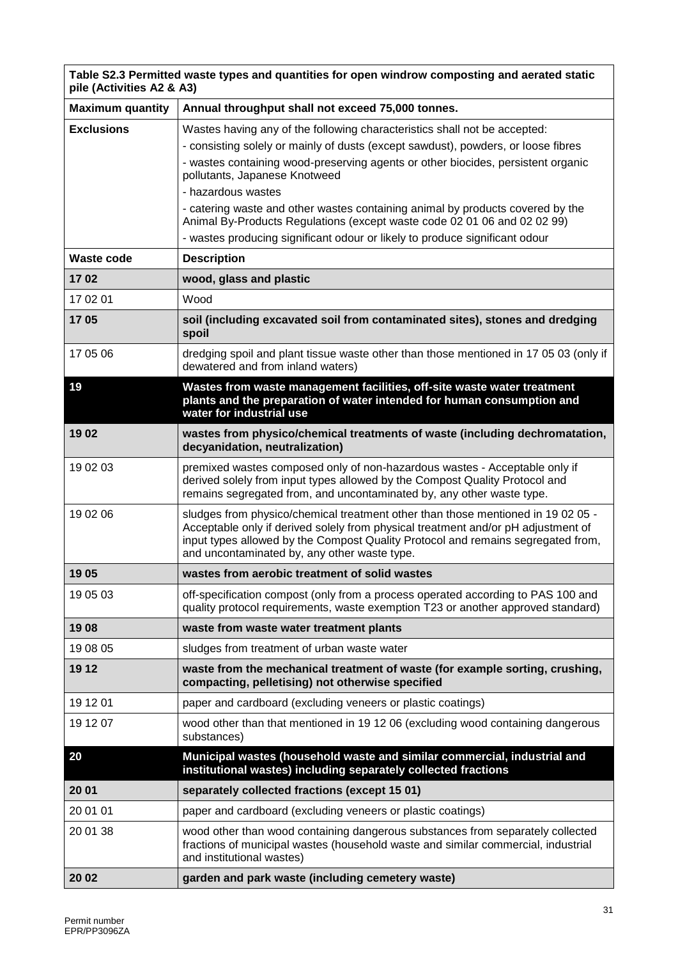| Table S2.3 Permitted waste types and quantities for open windrow composting and aerated static<br>pile (Activities A2 & A3) |                                                                                                                                                                                                                                                                                                                                                                                                                                                                                                                                                        |
|-----------------------------------------------------------------------------------------------------------------------------|--------------------------------------------------------------------------------------------------------------------------------------------------------------------------------------------------------------------------------------------------------------------------------------------------------------------------------------------------------------------------------------------------------------------------------------------------------------------------------------------------------------------------------------------------------|
| <b>Maximum quantity</b>                                                                                                     | Annual throughput shall not exceed 75,000 tonnes.                                                                                                                                                                                                                                                                                                                                                                                                                                                                                                      |
| <b>Exclusions</b>                                                                                                           | Wastes having any of the following characteristics shall not be accepted:<br>- consisting solely or mainly of dusts (except sawdust), powders, or loose fibres<br>- wastes containing wood-preserving agents or other biocides, persistent organic<br>pollutants, Japanese Knotweed<br>- hazardous wastes<br>- catering waste and other wastes containing animal by products covered by the<br>Animal By-Products Regulations (except waste code 02 01 06 and 02 02 99)<br>- wastes producing significant odour or likely to produce significant odour |
| <b>Waste code</b>                                                                                                           | <b>Description</b>                                                                                                                                                                                                                                                                                                                                                                                                                                                                                                                                     |
| 1702                                                                                                                        | wood, glass and plastic                                                                                                                                                                                                                                                                                                                                                                                                                                                                                                                                |
| 17 02 01                                                                                                                    | Wood                                                                                                                                                                                                                                                                                                                                                                                                                                                                                                                                                   |
| 1705                                                                                                                        | soil (including excavated soil from contaminated sites), stones and dredging<br>spoil                                                                                                                                                                                                                                                                                                                                                                                                                                                                  |
| 17 05 06                                                                                                                    | dredging spoil and plant tissue waste other than those mentioned in 17 05 03 (only if<br>dewatered and from inland waters)                                                                                                                                                                                                                                                                                                                                                                                                                             |
| 19                                                                                                                          | Wastes from waste management facilities, off-site waste water treatment<br>plants and the preparation of water intended for human consumption and<br>water for industrial use                                                                                                                                                                                                                                                                                                                                                                          |
| 1902                                                                                                                        | wastes from physico/chemical treatments of waste (including dechromatation,<br>decyanidation, neutralization)                                                                                                                                                                                                                                                                                                                                                                                                                                          |
| 19 02 03                                                                                                                    | premixed wastes composed only of non-hazardous wastes - Acceptable only if<br>derived solely from input types allowed by the Compost Quality Protocol and<br>remains segregated from, and uncontaminated by, any other waste type.                                                                                                                                                                                                                                                                                                                     |
| 19 02 06                                                                                                                    | sludges from physico/chemical treatment other than those mentioned in 190205 -<br>Acceptable only if derived solely from physical treatment and/or pH adjustment of<br>input types allowed by the Compost Quality Protocol and remains segregated from,<br>and uncontaminated by, any other waste type.                                                                                                                                                                                                                                                |
| 1905                                                                                                                        | wastes from aerobic treatment of solid wastes                                                                                                                                                                                                                                                                                                                                                                                                                                                                                                          |
| 19 05 03                                                                                                                    | off-specification compost (only from a process operated according to PAS 100 and<br>quality protocol requirements, waste exemption T23 or another approved standard)                                                                                                                                                                                                                                                                                                                                                                                   |
| 1908                                                                                                                        | waste from waste water treatment plants                                                                                                                                                                                                                                                                                                                                                                                                                                                                                                                |
| 19 08 05                                                                                                                    | sludges from treatment of urban waste water                                                                                                                                                                                                                                                                                                                                                                                                                                                                                                            |
| 19 12                                                                                                                       | waste from the mechanical treatment of waste (for example sorting, crushing,<br>compacting, pelletising) not otherwise specified                                                                                                                                                                                                                                                                                                                                                                                                                       |
| 19 12 01                                                                                                                    | paper and cardboard (excluding veneers or plastic coatings)                                                                                                                                                                                                                                                                                                                                                                                                                                                                                            |
| 19 12 07                                                                                                                    | wood other than that mentioned in 19 12 06 (excluding wood containing dangerous<br>substances)                                                                                                                                                                                                                                                                                                                                                                                                                                                         |
| 20                                                                                                                          | Municipal wastes (household waste and similar commercial, industrial and<br>institutional wastes) including separately collected fractions                                                                                                                                                                                                                                                                                                                                                                                                             |
| 20 01                                                                                                                       | separately collected fractions (except 15 01)                                                                                                                                                                                                                                                                                                                                                                                                                                                                                                          |
| 20 01 01                                                                                                                    | paper and cardboard (excluding veneers or plastic coatings)                                                                                                                                                                                                                                                                                                                                                                                                                                                                                            |
| 20 01 38                                                                                                                    | wood other than wood containing dangerous substances from separately collected<br>fractions of municipal wastes (household waste and similar commercial, industrial<br>and institutional wastes)                                                                                                                                                                                                                                                                                                                                                       |
| 20 02                                                                                                                       | garden and park waste (including cemetery waste)                                                                                                                                                                                                                                                                                                                                                                                                                                                                                                       |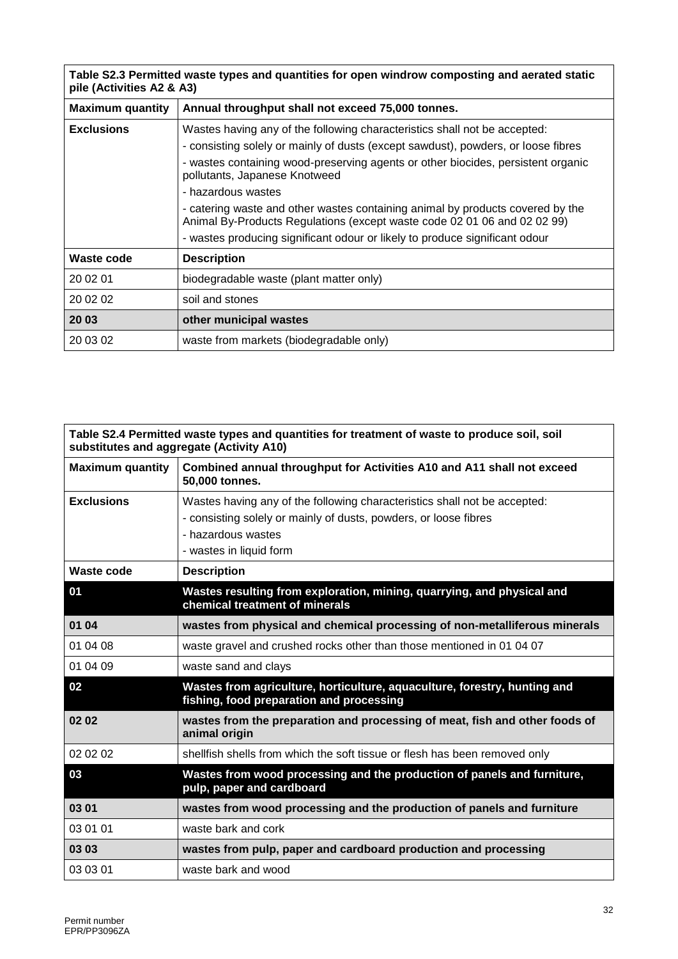| Table S2.3 Permitted waste types and quantities for open windrow composting and aerated static<br>pile (Activities A2 & A3) |                                                                                                                                                            |
|-----------------------------------------------------------------------------------------------------------------------------|------------------------------------------------------------------------------------------------------------------------------------------------------------|
| <b>Maximum quantity</b>                                                                                                     | Annual throughput shall not exceed 75,000 tonnes.                                                                                                          |
| <b>Exclusions</b>                                                                                                           | Wastes having any of the following characteristics shall not be accepted:                                                                                  |
|                                                                                                                             | - consisting solely or mainly of dusts (except sawdust), powders, or loose fibres                                                                          |
|                                                                                                                             | - wastes containing wood-preserving agents or other biocides, persistent organic<br>pollutants, Japanese Knotweed                                          |
|                                                                                                                             | - hazardous wastes                                                                                                                                         |
|                                                                                                                             | - catering waste and other wastes containing animal by products covered by the<br>Animal By-Products Regulations (except waste code 02 01 06 and 02 02 99) |
|                                                                                                                             | - wastes producing significant odour or likely to produce significant odour                                                                                |
| Waste code                                                                                                                  | <b>Description</b>                                                                                                                                         |
| 20 02 01                                                                                                                    | biodegradable waste (plant matter only)                                                                                                                    |
| 20 02 02                                                                                                                    | soil and stones                                                                                                                                            |
| 20 03                                                                                                                       | other municipal wastes                                                                                                                                     |
| 20 03 02                                                                                                                    | waste from markets (biodegradable only)                                                                                                                    |

| Table S2.4 Permitted waste types and quantities for treatment of waste to produce soil, soil<br>substitutes and aggregate (Activity A10) |                                                                                                                       |
|------------------------------------------------------------------------------------------------------------------------------------------|-----------------------------------------------------------------------------------------------------------------------|
| <b>Maximum quantity</b>                                                                                                                  | Combined annual throughput for Activities A10 and A11 shall not exceed<br>50,000 tonnes.                              |
| <b>Exclusions</b>                                                                                                                        | Wastes having any of the following characteristics shall not be accepted:                                             |
|                                                                                                                                          | - consisting solely or mainly of dusts, powders, or loose fibres                                                      |
|                                                                                                                                          | - hazardous wastes                                                                                                    |
|                                                                                                                                          | - wastes in liquid form                                                                                               |
| Waste code                                                                                                                               | <b>Description</b>                                                                                                    |
| 01                                                                                                                                       | Wastes resulting from exploration, mining, quarrying, and physical and<br>chemical treatment of minerals              |
| 01 04                                                                                                                                    | wastes from physical and chemical processing of non-metalliferous minerals                                            |
| 01 04 08                                                                                                                                 | waste gravel and crushed rocks other than those mentioned in 01 04 07                                                 |
| 01 04 09                                                                                                                                 | waste sand and clays                                                                                                  |
| 02                                                                                                                                       | Wastes from agriculture, horticulture, aquaculture, forestry, hunting and<br>fishing, food preparation and processing |
| 0202                                                                                                                                     | wastes from the preparation and processing of meat, fish and other foods of<br>animal origin                          |
| 02 02 02                                                                                                                                 | shellfish shells from which the soft tissue or flesh has been removed only                                            |
| 03                                                                                                                                       | Wastes from wood processing and the production of panels and furniture,<br>pulp, paper and cardboard                  |
| 03 01                                                                                                                                    | wastes from wood processing and the production of panels and furniture                                                |
| 03 01 01                                                                                                                                 | waste bark and cork                                                                                                   |
| 03 03                                                                                                                                    | wastes from pulp, paper and cardboard production and processing                                                       |
| 03 03 01                                                                                                                                 | waste bark and wood                                                                                                   |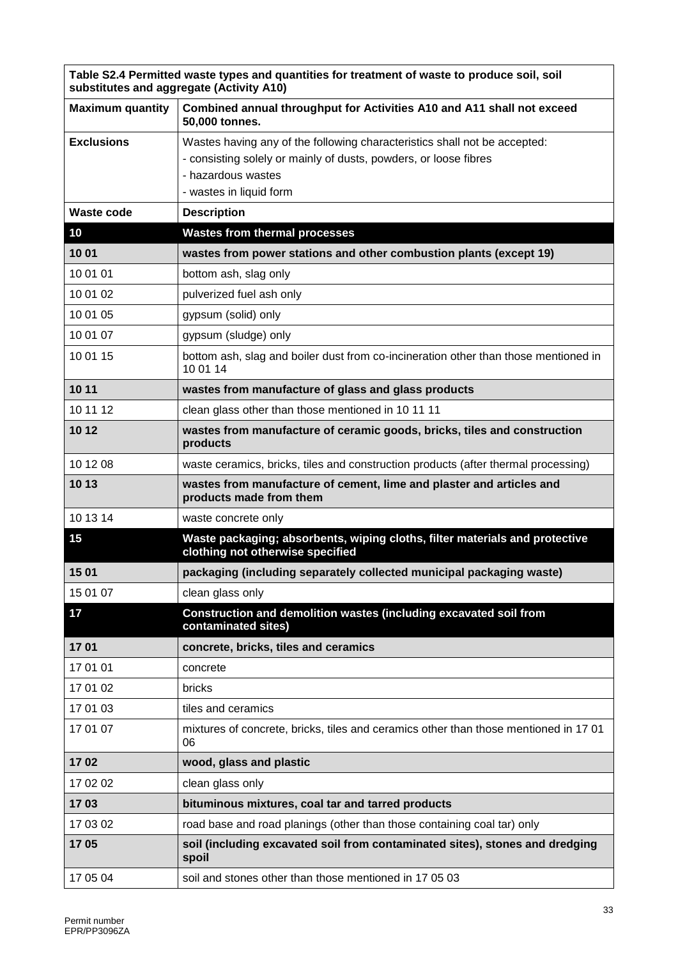|                         | Table S2.4 Permitted waste types and quantities for treatment of waste to produce soil, soil<br>substitutes and aggregate (Activity A10)                                                       |
|-------------------------|------------------------------------------------------------------------------------------------------------------------------------------------------------------------------------------------|
| <b>Maximum quantity</b> | Combined annual throughput for Activities A10 and A11 shall not exceed<br>50,000 tonnes.                                                                                                       |
| <b>Exclusions</b>       | Wastes having any of the following characteristics shall not be accepted:<br>- consisting solely or mainly of dusts, powders, or loose fibres<br>- hazardous wastes<br>- wastes in liquid form |
| <b>Waste code</b>       | <b>Description</b>                                                                                                                                                                             |
| 10                      | <b>Wastes from thermal processes</b>                                                                                                                                                           |
| 1001                    | wastes from power stations and other combustion plants (except 19)                                                                                                                             |
| 10 01 01                | bottom ash, slag only                                                                                                                                                                          |
| 10 01 02                | pulverized fuel ash only                                                                                                                                                                       |
| 10 01 05                | gypsum (solid) only                                                                                                                                                                            |
| 10 01 07                | gypsum (sludge) only                                                                                                                                                                           |
| 10 01 15                | bottom ash, slag and boiler dust from co-incineration other than those mentioned in<br>10 01 14                                                                                                |
| 10 11                   | wastes from manufacture of glass and glass products                                                                                                                                            |
| 10 11 12                | clean glass other than those mentioned in 10 11 11                                                                                                                                             |
| 10 12                   | wastes from manufacture of ceramic goods, bricks, tiles and construction<br>products                                                                                                           |
| 10 12 08                | waste ceramics, bricks, tiles and construction products (after thermal processing)                                                                                                             |
| 10 13                   | wastes from manufacture of cement, lime and plaster and articles and<br>products made from them                                                                                                |
| 10 13 14                | waste concrete only                                                                                                                                                                            |
| 15                      | Waste packaging; absorbents, wiping cloths, filter materials and protective<br>clothing not otherwise specified                                                                                |
| 15 01                   | packaging (including separately collected municipal packaging waste)                                                                                                                           |
| 15 01 07                | clean glass only                                                                                                                                                                               |
| 17                      | Construction and demolition wastes (including excavated soil from<br>contaminated sites)                                                                                                       |
| 1701                    | concrete, bricks, tiles and ceramics                                                                                                                                                           |
| 17 01 01                | concrete                                                                                                                                                                                       |
| 17 01 02                | bricks                                                                                                                                                                                         |
| 17 01 03                | tiles and ceramics                                                                                                                                                                             |
| 17 01 07                | mixtures of concrete, bricks, tiles and ceramics other than those mentioned in 1701<br>06                                                                                                      |
| 1702                    | wood, glass and plastic                                                                                                                                                                        |
| 17 02 02                | clean glass only                                                                                                                                                                               |
| 1703                    | bituminous mixtures, coal tar and tarred products                                                                                                                                              |
| 17 03 02                | road base and road planings (other than those containing coal tar) only                                                                                                                        |
| 1705                    | soil (including excavated soil from contaminated sites), stones and dredging<br>spoil                                                                                                          |
| 17 05 04                | soil and stones other than those mentioned in 17 05 03                                                                                                                                         |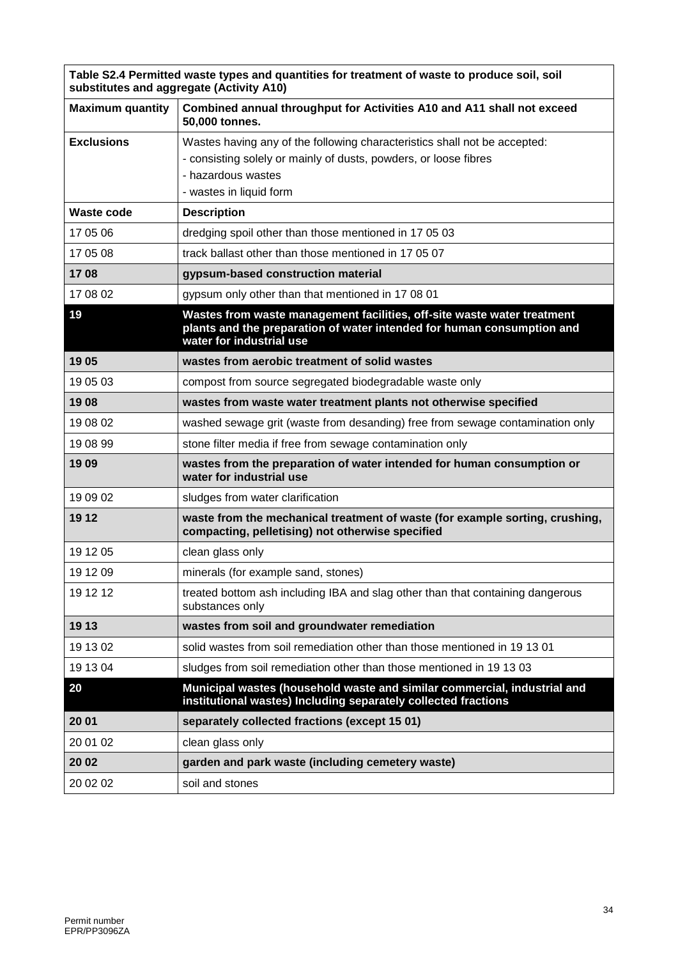| Table S2.4 Permitted waste types and quantities for treatment of waste to produce soil, soil<br>substitutes and aggregate (Activity A10) |                                                                                                                                                                                                |  |  |  |  |  |
|------------------------------------------------------------------------------------------------------------------------------------------|------------------------------------------------------------------------------------------------------------------------------------------------------------------------------------------------|--|--|--|--|--|
| <b>Maximum quantity</b>                                                                                                                  | Combined annual throughput for Activities A10 and A11 shall not exceed<br>50,000 tonnes.                                                                                                       |  |  |  |  |  |
| <b>Exclusions</b>                                                                                                                        | Wastes having any of the following characteristics shall not be accepted:<br>- consisting solely or mainly of dusts, powders, or loose fibres<br>- hazardous wastes<br>- wastes in liquid form |  |  |  |  |  |
| <b>Waste code</b>                                                                                                                        | <b>Description</b>                                                                                                                                                                             |  |  |  |  |  |
| 17 05 06                                                                                                                                 | dredging spoil other than those mentioned in 17 05 03                                                                                                                                          |  |  |  |  |  |
| 17 05 08                                                                                                                                 | track ballast other than those mentioned in 17 05 07                                                                                                                                           |  |  |  |  |  |
| 1708                                                                                                                                     | gypsum-based construction material                                                                                                                                                             |  |  |  |  |  |
| 17 08 02                                                                                                                                 | gypsum only other than that mentioned in 17 08 01                                                                                                                                              |  |  |  |  |  |
| 19                                                                                                                                       | Wastes from waste management facilities, off-site waste water treatment<br>plants and the preparation of water intended for human consumption and<br>water for industrial use                  |  |  |  |  |  |
| 1905                                                                                                                                     | wastes from aerobic treatment of solid wastes                                                                                                                                                  |  |  |  |  |  |
| 19 05 03                                                                                                                                 | compost from source segregated biodegradable waste only                                                                                                                                        |  |  |  |  |  |
| 1908                                                                                                                                     | wastes from waste water treatment plants not otherwise specified                                                                                                                               |  |  |  |  |  |
| 19 08 02                                                                                                                                 | washed sewage grit (waste from desanding) free from sewage contamination only                                                                                                                  |  |  |  |  |  |
| 19 08 99                                                                                                                                 | stone filter media if free from sewage contamination only                                                                                                                                      |  |  |  |  |  |
| 1909                                                                                                                                     | wastes from the preparation of water intended for human consumption or<br>water for industrial use                                                                                             |  |  |  |  |  |
| 19 09 02                                                                                                                                 | sludges from water clarification                                                                                                                                                               |  |  |  |  |  |
| 19 12                                                                                                                                    | waste from the mechanical treatment of waste (for example sorting, crushing,<br>compacting, pelletising) not otherwise specified                                                               |  |  |  |  |  |
| 19 12 05                                                                                                                                 | clean glass only                                                                                                                                                                               |  |  |  |  |  |
| 19 12 09                                                                                                                                 | minerals (for example sand, stones)                                                                                                                                                            |  |  |  |  |  |
| 19 12 12                                                                                                                                 | treated bottom ash including IBA and slag other than that containing dangerous<br>substances only                                                                                              |  |  |  |  |  |
| 19 13                                                                                                                                    | wastes from soil and groundwater remediation                                                                                                                                                   |  |  |  |  |  |
| 19 13 02                                                                                                                                 | solid wastes from soil remediation other than those mentioned in 19 13 01                                                                                                                      |  |  |  |  |  |
| 19 13 04                                                                                                                                 | sludges from soil remediation other than those mentioned in 19 13 03                                                                                                                           |  |  |  |  |  |
| 20                                                                                                                                       | Municipal wastes (household waste and similar commercial, industrial and<br>institutional wastes) Including separately collected fractions                                                     |  |  |  |  |  |
| 20 01                                                                                                                                    | separately collected fractions (except 15 01)                                                                                                                                                  |  |  |  |  |  |
| 20 01 02                                                                                                                                 | clean glass only                                                                                                                                                                               |  |  |  |  |  |
| 20 02                                                                                                                                    | garden and park waste (including cemetery waste)                                                                                                                                               |  |  |  |  |  |
| 20 02 02                                                                                                                                 | soil and stones                                                                                                                                                                                |  |  |  |  |  |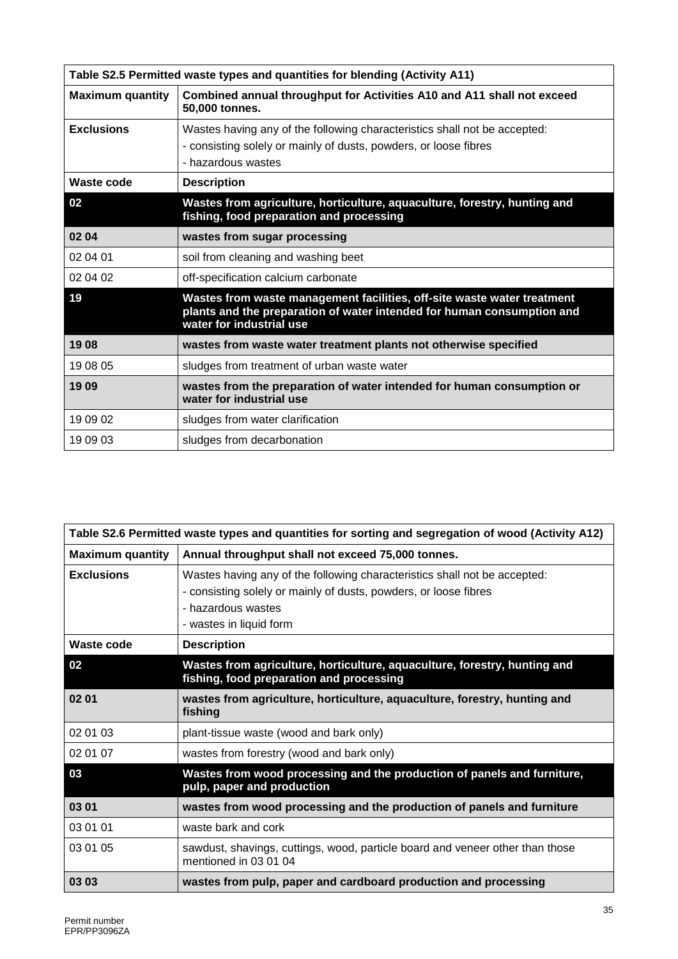| Table S2.5 Permitted waste types and quantities for blending (Activity A11) |                                                                                                                                                                               |  |  |  |
|-----------------------------------------------------------------------------|-------------------------------------------------------------------------------------------------------------------------------------------------------------------------------|--|--|--|
| <b>Maximum quantity</b>                                                     | Combined annual throughput for Activities A10 and A11 shall not exceed<br>50,000 tonnes.                                                                                      |  |  |  |
| <b>Exclusions</b>                                                           | Wastes having any of the following characteristics shall not be accepted:<br>- consisting solely or mainly of dusts, powders, or loose fibres<br>- hazardous wastes           |  |  |  |
| Waste code                                                                  | <b>Description</b>                                                                                                                                                            |  |  |  |
| 02                                                                          | Wastes from agriculture, horticulture, aquaculture, forestry, hunting and<br>fishing, food preparation and processing                                                         |  |  |  |
| 02 04                                                                       | wastes from sugar processing                                                                                                                                                  |  |  |  |
| 02 04 01                                                                    | soil from cleaning and washing beet                                                                                                                                           |  |  |  |
| 02 04 02                                                                    | off-specification calcium carbonate                                                                                                                                           |  |  |  |
| 19                                                                          | Wastes from waste management facilities, off-site waste water treatment<br>plants and the preparation of water intended for human consumption and<br>water for industrial use |  |  |  |
| 1908                                                                        | wastes from waste water treatment plants not otherwise specified                                                                                                              |  |  |  |
| 19 08 05                                                                    | sludges from treatment of urban waste water                                                                                                                                   |  |  |  |
| 1909                                                                        | wastes from the preparation of water intended for human consumption or<br>water for industrial use                                                                            |  |  |  |
| 19 09 02                                                                    | sludges from water clarification                                                                                                                                              |  |  |  |
| 19 09 03                                                                    | sludges from decarbonation                                                                                                                                                    |  |  |  |

|                         | Table S2.6 Permitted waste types and quantities for sorting and segregation of wood (Activity A12)                                                                                             |
|-------------------------|------------------------------------------------------------------------------------------------------------------------------------------------------------------------------------------------|
| <b>Maximum quantity</b> | Annual throughput shall not exceed 75,000 tonnes.                                                                                                                                              |
| <b>Exclusions</b>       | Wastes having any of the following characteristics shall not be accepted:<br>- consisting solely or mainly of dusts, powders, or loose fibres<br>- hazardous wastes<br>- wastes in liquid form |
| Waste code              | <b>Description</b>                                                                                                                                                                             |
| 02                      | Wastes from agriculture, horticulture, aquaculture, forestry, hunting and<br>fishing, food preparation and processing                                                                          |
| 02 01                   | wastes from agriculture, horticulture, aquaculture, forestry, hunting and<br>fishing                                                                                                           |
| 02 01 03                | plant-tissue waste (wood and bark only)                                                                                                                                                        |
| 02 01 07                | wastes from forestry (wood and bark only)                                                                                                                                                      |
| 03                      | Wastes from wood processing and the production of panels and furniture,<br>pulp, paper and production                                                                                          |
| 03 01                   | wastes from wood processing and the production of panels and furniture                                                                                                                         |
| 03 01 01                | waste bark and cork                                                                                                                                                                            |
| 03 01 05                | sawdust, shavings, cuttings, wood, particle board and veneer other than those<br>mentioned in 03 01 04                                                                                         |
| 03 03                   | wastes from pulp, paper and cardboard production and processing                                                                                                                                |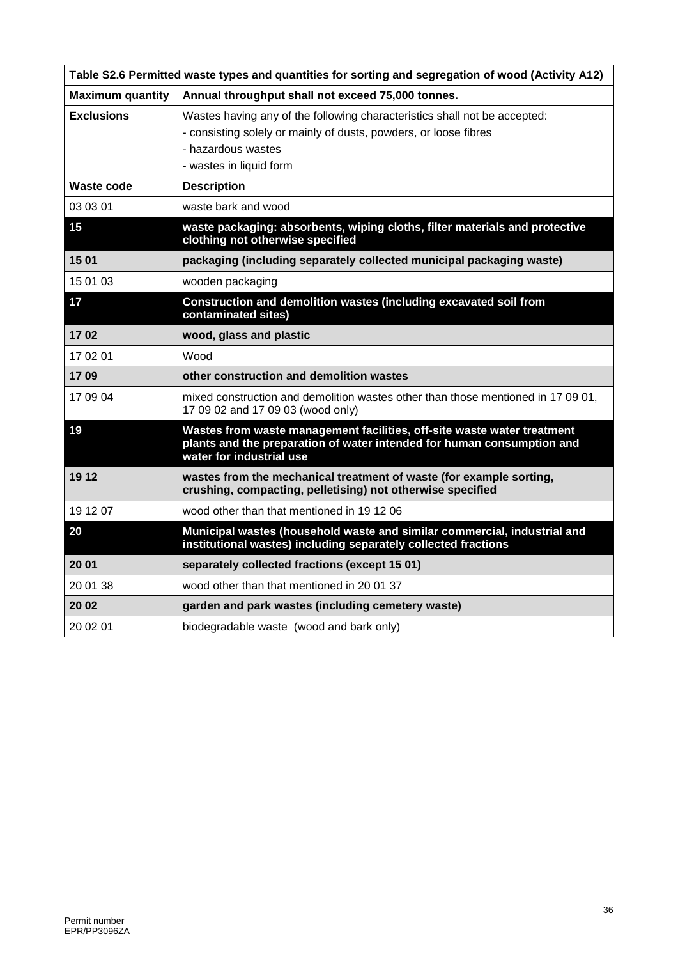|                         | Table S2.6 Permitted waste types and quantities for sorting and segregation of wood (Activity A12)                                                                                             |
|-------------------------|------------------------------------------------------------------------------------------------------------------------------------------------------------------------------------------------|
| <b>Maximum quantity</b> | Annual throughput shall not exceed 75,000 tonnes.                                                                                                                                              |
| <b>Exclusions</b>       | Wastes having any of the following characteristics shall not be accepted:<br>- consisting solely or mainly of dusts, powders, or loose fibres<br>- hazardous wastes<br>- wastes in liquid form |
| Waste code              | <b>Description</b>                                                                                                                                                                             |
| 03 03 01                | waste bark and wood                                                                                                                                                                            |
| 15                      | waste packaging: absorbents, wiping cloths, filter materials and protective<br>clothing not otherwise specified                                                                                |
| 1501                    | packaging (including separately collected municipal packaging waste)                                                                                                                           |
| 15 01 03                | wooden packaging                                                                                                                                                                               |
| 17                      | Construction and demolition wastes (including excavated soil from<br>contaminated sites)                                                                                                       |
| 1702                    | wood, glass and plastic                                                                                                                                                                        |
| 17 02 01                | Wood                                                                                                                                                                                           |
| 1709                    | other construction and demolition wastes                                                                                                                                                       |
| 17 09 04                | mixed construction and demolition wastes other than those mentioned in 17 09 01,<br>17 09 02 and 17 09 03 (wood only)                                                                          |
| 19                      | Wastes from waste management facilities, off-site waste water treatment<br>plants and the preparation of water intended for human consumption and<br>water for industrial use                  |
| 19 12                   | wastes from the mechanical treatment of waste (for example sorting,<br>crushing, compacting, pelletising) not otherwise specified                                                              |
| 19 12 07                | wood other than that mentioned in 19 12 06                                                                                                                                                     |
| 20                      | Municipal wastes (household waste and similar commercial, industrial and<br>institutional wastes) including separately collected fractions                                                     |
| 20 01                   | separately collected fractions (except 15 01)                                                                                                                                                  |
| 20 01 38                | wood other than that mentioned in 2001 37                                                                                                                                                      |
| 20 02                   | garden and park wastes (including cemetery waste)                                                                                                                                              |
| 20 02 01                | biodegradable waste (wood and bark only)                                                                                                                                                       |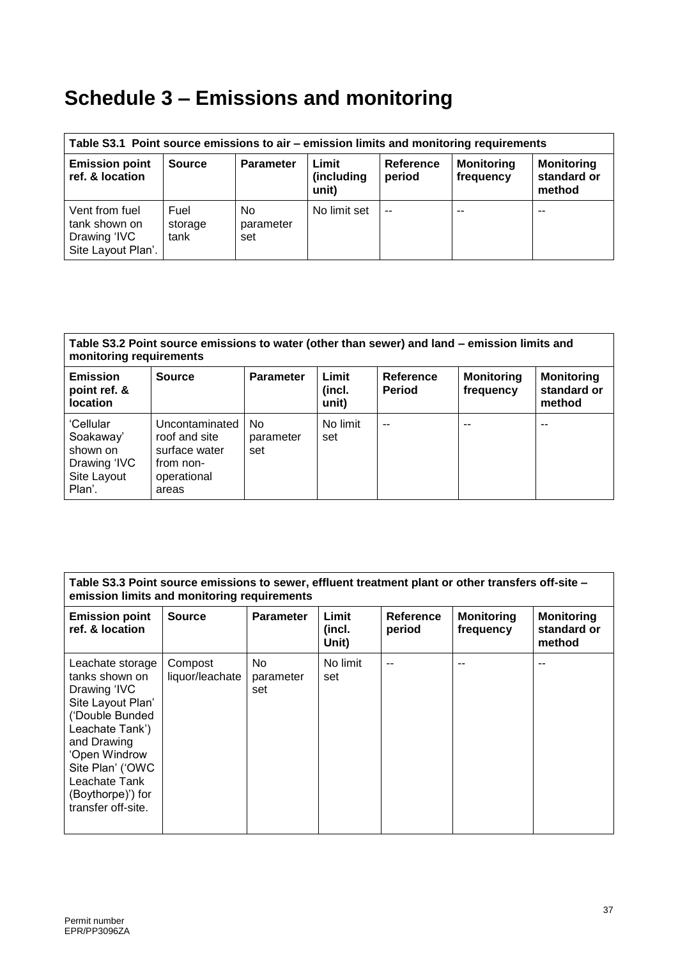# **Schedule 3 – Emissions and monitoring**

| Table S3.1 Point source emissions to air – emission limits and monitoring requirements |                         |                        |                              |                     |                                |                                            |
|----------------------------------------------------------------------------------------|-------------------------|------------------------|------------------------------|---------------------|--------------------------------|--------------------------------------------|
| <b>Emission point</b><br>ref. & location                                               | <b>Source</b>           | <b>Parameter</b>       | Limit<br>(including<br>unit) | Reference<br>period | <b>Monitoring</b><br>frequency | <b>Monitoring</b><br>standard or<br>method |
| Vent from fuel<br>tank shown on<br>Drawing 'IVC<br>Site Layout Plan'.                  | Fuel<br>storage<br>tank | No<br>parameter<br>set | No limit set                 | $-$                 | $-$                            |                                            |

#### **Table S3.2 Point source emissions to water (other than sewer) and land – emission limits and monitoring requirements**

| <b>Emission</b><br>point ref. &<br>location                                 | <b>Source</b>                                                                         | <b>Parameter</b>        | Limit<br>(incl.<br>unit) | <b>Reference</b><br><b>Period</b> | <b>Monitoring</b><br>frequency | <b>Monitoring</b><br>standard or<br>method |
|-----------------------------------------------------------------------------|---------------------------------------------------------------------------------------|-------------------------|--------------------------|-----------------------------------|--------------------------------|--------------------------------------------|
| 'Cellular<br>Soakaway'<br>shown on<br>Drawing 'IVC<br>Site Layout<br>Plan'. | Uncontaminated<br>roof and site<br>surface water<br>from non-<br>operational<br>areas | No.<br>parameter<br>set | No limit<br>set          | $- -$                             | --                             | $- -$                                      |

| Table S3.3 Point source emissions to sewer, effluent treatment plant or other transfers off-site -<br>emission limits and monitoring requirements                                                                             |                            |                         |                          |                            |                                |                                            |
|-------------------------------------------------------------------------------------------------------------------------------------------------------------------------------------------------------------------------------|----------------------------|-------------------------|--------------------------|----------------------------|--------------------------------|--------------------------------------------|
| <b>Emission point</b><br>ref. & location                                                                                                                                                                                      | <b>Source</b>              | <b>Parameter</b>        | Limit<br>(incl.<br>Unit) | <b>Reference</b><br>period | <b>Monitoring</b><br>frequency | <b>Monitoring</b><br>standard or<br>method |
| Leachate storage<br>tanks shown on<br>Drawing 'IVC<br>Site Layout Plan'<br>('Double Bunded<br>Leachate Tank')<br>and Drawing<br>'Open Windrow<br>Site Plan' ('OWC<br>Leachate Tank<br>(Boythorpe)') for<br>transfer off-site. | Compost<br>liquor/leachate | No.<br>parameter<br>set | No limit<br>set          | --                         |                                |                                            |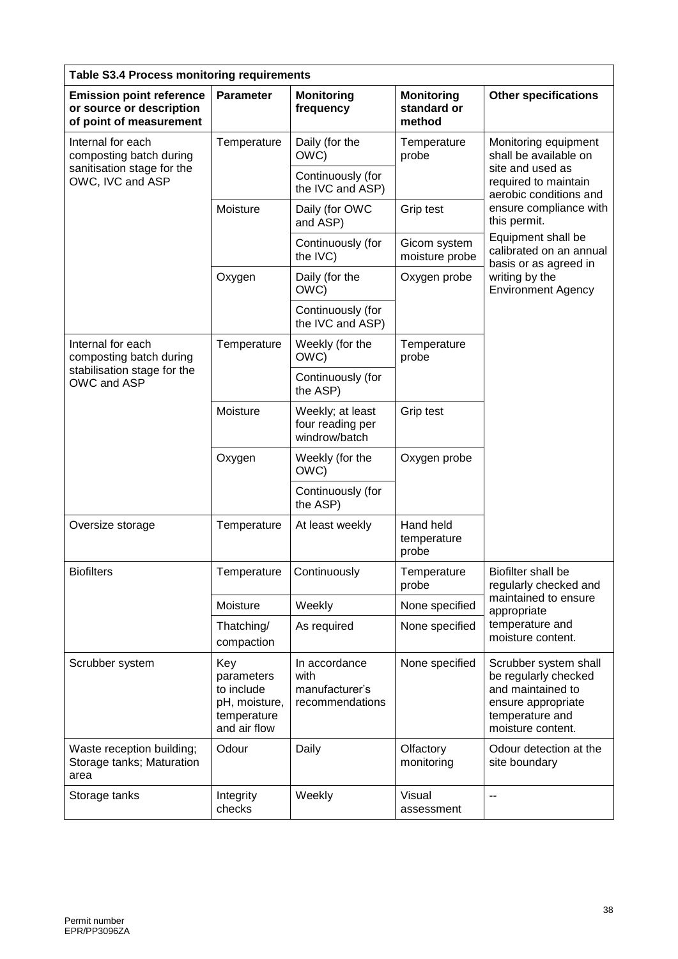| Table S3.4 Process monitoring requirements                                             |                                                                                 |                                                            |                                            |                                                                                                                                  |  |  |  |
|----------------------------------------------------------------------------------------|---------------------------------------------------------------------------------|------------------------------------------------------------|--------------------------------------------|----------------------------------------------------------------------------------------------------------------------------------|--|--|--|
| <b>Emission point reference</b><br>or source or description<br>of point of measurement | <b>Parameter</b>                                                                | <b>Monitoring</b><br>frequency                             | <b>Monitoring</b><br>standard or<br>method | <b>Other specifications</b>                                                                                                      |  |  |  |
| Internal for each<br>composting batch during                                           | Temperature                                                                     | Daily (for the<br>OWC)                                     | Temperature<br>probe                       | Monitoring equipment<br>shall be available on                                                                                    |  |  |  |
| sanitisation stage for the<br>OWC, IVC and ASP                                         |                                                                                 | Continuously (for<br>the IVC and ASP)                      |                                            | site and used as<br>required to maintain<br>aerobic conditions and                                                               |  |  |  |
|                                                                                        | Moisture                                                                        | Daily (for OWC<br>and ASP)                                 | Grip test                                  | ensure compliance with<br>this permit.                                                                                           |  |  |  |
|                                                                                        |                                                                                 | Continuously (for<br>the IVC)                              | Gicom system<br>moisture probe             | Equipment shall be<br>calibrated on an annual<br>basis or as agreed in                                                           |  |  |  |
|                                                                                        | Oxygen                                                                          | Daily (for the<br>OWC)                                     | Oxygen probe                               | writing by the<br><b>Environment Agency</b>                                                                                      |  |  |  |
|                                                                                        |                                                                                 | Continuously (for<br>the IVC and ASP)                      |                                            |                                                                                                                                  |  |  |  |
| Internal for each<br>composting batch during                                           | Temperature                                                                     | Weekly (for the<br>OWC)                                    | Temperature<br>probe                       |                                                                                                                                  |  |  |  |
| stabilisation stage for the<br>OWC and ASP                                             |                                                                                 | Continuously (for<br>the ASP)                              |                                            |                                                                                                                                  |  |  |  |
|                                                                                        | Moisture                                                                        | Weekly; at least<br>four reading per<br>windrow/batch      | Grip test                                  |                                                                                                                                  |  |  |  |
|                                                                                        | Oxygen                                                                          | Weekly (for the<br>OWC)                                    | Oxygen probe                               |                                                                                                                                  |  |  |  |
|                                                                                        |                                                                                 | Continuously (for<br>the ASP)                              |                                            |                                                                                                                                  |  |  |  |
| Oversize storage                                                                       | Temperature                                                                     | At least weekly                                            | Hand held<br>temperature<br>probe          |                                                                                                                                  |  |  |  |
| <b>Biofilters</b>                                                                      | Temperature                                                                     | Continuously                                               | Temperature<br>probe                       | Biofilter shall be<br>regularly checked and                                                                                      |  |  |  |
|                                                                                        | Moisture                                                                        | Weekly                                                     | None specified                             | maintained to ensure<br>appropriate                                                                                              |  |  |  |
|                                                                                        | Thatching/<br>compaction                                                        | As required                                                | None specified                             | temperature and<br>moisture content.                                                                                             |  |  |  |
| Scrubber system                                                                        | Key<br>parameters<br>to include<br>pH, moisture,<br>temperature<br>and air flow | In accordance<br>with<br>manufacturer's<br>recommendations | None specified                             | Scrubber system shall<br>be regularly checked<br>and maintained to<br>ensure appropriate<br>temperature and<br>moisture content. |  |  |  |
| Waste reception building;<br>Storage tanks; Maturation<br>area                         | Odour                                                                           | Daily                                                      | Olfactory<br>monitoring                    | Odour detection at the<br>site boundary                                                                                          |  |  |  |
| Storage tanks                                                                          | Integrity<br>checks                                                             | Weekly                                                     | Visual<br>assessment                       | $-$                                                                                                                              |  |  |  |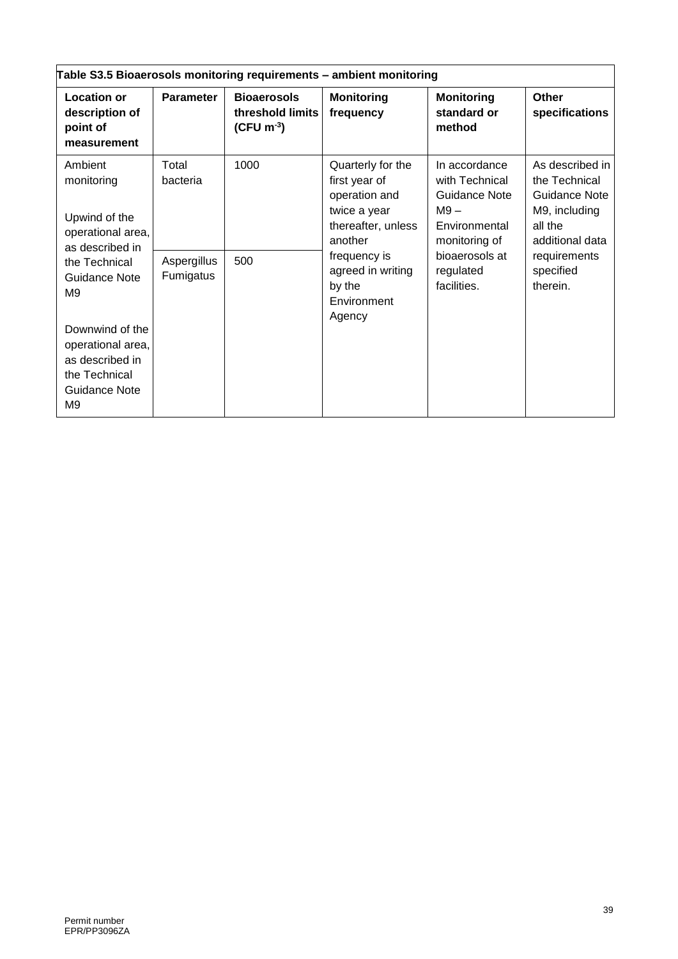| Table S3.5 Bioaerosols monitoring requirements - ambient monitoring                                                                |                                               |                                                                    |                                                                                                                                                     |                                                                                                                                            |                                                                                                                                           |  |  |
|------------------------------------------------------------------------------------------------------------------------------------|-----------------------------------------------|--------------------------------------------------------------------|-----------------------------------------------------------------------------------------------------------------------------------------------------|--------------------------------------------------------------------------------------------------------------------------------------------|-------------------------------------------------------------------------------------------------------------------------------------------|--|--|
| <b>Location or</b><br>description of<br>point of<br>measurement                                                                    | <b>Parameter</b>                              | <b>Bioaerosols</b><br>threshold limits<br>$(CFU \, \text{m}^{-3})$ | <b>Monitoring</b><br>frequency                                                                                                                      | <b>Monitoring</b><br>standard or<br>method                                                                                                 | <b>Other</b><br>specifications                                                                                                            |  |  |
| Ambient<br>monitoring<br>Upwind of the<br>operational area,<br>as described in<br>the Technical<br>Guidance Note<br>M <sub>9</sub> | Total<br>bacteria<br>Aspergillus<br>Fumigatus | 1000<br>500                                                        | Quarterly for the<br>first year of<br>operation and<br>twice a year<br>thereafter, unless<br>another<br>frequency is<br>agreed in writing<br>by the | In accordance<br>with Technical<br>Guidance Note<br>$M9 -$<br>Environmental<br>monitoring of<br>bioaerosols at<br>regulated<br>facilities. | As described in<br>the Technical<br>Guidance Note<br>M9, including<br>all the<br>additional data<br>requirements<br>specified<br>therein. |  |  |
| Downwind of the<br>operational area,<br>as described in<br>the Technical<br><b>Guidance Note</b><br>M9                             |                                               |                                                                    | Environment<br>Agency                                                                                                                               |                                                                                                                                            |                                                                                                                                           |  |  |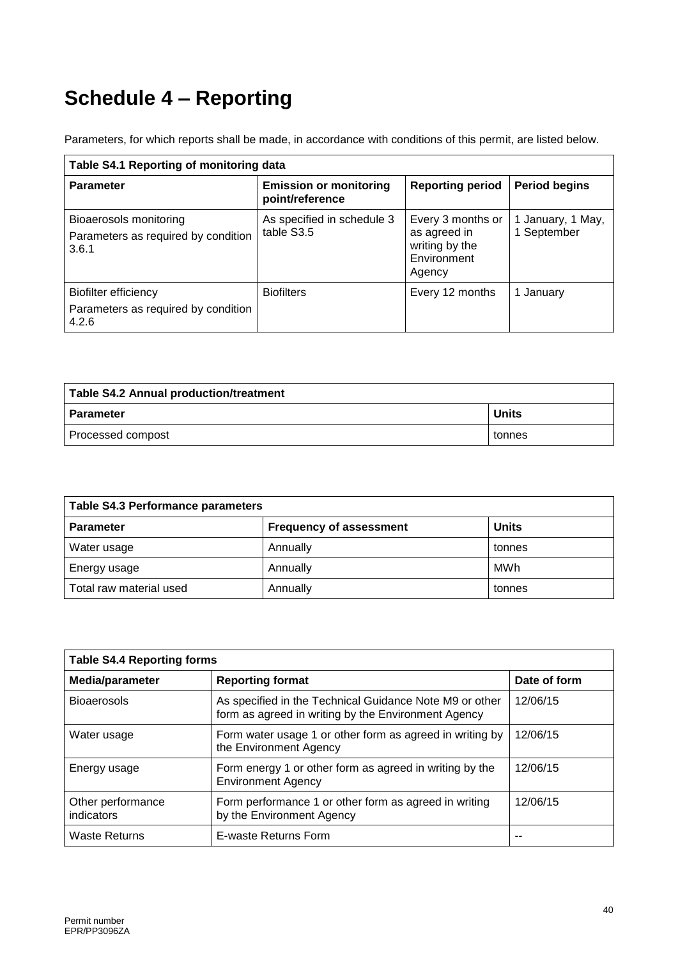# **Schedule 4 – Reporting**

Parameters, for which reports shall be made, in accordance with conditions of this permit, are listed below.

| Table S4.1 Reporting of monitoring data                                |                                                  |                                                                              |                                  |  |  |  |  |
|------------------------------------------------------------------------|--------------------------------------------------|------------------------------------------------------------------------------|----------------------------------|--|--|--|--|
| <b>Parameter</b>                                                       | <b>Emission or monitoring</b><br>point/reference | <b>Reporting period</b>                                                      | <b>Period begins</b>             |  |  |  |  |
| Bioaerosols monitoring<br>Parameters as required by condition<br>3.6.1 | As specified in schedule 3<br>table S3.5         | Every 3 months or<br>as agreed in<br>writing by the<br>Environment<br>Agency | 1 January, 1 May,<br>1 September |  |  |  |  |
| Biofilter efficiency<br>Parameters as required by condition<br>4.2.6   | <b>Biofilters</b>                                | Every 12 months                                                              | January                          |  |  |  |  |

| Table S4.2 Annual production/treatment |              |  |  |  |
|----------------------------------------|--------------|--|--|--|
| <b>Parameter</b>                       | <b>Units</b> |  |  |  |
| Processed compost                      | tonnes       |  |  |  |

| Table S4.3 Performance parameters |                                                |            |  |  |
|-----------------------------------|------------------------------------------------|------------|--|--|
| <b>Parameter</b>                  | <b>Units</b><br><b>Frequency of assessment</b> |            |  |  |
| Water usage                       | Annually                                       | tonnes     |  |  |
| Energy usage                      | Annually                                       | <b>MWh</b> |  |  |
| Total raw material used           | Annually                                       | tonnes     |  |  |

| <b>Table S4.4 Reporting forms</b> |                                                                                                                |              |  |
|-----------------------------------|----------------------------------------------------------------------------------------------------------------|--------------|--|
| Media/parameter                   | <b>Reporting format</b>                                                                                        | Date of form |  |
| <b>Bioaerosols</b>                | As specified in the Technical Guidance Note M9 or other<br>form as agreed in writing by the Environment Agency | 12/06/15     |  |
| Water usage                       | Form water usage 1 or other form as agreed in writing by<br>the Environment Agency                             | 12/06/15     |  |
| Energy usage                      | Form energy 1 or other form as agreed in writing by the<br><b>Environment Agency</b>                           | 12/06/15     |  |
| Other performance<br>indicators   | Form performance 1 or other form as agreed in writing<br>by the Environment Agency                             | 12/06/15     |  |
| Waste Returns                     | E-waste Returns Form                                                                                           |              |  |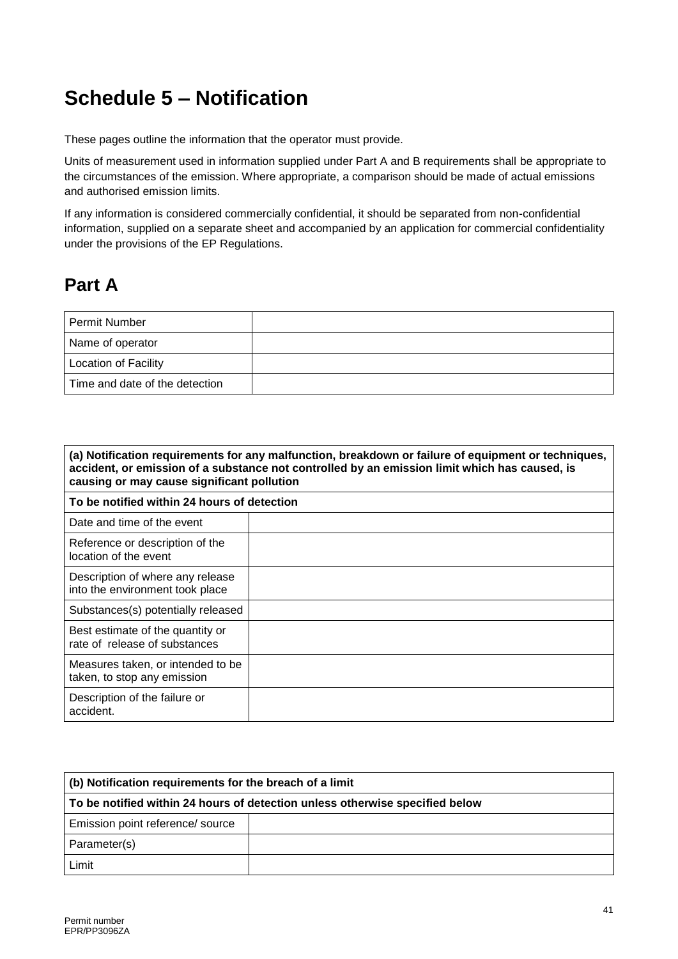# **Schedule 5 – Notification**

These pages outline the information that the operator must provide.

Units of measurement used in information supplied under Part A and B requirements shall be appropriate to the circumstances of the emission. Where appropriate, a comparison should be made of actual emissions and authorised emission limits.

If any information is considered commercially confidential, it should be separated from non-confidential information, supplied on a separate sheet and accompanied by an application for commercial confidentiality under the provisions of the EP Regulations.

## **Part A**

| <b>Permit Number</b>           |  |
|--------------------------------|--|
| Name of operator               |  |
| <b>Location of Facility</b>    |  |
| Time and date of the detection |  |

| (a) Notification requirements for any malfunction, breakdown or failure of equipment or techniques,<br>accident, or emission of a substance not controlled by an emission limit which has caused, is<br>causing or may cause significant pollution |  |  |  |
|----------------------------------------------------------------------------------------------------------------------------------------------------------------------------------------------------------------------------------------------------|--|--|--|
| To be notified within 24 hours of detection                                                                                                                                                                                                        |  |  |  |
| Date and time of the event                                                                                                                                                                                                                         |  |  |  |
| Reference or description of the<br>location of the event                                                                                                                                                                                           |  |  |  |
| Description of where any release<br>into the environment took place                                                                                                                                                                                |  |  |  |
| Substances(s) potentially released                                                                                                                                                                                                                 |  |  |  |
| Best estimate of the quantity or<br>rate of release of substances                                                                                                                                                                                  |  |  |  |
| Measures taken, or intended to be<br>taken, to stop any emission                                                                                                                                                                                   |  |  |  |
| Description of the failure or<br>accident.                                                                                                                                                                                                         |  |  |  |

| (b) Notification requirements for the breach of a limit                      |  |  |
|------------------------------------------------------------------------------|--|--|
| To be notified within 24 hours of detection unless otherwise specified below |  |  |
| Emission point reference/ source                                             |  |  |
| Parameter(s)                                                                 |  |  |
| Limit                                                                        |  |  |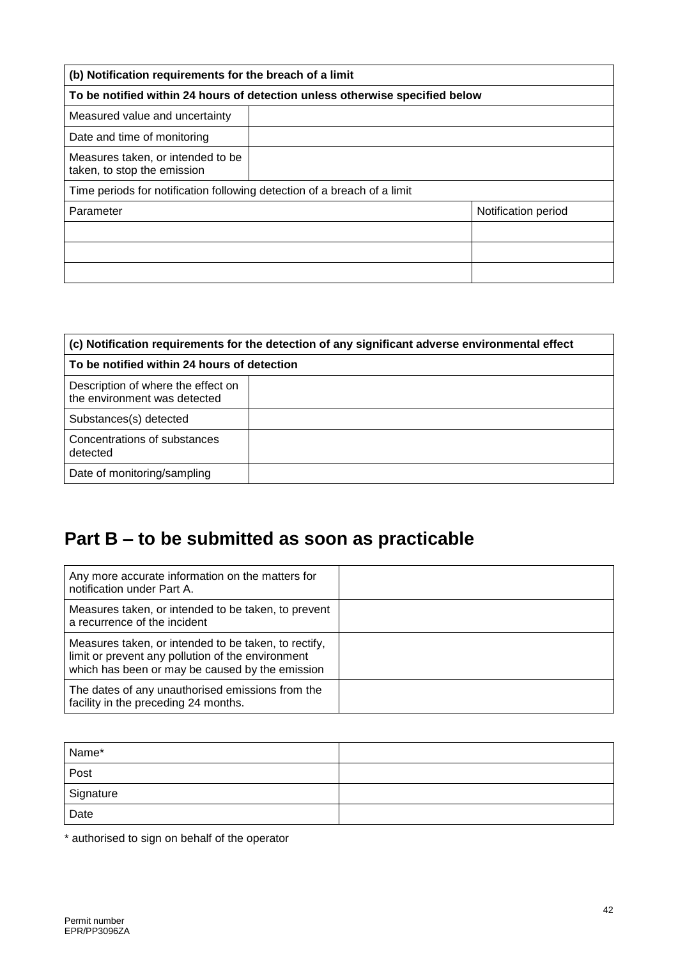| (b) Notification requirements for the breach of a limit                      |  |                     |  |
|------------------------------------------------------------------------------|--|---------------------|--|
| To be notified within 24 hours of detection unless otherwise specified below |  |                     |  |
| Measured value and uncertainty                                               |  |                     |  |
| Date and time of monitoring                                                  |  |                     |  |
| Measures taken, or intended to be<br>taken, to stop the emission             |  |                     |  |
| Time periods for notification following detection of a breach of a limit     |  |                     |  |
| Parameter                                                                    |  | Notification period |  |
|                                                                              |  |                     |  |
|                                                                              |  |                     |  |
|                                                                              |  |                     |  |

| (c) Notification requirements for the detection of any significant adverse environmental effect |  |  |
|-------------------------------------------------------------------------------------------------|--|--|
| To be notified within 24 hours of detection                                                     |  |  |
| Description of where the effect on<br>the environment was detected                              |  |  |
| Substances(s) detected                                                                          |  |  |
| Concentrations of substances<br>detected                                                        |  |  |
| Date of monitoring/sampling                                                                     |  |  |

# **Part B – to be submitted as soon as practicable**

| Any more accurate information on the matters for<br>notification under Part A.                                                                               |  |
|--------------------------------------------------------------------------------------------------------------------------------------------------------------|--|
| Measures taken, or intended to be taken, to prevent<br>a recurrence of the incident                                                                          |  |
| Measures taken, or intended to be taken, to rectify,<br>limit or prevent any pollution of the environment<br>which has been or may be caused by the emission |  |
| The dates of any unauthorised emissions from the<br>facility in the preceding 24 months.                                                                     |  |

| Name*<br><b>Contract Contract Contract</b> |  |
|--------------------------------------------|--|
| Post                                       |  |
| Signature                                  |  |
| Date                                       |  |

\* authorised to sign on behalf of the operator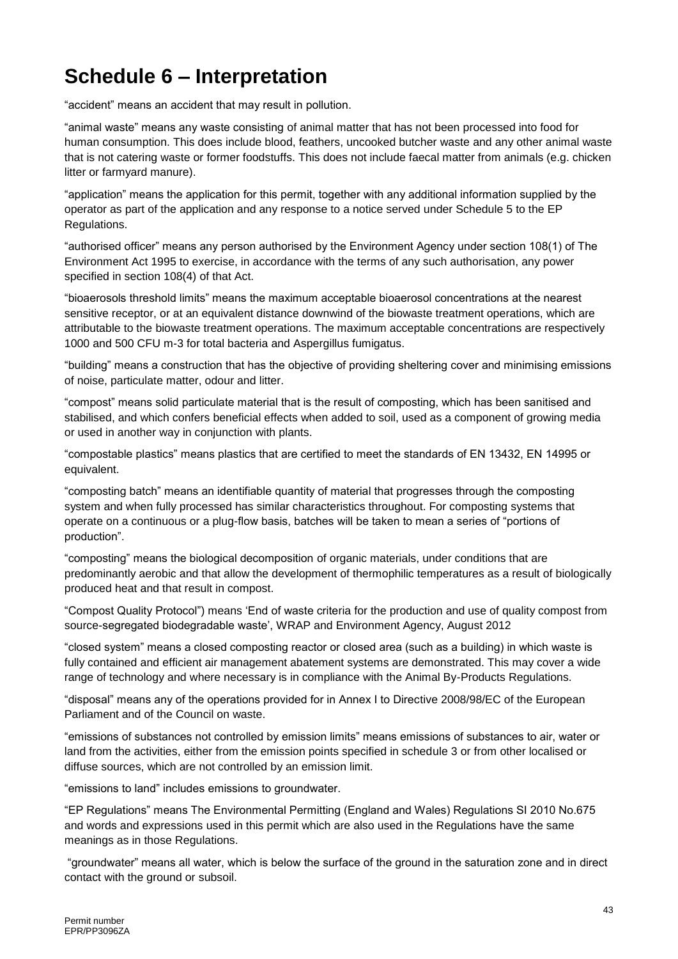# **Schedule 6 – Interpretation**

"accident" means an accident that may result in pollution.

"animal waste" means any waste consisting of animal matter that has not been processed into food for human consumption. This does include blood, feathers, uncooked butcher waste and any other animal waste that is not catering waste or former foodstuffs. This does not include faecal matter from animals (e.g. chicken litter or farmyard manure).

"application" means the application for this permit, together with any additional information supplied by the operator as part of the application and any response to a notice served under Schedule 5 to the EP Regulations.

"authorised officer" means any person authorised by the Environment Agency under section 108(1) of The Environment Act 1995 to exercise, in accordance with the terms of any such authorisation, any power specified in section 108(4) of that Act.

"bioaerosols threshold limits" means the maximum acceptable bioaerosol concentrations at the nearest sensitive receptor, or at an equivalent distance downwind of the biowaste treatment operations, which are attributable to the biowaste treatment operations. The maximum acceptable concentrations are respectively 1000 and 500 CFU m-3 for total bacteria and Aspergillus fumigatus.

"building" means a construction that has the objective of providing sheltering cover and minimising emissions of noise, particulate matter, odour and litter.

"compost" means solid particulate material that is the result of composting, which has been sanitised and stabilised, and which confers beneficial effects when added to soil, used as a component of growing media or used in another way in conjunction with plants.

"compostable plastics" means plastics that are certified to meet the standards of EN 13432, EN 14995 or equivalent.

"composting batch" means an identifiable quantity of material that progresses through the composting system and when fully processed has similar characteristics throughout. For composting systems that operate on a continuous or a plug-flow basis, batches will be taken to mean a series of "portions of production".

"composting" means the biological decomposition of organic materials, under conditions that are predominantly aerobic and that allow the development of thermophilic temperatures as a result of biologically produced heat and that result in compost.

"Compost Quality Protocol") means 'End of waste criteria for the production and use of quality compost from source-segregated biodegradable waste', WRAP and Environment Agency, August 2012

"closed system" means a closed composting reactor or closed area (such as a building) in which waste is fully contained and efficient air management abatement systems are demonstrated. This may cover a wide range of technology and where necessary is in compliance with the Animal By-Products Regulations.

"disposal" means any of the operations provided for in Annex I to Directive 2008/98/EC of the European Parliament and of the Council on waste.

"emissions of substances not controlled by emission limits" means emissions of substances to air, water or land from the activities, either from the emission points specified in schedule 3 or from other localised or diffuse sources, which are not controlled by an emission limit.

"emissions to land" includes emissions to groundwater.

"EP Regulations" means The Environmental Permitting (England and Wales) Regulations SI 2010 No.675 and words and expressions used in this permit which are also used in the Regulations have the same meanings as in those Regulations.

"groundwater" means all water, which is below the surface of the ground in the saturation zone and in direct contact with the ground or subsoil.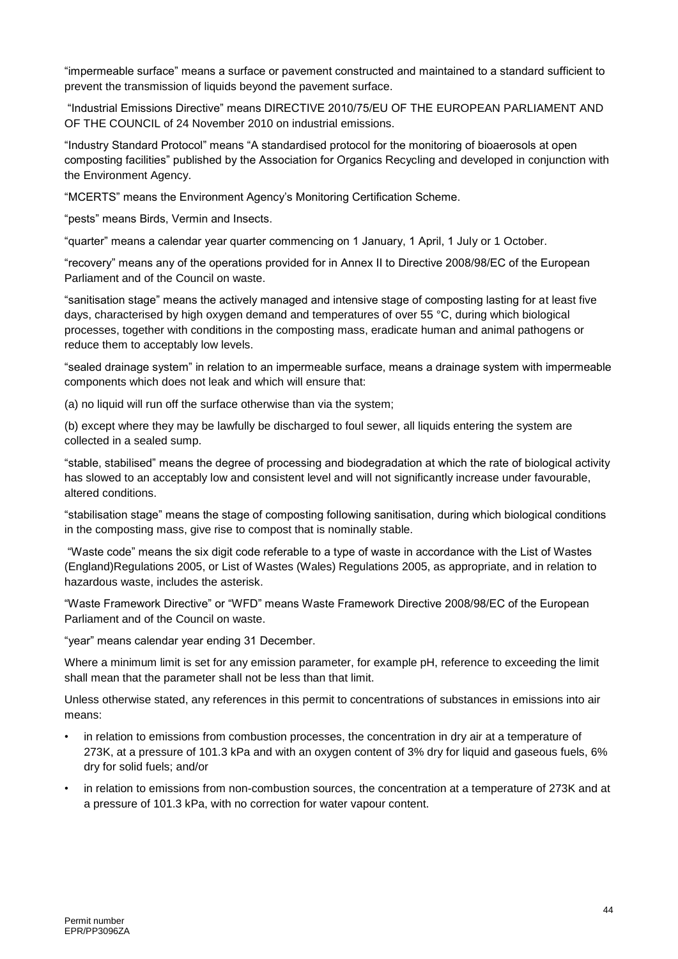"impermeable surface" means a surface or pavement constructed and maintained to a standard sufficient to prevent the transmission of liquids beyond the pavement surface.

"Industrial Emissions Directive" means DIRECTIVE 2010/75/EU OF THE EUROPEAN PARLIAMENT AND OF THE COUNCIL of 24 November 2010 on industrial emissions.

"Industry Standard Protocol" means "A standardised protocol for the monitoring of bioaerosols at open composting facilities" published by the Association for Organics Recycling and developed in conjunction with the Environment Agency.

"MCERTS" means the Environment Agency's Monitoring Certification Scheme.

"pests" means Birds, Vermin and Insects.

"quarter" means a calendar year quarter commencing on 1 January, 1 April, 1 July or 1 October.

"recovery" means any of the operations provided for in Annex II to Directive 2008/98/EC of the European Parliament and of the Council on waste.

"sanitisation stage" means the actively managed and intensive stage of composting lasting for at least five days, characterised by high oxygen demand and temperatures of over 55 °C, during which biological processes, together with conditions in the composting mass, eradicate human and animal pathogens or reduce them to acceptably low levels.

"sealed drainage system" in relation to an impermeable surface, means a drainage system with impermeable components which does not leak and which will ensure that:

(a) no liquid will run off the surface otherwise than via the system;

(b) except where they may be lawfully be discharged to foul sewer, all liquids entering the system are collected in a sealed sump.

"stable, stabilised" means the degree of processing and biodegradation at which the rate of biological activity has slowed to an acceptably low and consistent level and will not significantly increase under favourable, altered conditions.

"stabilisation stage" means the stage of composting following sanitisation, during which biological conditions in the composting mass, give rise to compost that is nominally stable.

"Waste code" means the six digit code referable to a type of waste in accordance with the List of Wastes (England)Regulations 2005, or List of Wastes (Wales) Regulations 2005, as appropriate, and in relation to hazardous waste, includes the asterisk.

"Waste Framework Directive" or "WFD" means Waste Framework Directive 2008/98/EC of the European Parliament and of the Council on waste.

"year" means calendar year ending 31 December.

Where a minimum limit is set for any emission parameter, for example pH, reference to exceeding the limit shall mean that the parameter shall not be less than that limit.

Unless otherwise stated, any references in this permit to concentrations of substances in emissions into air means:

- in relation to emissions from combustion processes, the concentration in dry air at a temperature of 273K, at a pressure of 101.3 kPa and with an oxygen content of 3% dry for liquid and gaseous fuels, 6% dry for solid fuels; and/or
- in relation to emissions from non-combustion sources, the concentration at a temperature of 273K and at a pressure of 101.3 kPa, with no correction for water vapour content.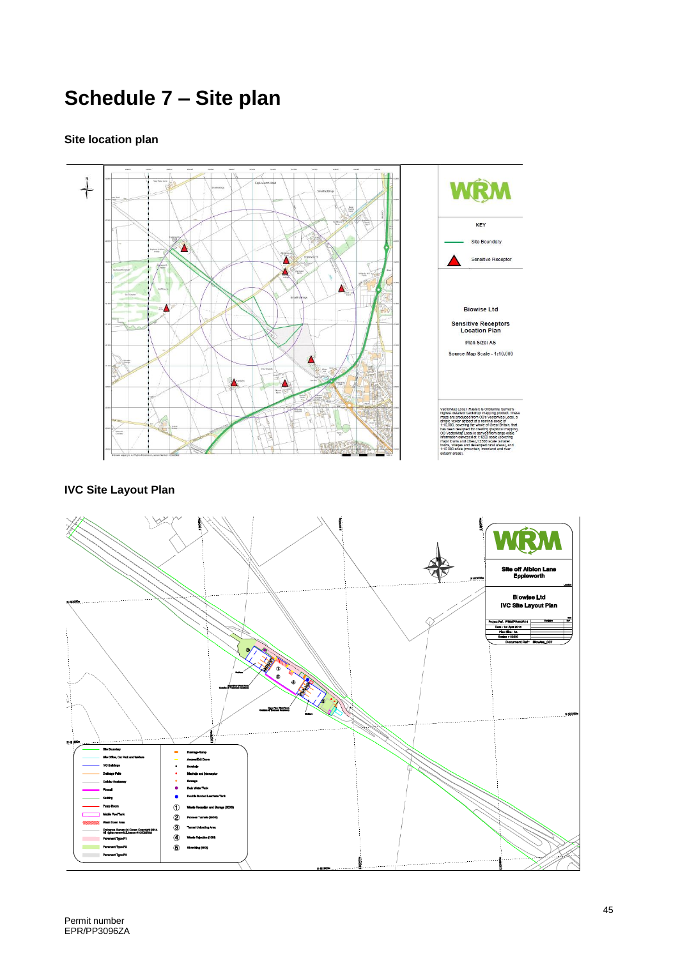# **Schedule 7 – Site plan**

#### **Site location plan**



#### **IVC Site Layout Plan**

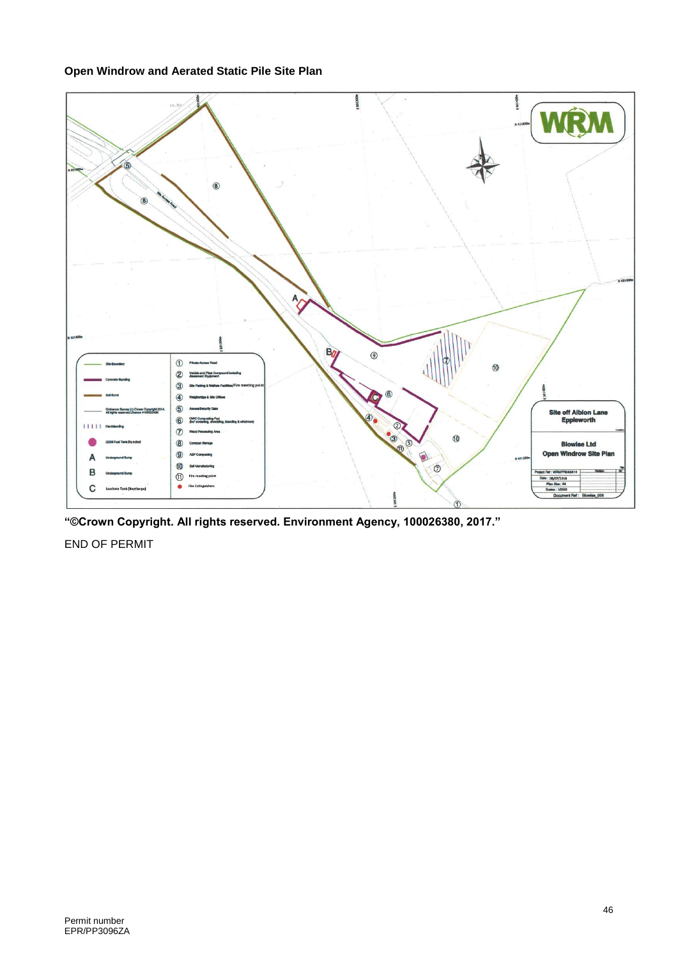#### **Open Windrow and Aerated Static Pile Site Plan**



**"©Crown Copyright. All rights reserved. Environment Agency, 100026380, 2017."**

END OF PERMIT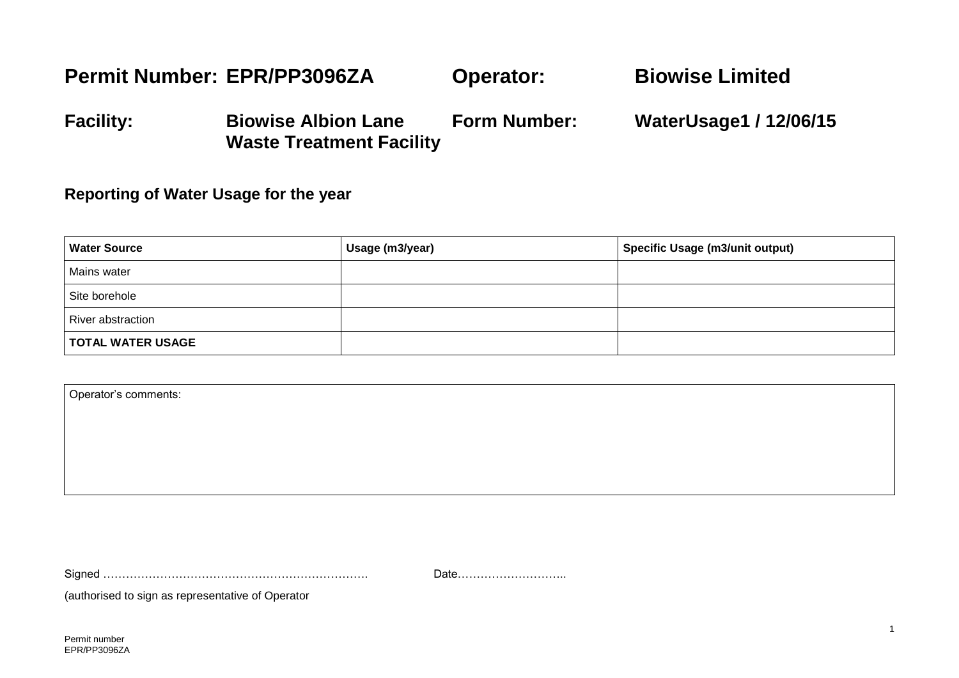#### **Permit Number: EPR/PP3096ZA Operator: Biowise Limited**

**Facility: Biowise Albion Lane Waste Treatment Facility Form Number: WaterUsage1 / 12/06/15**

#### **Reporting of Water Usage for the year**

| <b>Water Source</b>      | Usage (m3/year) | <b>Specific Usage (m3/unit output)</b> |
|--------------------------|-----------------|----------------------------------------|
| Mains water              |                 |                                        |
| Site borehole            |                 |                                        |
| River abstraction        |                 |                                        |
| <b>TOTAL WATER USAGE</b> |                 |                                        |

| Operator's comments: |  |
|----------------------|--|
|                      |  |
|                      |  |
|                      |  |
|                      |  |

Signed ……………………………………………………………. Date………………………..

(authorised to sign as representative of Operator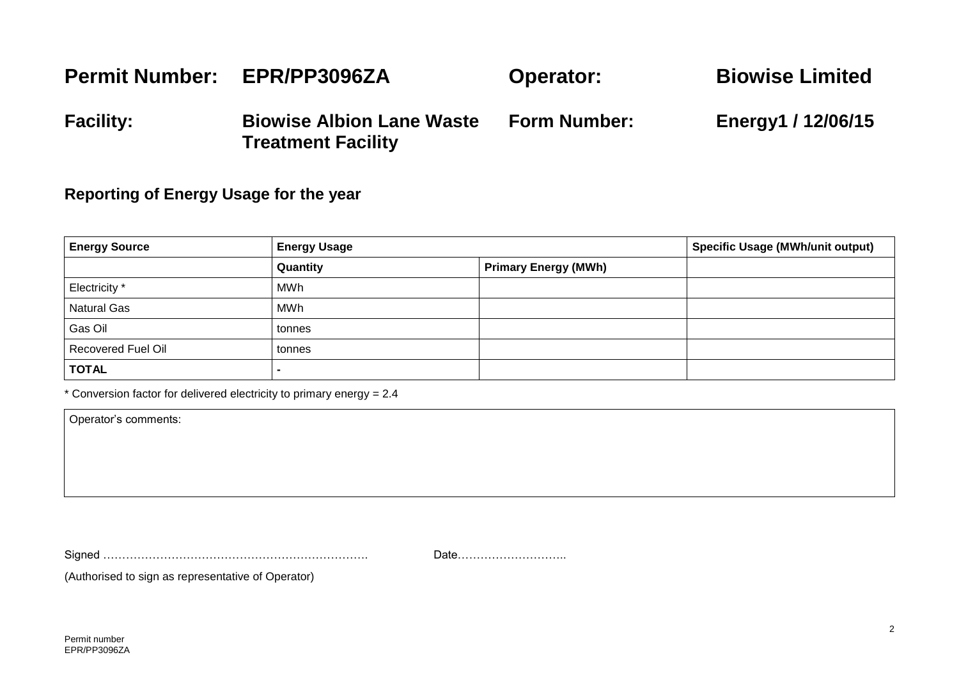#### **Permit Number: EPR/PP3096ZA Facility: Biowise Albion Lane Waste Treatment Facility Operator: Form Number: Biowise Limited Energy1 / 12/06/15**

#### **Reporting of Energy Usage for the year**

| <b>Energy Source</b>      | <b>Energy Usage</b> |                             | <b>Specific Usage (MWh/unit output)</b> |
|---------------------------|---------------------|-----------------------------|-----------------------------------------|
|                           | Quantity            | <b>Primary Energy (MWh)</b> |                                         |
| Electricity *             | MWh                 |                             |                                         |
| <b>Natural Gas</b>        | MWh                 |                             |                                         |
| Gas Oil                   | tonnes              |                             |                                         |
| <b>Recovered Fuel Oil</b> | tonnes              |                             |                                         |
| <b>TOTAL</b>              |                     |                             |                                         |

\* Conversion factor for delivered electricity to primary energy = 2.4

Operator's comments:

Signed ……………………………………………………………. Date………………………..

(Authorised to sign as representative of Operator)